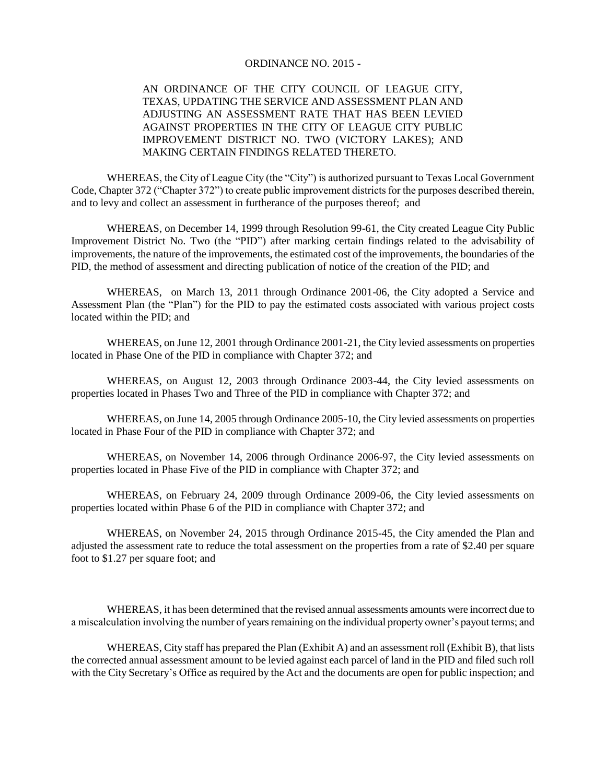#### ORDINANCE NO. 2015 -

#### AN ORDINANCE OF THE CITY COUNCIL OF LEAGUE CITY, TEXAS, UPDATING THE SERVICE AND ASSESSMENT PLAN AND ADJUSTING AN ASSESSMENT RATE THAT HAS BEEN LEVIED AGAINST PROPERTIES IN THE CITY OF LEAGUE CITY PUBLIC IMPROVEMENT DISTRICT NO. TWO (VICTORY LAKES); AND MAKING CERTAIN FINDINGS RELATED THERETO.

WHEREAS, the City of League City (the "City") is authorized pursuant to Texas Local Government Code, Chapter 372 ("Chapter 372") to create public improvement districts for the purposes described therein, and to levy and collect an assessment in furtherance of the purposes thereof; and

WHEREAS, on December 14, 1999 through Resolution 99-61, the City created League City Public Improvement District No. Two (the "PID") after marking certain findings related to the advisability of improvements, the nature of the improvements, the estimated cost of the improvements, the boundaries of the PID, the method of assessment and directing publication of notice of the creation of the PID; and

WHEREAS, on March 13, 2011 through Ordinance 2001-06, the City adopted a Service and Assessment Plan (the "Plan") for the PID to pay the estimated costs associated with various project costs located within the PID; and

WHEREAS, on June 12, 2001 through Ordinance 2001-21, the City levied assessments on properties located in Phase One of the PID in compliance with Chapter 372; and

WHEREAS, on August 12, 2003 through Ordinance 2003-44, the City levied assessments on properties located in Phases Two and Three of the PID in compliance with Chapter 372; and

WHEREAS, on June 14, 2005 through Ordinance 2005-10, the City levied assessments on properties located in Phase Four of the PID in compliance with Chapter 372; and

WHEREAS, on November 14, 2006 through Ordinance 2006-97, the City levied assessments on properties located in Phase Five of the PID in compliance with Chapter 372; and

WHEREAS, on February 24, 2009 through Ordinance 2009-06, the City levied assessments on properties located within Phase 6 of the PID in compliance with Chapter 372; and

WHEREAS, on November 24, 2015 through Ordinance 2015-45, the City amended the Plan and adjusted the assessment rate to reduce the total assessment on the properties from a rate of \$2.40 per square foot to \$1.27 per square foot; and

WHEREAS, it has been determined that the revised annual assessments amounts were incorrect due to a miscalculation involving the number of years remaining on the individual property owner's payout terms; and

WHEREAS, City staff has prepared the Plan (Exhibit A) and an assessment roll (Exhibit B), that lists the corrected annual assessment amount to be levied against each parcel of land in the PID and filed such roll with the City Secretary's Office as required by the Act and the documents are open for public inspection; and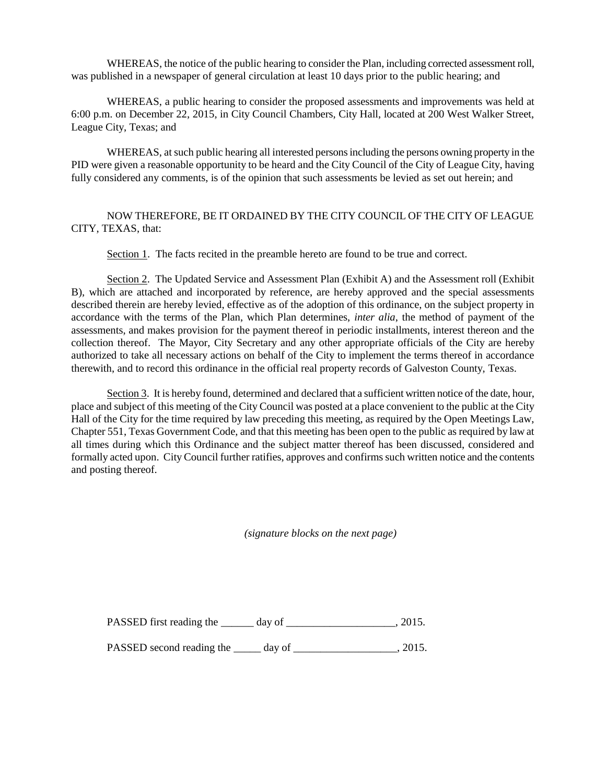WHEREAS, the notice of the public hearing to consider the Plan, including corrected assessment roll, was published in a newspaper of general circulation at least 10 days prior to the public hearing; and

WHEREAS, a public hearing to consider the proposed assessments and improvements was held at 6:00 p.m. on December 22, 2015, in City Council Chambers, City Hall, located at 200 West Walker Street, League City, Texas; and

WHEREAS, at such public hearing all interested persons including the persons owning property in the PID were given a reasonable opportunity to be heard and the City Council of the City of League City, having fully considered any comments, is of the opinion that such assessments be levied as set out herein; and

NOW THEREFORE, BE IT ORDAINED BY THE CITY COUNCIL OF THE CITY OF LEAGUE CITY, TEXAS, that:

Section 1. The facts recited in the preamble hereto are found to be true and correct.

Section 2. The Updated Service and Assessment Plan (Exhibit A) and the Assessment roll (Exhibit B), which are attached and incorporated by reference, are hereby approved and the special assessments described therein are hereby levied, effective as of the adoption of this ordinance, on the subject property in accordance with the terms of the Plan, which Plan determines, *inter alia*, the method of payment of the assessments, and makes provision for the payment thereof in periodic installments, interest thereon and the collection thereof. The Mayor, City Secretary and any other appropriate officials of the City are hereby authorized to take all necessary actions on behalf of the City to implement the terms thereof in accordance therewith, and to record this ordinance in the official real property records of Galveston County, Texas.

Section 3. It is hereby found, determined and declared that a sufficient written notice of the date, hour, place and subject of this meeting of the City Council was posted at a place convenient to the public at the City Hall of the City for the time required by law preceding this meeting, as required by the Open Meetings Law, Chapter 551, Texas Government Code, and that this meeting has been open to the public as required by law at all times during which this Ordinance and the subject matter thereof has been discussed, considered and formally acted upon. City Council further ratifies, approves and confirms such written notice and the contents and posting thereof.

*(signature blocks on the next page)*

PASSED first reading the \_\_\_\_\_\_ day of \_\_\_\_\_\_\_\_\_\_\_\_\_\_\_\_\_\_\_, 2015.

PASSED second reading the \_\_\_\_\_ day of \_\_\_\_\_\_\_\_\_\_\_\_\_\_\_\_\_\_\_\_\_\_\_\_\_\_\_\_, 2015.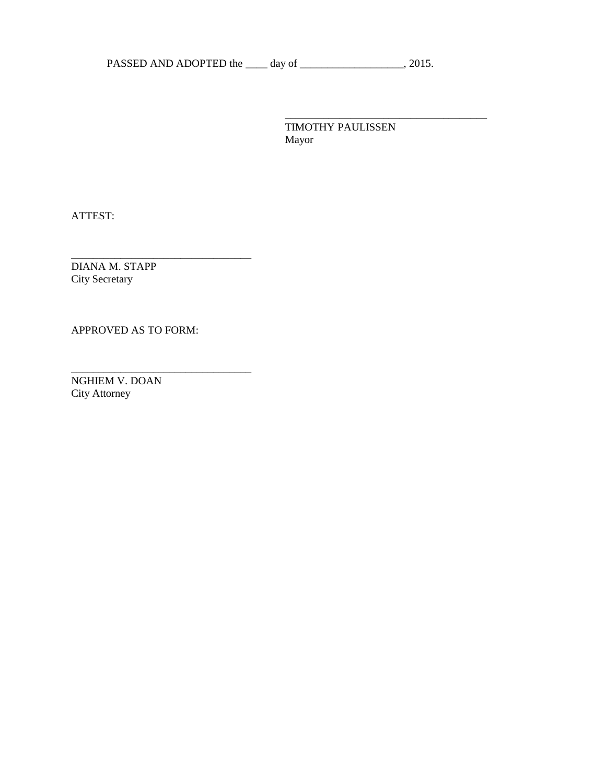TIMOTHY PAULISSEN Mayor

\_\_\_\_\_\_\_\_\_\_\_\_\_\_\_\_\_\_\_\_\_\_\_\_\_\_\_\_\_\_\_\_\_\_\_\_\_

ATTEST:

DIANA M. STAPP City Secretary

APPROVED AS TO FORM:

\_\_\_\_\_\_\_\_\_\_\_\_\_\_\_\_\_\_\_\_\_\_\_\_\_\_\_\_\_\_\_\_\_

 $\overline{\phantom{a}}$  , where  $\overline{\phantom{a}}$  , where  $\overline{\phantom{a}}$  ,  $\overline{\phantom{a}}$  ,  $\overline{\phantom{a}}$  ,  $\overline{\phantom{a}}$  ,  $\overline{\phantom{a}}$  ,  $\overline{\phantom{a}}$  ,  $\overline{\phantom{a}}$  ,  $\overline{\phantom{a}}$  ,  $\overline{\phantom{a}}$  ,  $\overline{\phantom{a}}$  ,  $\overline{\phantom{a}}$  ,  $\overline{\phantom{a}}$  ,  $\overline{\phantom{a}}$  ,

NGHIEM V. DOAN City Attorney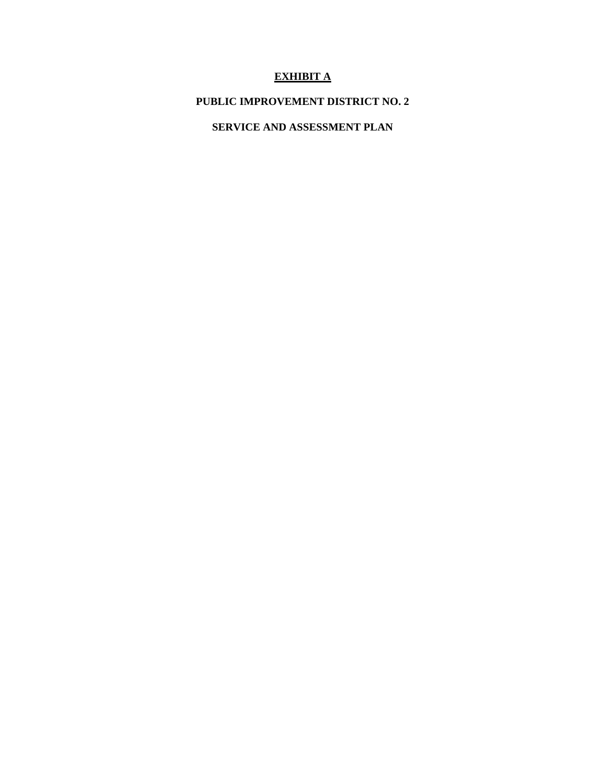## **EXHIBIT A**

## **PUBLIC IMPROVEMENT DISTRICT NO. 2**

## **SERVICE AND ASSESSMENT PLAN**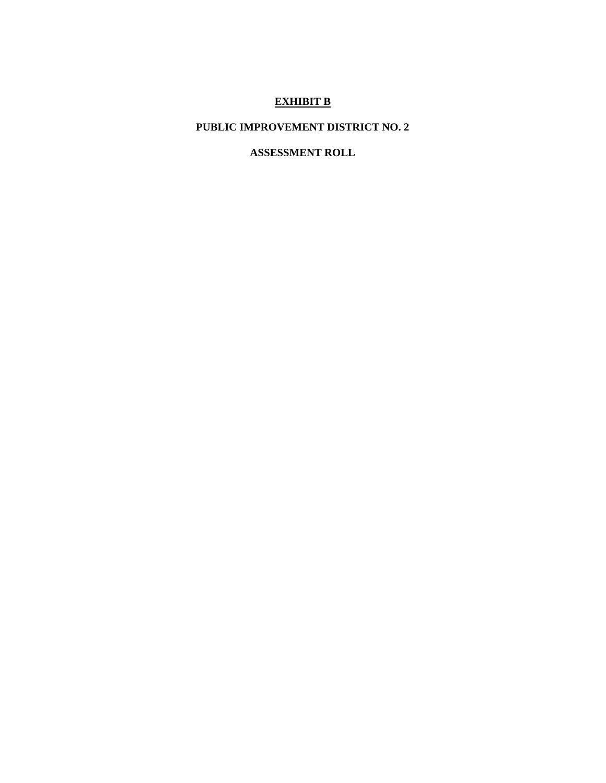## **EXHIBIT B**

## **PUBLIC IMPROVEMENT DISTRICT NO. 2**

### **ASSESSMENT ROLL**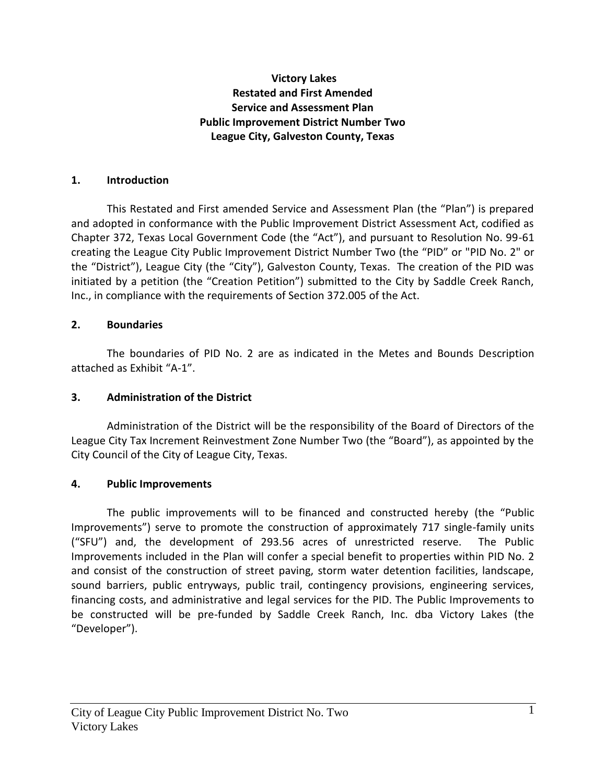## **Victory Lakes Restated and First Amended Service and Assessment Plan Public Improvement District Number Two League City, Galveston County, Texas**

## **1. Introduction**

This Restated and First amended Service and Assessment Plan (the "Plan") is prepared and adopted in conformance with the Public Improvement District Assessment Act, codified as Chapter 372, Texas Local Government Code (the "Act"), and pursuant to Resolution No. 99-61 creating the League City Public Improvement District Number Two (the "PID" or "PID No. 2" or the "District"), League City (the "City"), Galveston County, Texas. The creation of the PID was initiated by a petition (the "Creation Petition") submitted to the City by Saddle Creek Ranch, Inc., in compliance with the requirements of Section 372.005 of the Act.

## **2. Boundaries**

The boundaries of PID No. 2 are as indicated in the Metes and Bounds Description attached as Exhibit "A-1".

## **3. Administration of the District**

Administration of the District will be the responsibility of the Board of Directors of the League City Tax Increment Reinvestment Zone Number Two (the "Board"), as appointed by the City Council of the City of League City, Texas.

## **4. Public Improvements**

The public improvements will to be financed and constructed hereby (the "Public Improvements") serve to promote the construction of approximately 717 single-family units ("SFU") and, the development of 293.56 acres of unrestricted reserve. The Public Improvements included in the Plan will confer a special benefit to properties within PID No. 2 and consist of the construction of street paving, storm water detention facilities, landscape, sound barriers, public entryways, public trail, contingency provisions, engineering services, financing costs, and administrative and legal services for the PID. The Public Improvements to be constructed will be pre-funded by Saddle Creek Ranch, Inc. dba Victory Lakes (the "Developer").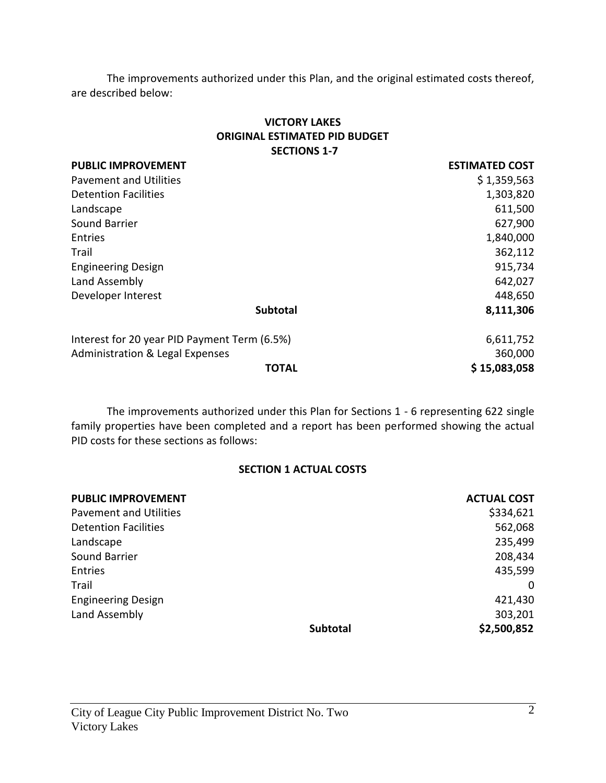The improvements authorized under this Plan, and the original estimated costs thereof, are described below:

## **VICTORY LAKES ORIGINAL ESTIMATED PID BUDGET SECTIONS 1-7**

| <b>PUBLIC IMPROVEMENT</b>                    | <b>ESTIMATED COST</b> |
|----------------------------------------------|-----------------------|
| <b>Pavement and Utilities</b>                | \$1,359,563           |
| <b>Detention Facilities</b>                  | 1,303,820             |
| Landscape                                    | 611,500               |
| Sound Barrier                                | 627,900               |
| Entries                                      | 1,840,000             |
| Trail                                        | 362,112               |
| <b>Engineering Design</b>                    | 915,734               |
| Land Assembly                                | 642,027               |
| Developer Interest                           | 448,650               |
| <b>Subtotal</b>                              | 8,111,306             |
| Interest for 20 year PID Payment Term (6.5%) | 6,611,752             |
| Administration & Legal Expenses              | 360,000               |
| <b>TOTAL</b>                                 | \$15,083,058          |
|                                              |                       |

The improvements authorized under this Plan for Sections 1 - 6 representing 622 single family properties have been completed and a report has been performed showing the actual PID costs for these sections as follows:

## **SECTION 1 ACTUAL COSTS**

| <b>PUBLIC IMPROVEMENT</b>     |                 | <b>ACTUAL COST</b> |
|-------------------------------|-----------------|--------------------|
| <b>Pavement and Utilities</b> |                 | \$334,621          |
| <b>Detention Facilities</b>   |                 | 562,068            |
| Landscape                     |                 | 235,499            |
| Sound Barrier                 |                 | 208,434            |
| Entries                       |                 | 435,599            |
| Trail                         |                 | 0                  |
| <b>Engineering Design</b>     |                 | 421,430            |
| Land Assembly                 |                 | 303,201            |
|                               | <b>Subtotal</b> | \$2,500,852        |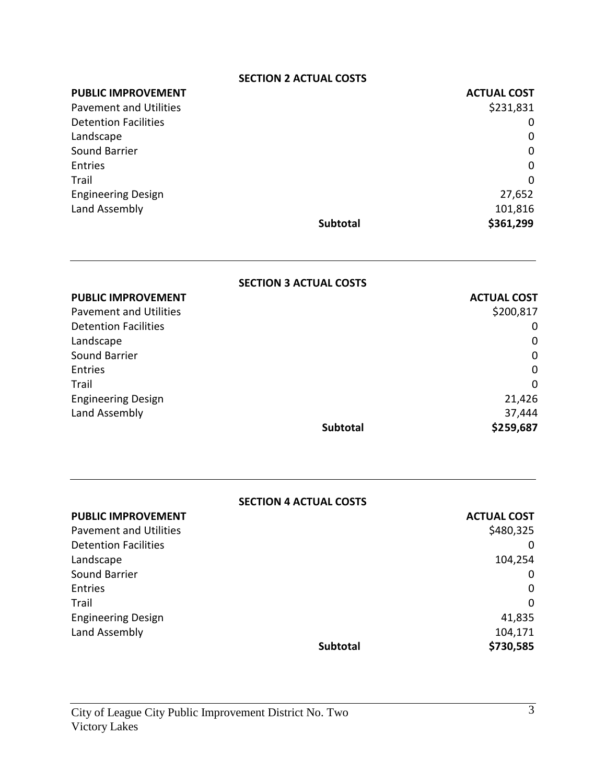### **SECTION 2 ACTUAL COSTS**

| <b>PUBLIC IMPROVEMENT</b>     | <b>ACTUAL COST</b>           |
|-------------------------------|------------------------------|
| <b>Pavement and Utilities</b> | \$231,831                    |
| <b>Detention Facilities</b>   | 0                            |
| Landscape                     | $\mathbf 0$                  |
| Sound Barrier                 | $\mathbf 0$                  |
| Entries                       | $\mathbf 0$                  |
| Trail                         | $\mathbf 0$                  |
| <b>Engineering Design</b>     | 27,652                       |
| Land Assembly                 | 101,816                      |
|                               | \$361,299<br><b>Subtotal</b> |

## **SECTION 3 ACTUAL COSTS PUBLIC IMPROVEMENT ACTUAL COST** Pavement and Utilities  $$200,817$ Detention Facilities 0 Landscape 0 Sound Barrier 0 Entries 0 Trail 0 Engineering Design 21,426 Land Assembly 37,444 **Subtotal \$259,687**

|                               | <b>SECTION 4 ACTUAL COSTS</b> |                    |
|-------------------------------|-------------------------------|--------------------|
| <b>PUBLIC IMPROVEMENT</b>     |                               | <b>ACTUAL COST</b> |
| <b>Pavement and Utilities</b> |                               | \$480,325          |
| <b>Detention Facilities</b>   |                               | 0                  |
| Landscape                     |                               | 104,254            |
| Sound Barrier                 |                               | 0                  |
| Entries                       |                               | 0                  |
| Trail                         |                               | 0                  |
| <b>Engineering Design</b>     |                               | 41,835             |
| Land Assembly                 |                               | 104,171            |
|                               | <b>Subtotal</b>               | \$730,585          |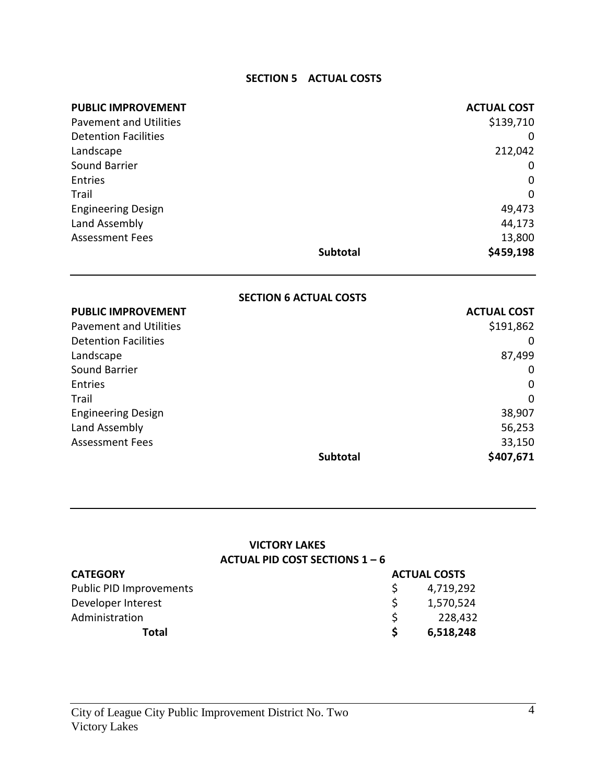# **SECTION 5 ACTUAL COSTS**

| <b>PUBLIC IMPROVEMENT</b>     |                 | <b>ACTUAL COST</b> |
|-------------------------------|-----------------|--------------------|
| <b>Pavement and Utilities</b> |                 | \$139,710          |
| <b>Detention Facilities</b>   |                 | 0                  |
| Landscape                     |                 | 212,042            |
| Sound Barrier                 |                 | 0                  |
| Entries                       |                 | 0                  |
| Trail                         |                 | 0                  |
| <b>Engineering Design</b>     |                 | 49,473             |
| Land Assembly                 |                 | 44,173             |
| <b>Assessment Fees</b>        |                 | 13,800             |
|                               | <b>Subtotal</b> | \$459,198          |

| <b>SECTION 6 ACTUAL COSTS</b> |  |  |
|-------------------------------|--|--|
|-------------------------------|--|--|

| <b>PUBLIC IMPROVEMENT</b>     | <b>ACTUAL COST</b>           |
|-------------------------------|------------------------------|
| <b>Pavement and Utilities</b> | \$191,862                    |
| <b>Detention Facilities</b>   | 0                            |
| Landscape                     | 87,499                       |
| Sound Barrier                 | 0                            |
| Entries                       | $\mathbf{0}$                 |
| Trail                         | $\mathbf 0$                  |
| <b>Engineering Design</b>     | 38,907                       |
| Land Assembly                 | 56,253                       |
| <b>Assessment Fees</b>        | 33,150                       |
|                               | \$407,671<br><b>Subtotal</b> |

## **VICTORY LAKES ACTUAL PID COST SECTIONS 1 – 6**

| <b>CATEGORY</b>         | <b>ACTUAL COSTS</b> |           |
|-------------------------|---------------------|-----------|
| Public PID Improvements |                     | 4,719,292 |
| Developer Interest      |                     | 1,570,524 |
| Administration          |                     | 228,432   |
| Total                   |                     | 6,518,248 |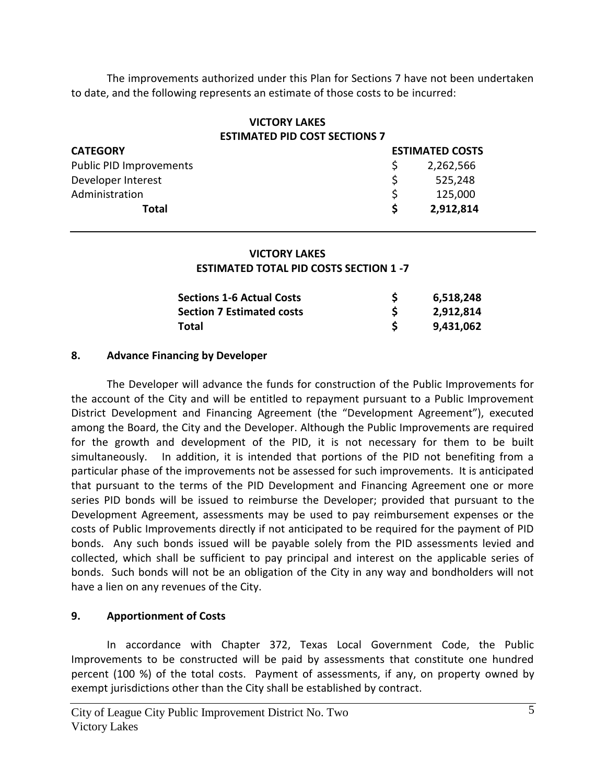The improvements authorized under this Plan for Sections 7 have not been undertaken to date, and the following represents an estimate of those costs to be incurred:

## **VICTORY LAKES ESTIMATED PID COST SECTIONS 7**

| <b>CATEGORY</b>                | <b>ESTIMATED COSTS</b> |
|--------------------------------|------------------------|
| <b>Public PID Improvements</b> | 2,262,566              |
| Developer Interest             | 525,248                |
| Administration                 | 125,000                |
| Total                          | 2,912,814              |

### **VICTORY LAKES ESTIMATED TOTAL PID COSTS SECTION 1 -7**

| <b>Sections 1-6 Actual Costs</b> | 6,518,248 |
|----------------------------------|-----------|
| <b>Section 7 Estimated costs</b> | 2,912,814 |
| Total                            | 9,431,062 |

## **8. Advance Financing by Developer**

The Developer will advance the funds for construction of the Public Improvements for the account of the City and will be entitled to repayment pursuant to a Public Improvement District Development and Financing Agreement (the "Development Agreement"), executed among the Board, the City and the Developer. Although the Public Improvements are required for the growth and development of the PID, it is not necessary for them to be built simultaneously. In addition, it is intended that portions of the PID not benefiting from a particular phase of the improvements not be assessed for such improvements. It is anticipated that pursuant to the terms of the PID Development and Financing Agreement one or more series PID bonds will be issued to reimburse the Developer; provided that pursuant to the Development Agreement, assessments may be used to pay reimbursement expenses or the costs of Public Improvements directly if not anticipated to be required for the payment of PID bonds. Any such bonds issued will be payable solely from the PID assessments levied and collected, which shall be sufficient to pay principal and interest on the applicable series of bonds. Such bonds will not be an obligation of the City in any way and bondholders will not have a lien on any revenues of the City.

## **9. Apportionment of Costs**

In accordance with Chapter 372, Texas Local Government Code, the Public Improvements to be constructed will be paid by assessments that constitute one hundred percent (100 %) of the total costs. Payment of assessments, if any, on property owned by exempt jurisdictions other than the City shall be established by contract.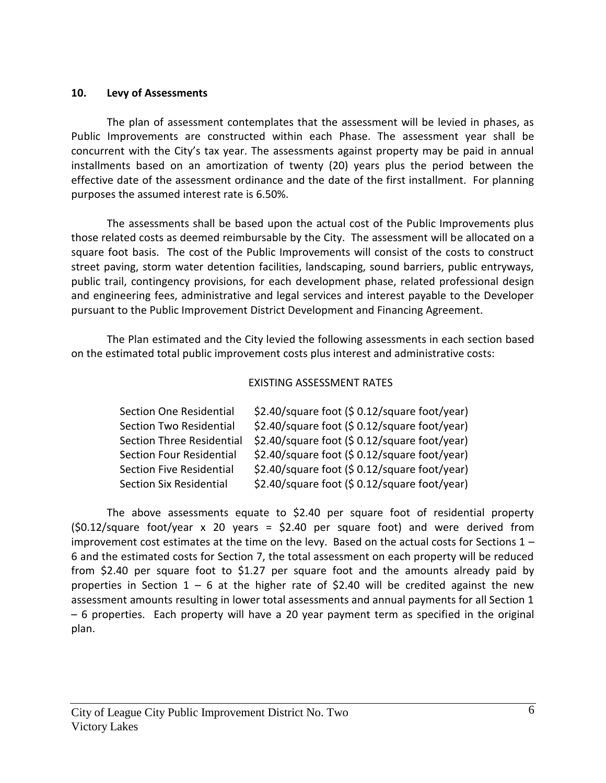## **10. Levy of Assessments**

The plan of assessment contemplates that the assessment will be levied in phases, as Public Improvements are constructed within each Phase. The assessment year shall be concurrent with the City's tax year. The assessments against property may be paid in annual installments based on an amortization of twenty (20) years plus the period between the effective date of the assessment ordinance and the date of the first installment. For planning purposes the assumed interest rate is 6.50%.

The assessments shall be based upon the actual cost of the Public Improvements plus those related costs as deemed reimbursable by the City. The assessment will be allocated on a square foot basis. The cost of the Public Improvements will consist of the costs to construct street paving, storm water detention facilities, landscaping, sound barriers, public entryways, public trail, contingency provisions, for each development phase, related professional design and engineering fees, administrative and legal services and interest payable to the Developer pursuant to the Public Improvement District Development and Financing Agreement.

The Plan estimated and the City levied the following assessments in each section based on the estimated total public improvement costs plus interest and administrative costs:

## EXISTING ASSESSMENT RATES

| Section One Residential        | \$2.40/square foot (\$0.12/square foot/year) |
|--------------------------------|----------------------------------------------|
| Section Two Residential        | \$2.40/square foot (\$0.12/square foot/year) |
| Section Three Residential      | \$2.40/square foot (\$0.12/square foot/year) |
| Section Four Residential       | \$2.40/square foot (\$0.12/square foot/year) |
| Section Five Residential       | \$2.40/square foot (\$0.12/square foot/year) |
| <b>Section Six Residential</b> | \$2.40/square foot (\$0.12/square foot/year) |

The above assessments equate to \$2.40 per square foot of residential property  $(S0.12/square$  foot/year x 20 years = \$2.40 per square foot) and were derived from improvement cost estimates at the time on the levy. Based on the actual costs for Sections 1 – 6 and the estimated costs for Section 7, the total assessment on each property will be reduced from \$2.40 per square foot to \$1.27 per square foot and the amounts already paid by properties in Section  $1 - 6$  at the higher rate of \$2.40 will be credited against the new assessment amounts resulting in lower total assessments and annual payments for all Section 1 – 6 properties. Each property will have a 20 year payment term as specified in the original plan.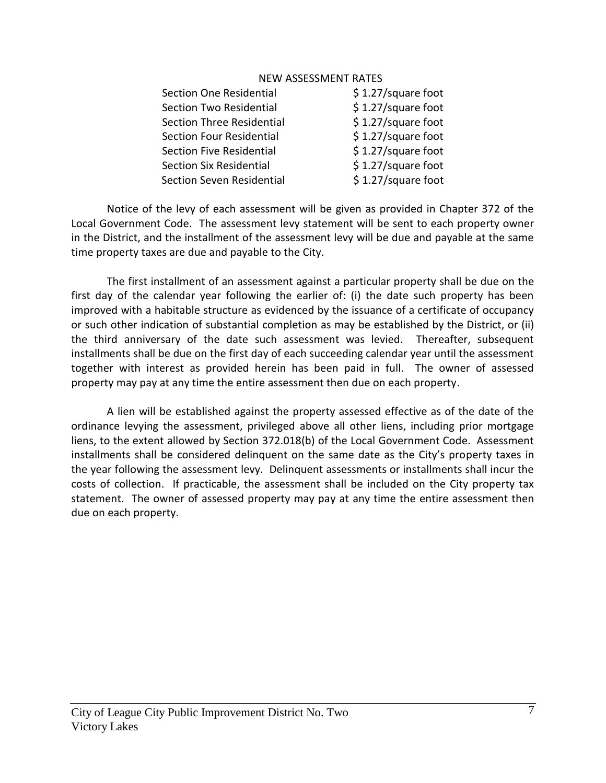### NEW ASSESSMENT RATES

| <b>Section One Residential</b>   | \$1.27/square foot  |
|----------------------------------|---------------------|
| <b>Section Two Residential</b>   | \$1.27/square foot  |
| <b>Section Three Residential</b> | $$1.27/square$ foot |
| <b>Section Four Residential</b>  | $$1.27/square$ foot |
| Section Five Residential         | \$1.27/square foot  |
| Section Six Residential          | $$1.27/square$ foot |
| <b>Section Seven Residential</b> | \$1.27/square foot  |

Notice of the levy of each assessment will be given as provided in Chapter 372 of the Local Government Code. The assessment levy statement will be sent to each property owner in the District, and the installment of the assessment levy will be due and payable at the same time property taxes are due and payable to the City.

The first installment of an assessment against a particular property shall be due on the first day of the calendar year following the earlier of: (i) the date such property has been improved with a habitable structure as evidenced by the issuance of a certificate of occupancy or such other indication of substantial completion as may be established by the District, or (ii) the third anniversary of the date such assessment was levied. Thereafter, subsequent installments shall be due on the first day of each succeeding calendar year until the assessment together with interest as provided herein has been paid in full. The owner of assessed property may pay at any time the entire assessment then due on each property.

A lien will be established against the property assessed effective as of the date of the ordinance levying the assessment, privileged above all other liens, including prior mortgage liens, to the extent allowed by Section 372.018(b) of the Local Government Code. Assessment installments shall be considered delinquent on the same date as the City's property taxes in the year following the assessment levy. Delinquent assessments or installments shall incur the costs of collection. If practicable, the assessment shall be included on the City property tax statement. The owner of assessed property may pay at any time the entire assessment then due on each property.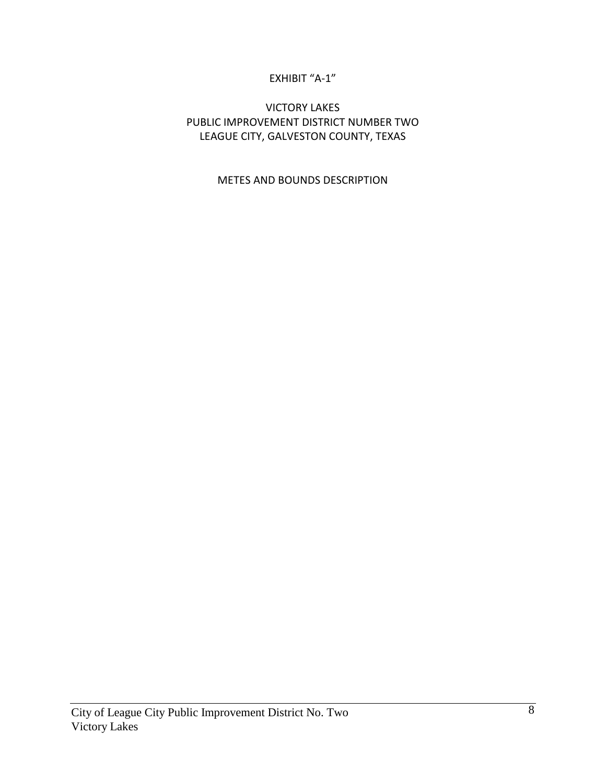## EXHIBIT "A-1"

## VICTORY LAKES PUBLIC IMPROVEMENT DISTRICT NUMBER TWO LEAGUE CITY, GALVESTON COUNTY, TEXAS

## METES AND BOUNDS DESCRIPTION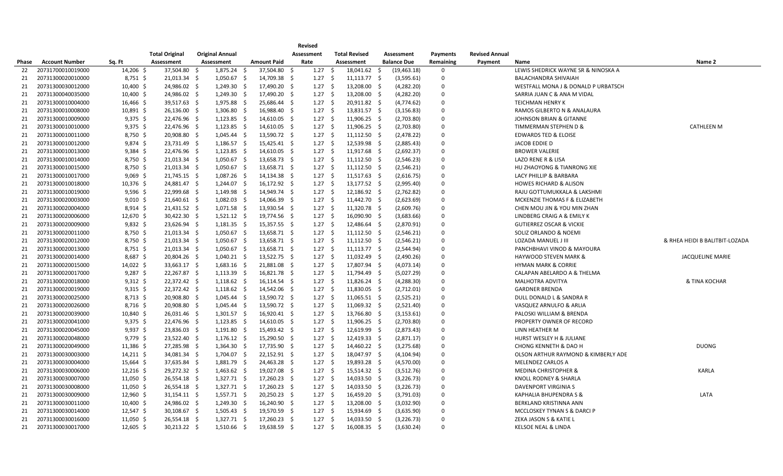| <b>Total Original</b><br><b>Original Annual</b><br><b>Total Revised</b><br><b>Revised Annual</b><br>Assessment<br>Assessment<br>Payments<br><b>Account Number</b><br>Sq. Ft<br>Assessment<br><b>Amount Paid</b><br>Rate<br>Assessment<br><b>Balance Due</b><br>Remaining<br>Name 2<br>Phase<br>Assessment<br>Payment<br>Name<br>20731700010019000<br>$14,206$ \$<br>37,504.80<br>$1,875.24$ \$<br>37,504.80<br>1.27<br>18,041.62 \$<br>(19, 463.18)<br>LEWIS SHEDRICK WAYNE SR & NINOSKA A<br>22<br>- Ś<br>- Ś<br>$\mathbf{0}$<br>-S<br>20731300020010000<br>$8,751$ \$<br>$21,013.34$ \$<br>$1,050.67$ \$<br>14,709.38 \$<br>1.27<br>- Ś<br>$11,113.77$ \$<br>(3,595.61)<br>$\Omega$<br><b>BALACHANDRA SHIVAIAH</b><br>21<br>20731300030012000<br>$10,400 \;$ \$<br>24,986.02 \$<br>$1,249.30$ \$<br>17,490.20 \$<br>1.27<br>13,208.00 \$<br>(4,282.20)<br>- Ś<br>$\Omega$<br>WESTFALL MONA J & DONALD P URBATSCH<br>21<br>13,208.00 \$<br>20731300040035000<br>$10,400$ \$<br>24,986.02 \$<br>$1,249.30$ \$<br>17,490.20 \$<br>1.27S<br>(4,282.20)<br>$\Omega$<br>SARRIA JUAN C & ANA M VIDAL<br>21<br>1,975.88 \$<br>25,686.44 \$<br>20,911.82 \$<br>20731300010004000<br>$16,466$ \$<br>39,517.63 \$<br>1.27<br>- \$<br>(4,774.62)<br>$\Omega$<br>TEICHMAN HENRY K<br>21<br>10,891 \$<br>1,306.80 \$<br>16,988.40 \$<br>$1.27 \quad$ \$<br>13,831.57 \$<br>20731300010008000<br>26,136.00 \$<br>(3, 156.83)<br>$\Omega$<br>RAMOS GILBERTO N & ANALAURA<br>21<br>$9,375$ \$<br>$1.27 \quad$ \$<br>11,906.25 \$<br>(2,703.80)<br>20731300010009000<br>22,476.96 \$<br>$1,123.85$ \$<br>14,610.05 \$<br>$\Omega$<br><b>JOHNSON BRIAN &amp; GITANNE</b><br>21<br>$9,375$ \$<br>- \$<br>20731300010010000<br>22,476.96 \$<br>$1,123.85$ \$<br>14,610.05 \$<br>1.27<br>$11,906.25$ \$<br>(2,703.80)<br>$\Omega$<br>TIMMERMAN STEPHEN D &<br><b>CATHLEEN M</b><br>21<br>20731300010011000<br>$8,750$ \$<br>20,908.80 \$<br>$1,045.44$ \$<br>13,590.72 \$<br>1.27 \$<br>$11,112.50$ \$<br>(2,478.22)<br>$\Omega$<br><b>EDWARDS TED &amp; ELOISE</b><br>21<br>20731300010012000<br>$9,874$ \$<br>23,731.49 \$<br>$1,186.57$ \$<br>15,425.41 \$<br>1.27<br>- \$<br>12,539.98 \$<br>(2,885.43)<br>$\Omega$<br>JACOB EDDIE D<br>21<br>20731300010013000<br>$9,384$ \$<br>22,476.96 \$<br>$1,123.85$ \$<br>$14,610.05$ \$<br>1.27 \$<br>$11,917.68$ \$<br>(2,692.37)<br><b>BROWER VALERIE</b><br>21<br>$\Omega$<br>13,658.73 \$<br>20731300010014000<br>$8,750$ \$<br>$21,013.34$ \$<br>$1,050.67$ \$<br>$1.27 \quad$ \$<br>$11,112.50$ \$<br>(2,546.23)<br>LAZO RENE R & LISA<br>$\Omega$<br>21<br>20731300010015000<br>$8,750$ \$<br>$21,013.34$ \$<br>$1,050.67$ \$<br>13,658.71 \$<br>1.27 \$<br>$11,112.50$ \$<br>(2,546.21)<br>HU ZHAOYONG & TIANRONG XIE<br>21<br>$\Omega$<br>20731300010017000<br>9,069<br>$21,745.15$ \$<br>$1,087.26$ \$<br>14,134.38 \$<br>$1.27 \quad$ \$<br>$11,517.63$ \$<br>(2,616.75)<br>$\Omega$<br>LACY PHILLIP & BARBARA<br>21<br>-Ś<br>16,172.92 \$<br>20731300010018000<br>$10,376$ \$<br>24,881.47 \$<br>$1,244.07$ \$<br>1.27<br>- \$<br>$13,177.52 \quad$ \$<br>(2,995.40)<br>$\Omega$<br><b>HOWES RICHARD &amp; ALISON</b><br>21<br>20731300010019000<br>$9,596$ \$<br>22,999.68 \$<br>$1,149.98$ \$<br>14,949.74 \$<br>1.27 \$<br>$12,186.92 \quad$ \$<br>(2,762.82)<br>$\Omega$<br>21<br>RAJU GOTTUMUKKALA & LAKSHMI<br>$1,082.03$ \$<br>14,066.39 \$<br>1.27 \$<br>11,442.70 \$<br>(2,623.69)<br>21<br>20731300020003000<br>$9,010$ \$<br>21,640.61 \$<br>$\Omega$<br>MCKENZIE THOMAS F & ELIZABETH<br>13,930.54 \$<br>$1.27 \quad$ \$<br>$11,320.78$ \$<br>(2,609.76)<br>20731300020004000<br>$8,914$ \$<br>21,431.52 \$<br>$1,071.58$ \$<br>$\Omega$<br>CHEN MOU JIN & YOU MIN ZHAN<br>21<br>20731300020006000<br>12,670 \$<br>30,422.30 \$<br>$1,521.12 \quad$ \$<br>19,774.56 \$<br>1.27<br>- Ś<br>16,090.90 \$<br>(3,683.66)<br>21<br>$\Omega$<br>LINDBERG CRAIG A & EMILY K<br>15,357.55 \$<br>20731300020009000<br>$9,832$ \$<br>23,626.94 \$<br>$1,181.35$ \$<br>$1.27 \quad$ \$<br>12,486.64 \$<br>(2,870.91)<br><b>GUTIERREZ OSCAR &amp; VICKIE</b><br>21<br>$\Omega$<br>20731300020011000<br>$8,750$ \$<br>$21,013.34$ \$<br>$1,050.67$ \$<br>13,658.71 \$<br>1.27<br>$11,112.50$ \$<br>(2,546.21)<br>SOLIZ ORLANDO & NOEMI<br>- Ś<br>$\Omega$<br>21<br>$8,750$ \$<br>$1,050.67$ \$<br>13,658.71 \$<br>$11,112.50$ \$<br>20731300020012000<br>$21,013.34$ \$<br>$1.27 \quad$ \$<br>(2,546.21)<br>$\Omega$<br>LOZADA MANUEL J III<br>& RHEA HEIDI B BALITBIT-LOZADA<br>21<br>$21,013.34$ \$<br>$1,050.67$ \$<br>13,658.71 \$<br>$1.27 \quad$ \$<br>20731300020013000<br>$8,751$ \$<br>$11,113.77$ \$<br>(2,544.94)<br>$\Omega$<br>PANCHBHAVI VINOD & MAYOURA<br>21<br>8,687 \$<br>$1,040.21$ \$<br>13,522.75 \$<br>$1.27 \quad$ \$<br>11,032.49 \$<br>20731300020014000<br>20,804.26 \$<br>(2,490.26)<br>$\Omega$<br><b>HAYWOOD STEVEN MARK &amp;</b><br><b>JACQUELINE MARIE</b><br>21<br>20731300020015000<br>$14,022 \;$ \$<br>33,663.17 \$<br>$1,683.16$ \$<br>21,881.08 \$<br>$1.27 \quad$ \$<br>17,807.94 \$<br>(4,073.14)<br>$\Omega$<br>21<br><b>HYMAN MARK &amp; CORRIE</b><br>$9,287$ \$<br>20731300020017000<br>22,267.87 \$<br>$1,113.39$ \$<br>16,821.78 \$<br>1.27<br>- \$<br>11,794.49 \$<br>(5,027.29)<br>$\Omega$<br>CALAPAN ABELARDO A & THELMA<br>21<br>22,372.42 \$<br>11,826.24 \$<br>20731300020018000<br>$9,312 \quad $$<br>$1,118.62 \quad$ \$<br>$16,114.54$ \$<br>$1.27 \quad$ \$<br>(4,288.30)<br>$\Omega$<br>MALHOTRA ADVITYA<br>& TINA KOCHAR<br>21<br>20731300020019000<br>22,372.42 \$<br>$1,118.62$ \$<br>14,542.06 \$<br>11,830.05 \$<br>$9,315$ \$<br>1.27<br>- Ś<br>(2,712.01)<br>$\Omega$<br><b>GARDNER BRENDA</b><br>21<br>20,908.80 \$<br>13,590.72 \$<br>(2,525.21)<br>20731300020025000<br>$8,713$ \$<br>$1,045.44$ \$<br>1.27 \$<br>$11,065.51$ \$<br>$\Omega$<br>21<br>DULL DONALD L & SANDRA R<br>20731300020026000<br>$8,716$ \$<br>20,908.80 \$<br>$1,045.44$ \$<br>13,590.72 \$<br>$1.27 \quad$ \$<br>$11,069.32$ \$<br>(2,521.40)<br>VASQUEZ ARNULFO & ARLIA<br>$\Omega$<br>21<br>20731300020039000<br>$10,840$ \$<br>26,031.46 \$<br>$1,301.57$ \$<br>16,920.41 \$<br>$1.27 \quad$ \$<br>13,766.80 \$<br>(3, 153.61)<br>21<br>$\Omega$<br>PALOSKI WILLIAM & BRENDA<br>20731300020041000<br>$9,375$ \$<br>22,476.96 \$<br>$1,123.85$ \$<br>$14,610.05$ \$<br>1.27<br>- \$<br>$11,906.25$ \$<br>(2,703.80)<br>$\mathbf 0$<br>PROPERTY OWNER OF RECORD<br>21<br>$9,937$ \$<br>15,493.42 \$<br>20731300020045000<br>23,836.03 \$<br>$1,191.80$ \$<br>1.27<br>- \$<br>$12,619.99$ \$<br>(2,873.43)<br>$\Omega$<br>LINN HEATHER M<br>21<br>20731300020048000<br>$9,779$ \$<br>23,522.40 \$<br>$1,176.12 \quad$ \$<br>15,290.50 \$<br>1.27 \$<br>$12,419.33$ \$<br>(2,871.17)<br>21<br>$\Omega$<br>HURST WESLEY H & JULIANE<br>20731300020049000<br>$11,386$ \$<br>27,285.98 \$<br>$1,364.30\quad$ \$<br>17,735.90 \$<br>1.27<br>\$<br>14,460.22 \$<br>(3,275.68)<br>21<br>$\Omega$<br><b>CHONG KENNETH &amp; DAO H</b><br><b>DUONG</b><br>20731300030003000<br>34,081.34 \$<br>$22,152.91$ \$<br>1.27 \$<br>18,047.97 \$<br>21<br>$14,211 \;$ \$<br>1,704.07 \$<br>(4, 104.94)<br>$\Omega$<br>OLSON ARTHUR RAYMOND & KIMBERLY ADE<br>20731300030004000<br>$15,664$ \$<br>37,635.84 \$<br>$1,881.79$ \$<br>24,463.28 \$<br>1.27<br>- \$<br>19,893.28 \$<br>(4,570.00)<br>$\Omega$<br>MELENDEZ CARLOS A<br>21<br>19,027.08 \$<br>20731300030006000<br>$12,216$ \$<br>29,272.32 \$<br>$1,463.62$ \$<br>$1.27 \quad$ \$<br>$15,514.32$ \$<br>(3,512.76)<br><b>MEDINA CHRISTOPHER &amp;</b><br><b>KARLA</b><br>$\Omega$<br>21<br>20731300030007000<br>$11,050$ \$<br>26,554.18 \$<br>$1,327.71$ \$<br>17,260.23 \$<br>1.27<br>$14,033.50$ \$<br>KNOLL RODNEY & SHARLA<br>- \$<br>(3,226.73)<br>$\Omega$<br>21<br>20731300030008000<br>$11,050 \text{ }$<br>26,554.18 \$<br>$1,327.71$ \$<br>17,260.23 \$<br>$1.27 \quad$ \$<br>14,033.50 \$<br>(3,226.73)<br>DAVENPORT VIRGINIA S<br>$\Omega$<br>21<br>20731300030009000<br>12,960 \$<br>$1,557.71$ \$<br>20,250.23 \$<br>$1.27 \quad$ \$<br>16,459.20 \$<br>(3,791.03)<br>LATA<br>$31,154.11$ \$<br>$\Omega$<br>KAPHALIA BHUPENDRA S &<br>21<br>$10,400$ \$<br>1,249.30 \$<br>16,240.90 \$<br>$1.27 \quad$ \$<br>13,208.00 \$<br>21<br>20731300030011000<br>24,986.02 \$<br>(3,032.90)<br>$\Omega$<br>BERKLAND KRISTINNA ANN<br>20731300030014000<br>$12,547$ \$<br>30,108.67 \$<br>$1,505.43$ \$<br>19,570.59 \$<br>$1.27 \quad$ \$<br>15,934.69 \$<br>(3,635.90)<br>MCCLOSKEY TYNAN S & DARCI P<br>21<br>$\Omega$<br>20731300030016000<br>$11,050 \text{ }$<br>26,554.18 \$<br>$1,327.71$ \$<br>17,260.23 \$<br>1.27<br>- \$<br>$14,033.50$ \$<br>(3,226.73)<br>ZEKA JASON S & KATIE L<br>21<br>$\Omega$<br>12,605<br>30,213.22 \$<br>1,510.66 \$<br>19,638.59 \$<br>$1.27 \quad$ \$<br>16,008.35 \$<br>(3,630.24)<br>21<br>20731300030017000<br>Ŝ.<br><b>KELSOE NEAL &amp; LINDA</b> |  |  |  |  | Revised |  |  |  |  |
|---------------------------------------------------------------------------------------------------------------------------------------------------------------------------------------------------------------------------------------------------------------------------------------------------------------------------------------------------------------------------------------------------------------------------------------------------------------------------------------------------------------------------------------------------------------------------------------------------------------------------------------------------------------------------------------------------------------------------------------------------------------------------------------------------------------------------------------------------------------------------------------------------------------------------------------------------------------------------------------------------------------------------------------------------------------------------------------------------------------------------------------------------------------------------------------------------------------------------------------------------------------------------------------------------------------------------------------------------------------------------------------------------------------------------------------------------------------------------------------------------------------------------------------------------------------------------------------------------------------------------------------------------------------------------------------------------------------------------------------------------------------------------------------------------------------------------------------------------------------------------------------------------------------------------------------------------------------------------------------------------------------------------------------------------------------------------------------------------------------------------------------------------------------------------------------------------------------------------------------------------------------------------------------------------------------------------------------------------------------------------------------------------------------------------------------------------------------------------------------------------------------------------------------------------------------------------------------------------------------------------------------------------------------------------------------------------------------------------------------------------------------------------------------------------------------------------------------------------------------------------------------------------------------------------------------------------------------------------------------------------------------------------------------------------------------------------------------------------------------------------------------------------------------------------------------------------------------------------------------------------------------------------------------------------------------------------------------------------------------------------------------------------------------------------------------------------------------------------------------------------------------------------------------------------------------------------------------------------------------------------------------------------------------------------------------------------------------------------------------------------------------------------------------------------------------------------------------------------------------------------------------------------------------------------------------------------------------------------------------------------------------------------------------------------------------------------------------------------------------------------------------------------------------------------------------------------------------------------------------------------------------------------------------------------------------------------------------------------------------------------------------------------------------------------------------------------------------------------------------------------------------------------------------------------------------------------------------------------------------------------------------------------------------------------------------------------------------------------------------------------------------------------------------------------------------------------------------------------------------------------------------------------------------------------------------------------------------------------------------------------------------------------------------------------------------------------------------------------------------------------------------------------------------------------------------------------------------------------------------------------------------------------------------------------------------------------------------------------------------------------------------------------------------------------------------------------------------------------------------------------------------------------------------------------------------------------------------------------------------------------------------------------------------------------------------------------------------------------------------------------------------------------------------------------------------------------------------------------------------------------------------------------------------------------------------------------------------------------------------------------------------------------------------------------------------------------------------------------------------------------------------------------------------------------------------------------------------------------------------------------------------------------------------------------------------------------------------------------------------------------------------------------------------------------------------------------------------------------------------------------------------------------------------------------------------------------------------------------------------------------------------------------------------------------------------------------------------------------------------------------------------------------------------------------------------------------------------------------------------------------------------------------------------------------------------------------------------------------------------------------------------------------------------------------------------------------------------------------------------------------------------------------------------------------------------------------------------------------------------------------------------------------------------------------------------------------------------------------------------------------------------------------------------------------------------------------------------------------------------------------------------------------------------------------------------------------------------------------------------------------------------------------------------------------------------------------------------------------------------------------------------------------------------------------------------------------------------------------------------------------------------------------------------------------------------------------------------------------------------------------------------------------------------------------------------------------------------------------------------------------------------------------------------------------------------------------------------------------------------------------------------------------------------------------------------------------------------------------------------------------------------------------------------------------------------------------------------------------------------------------------------------------------------------------------------------------------------------------------------------------------------------------------------------------------------------------------------------------------------------------------------------------------------------------------------------------------------------------------------------------------------------------------------------------|--|--|--|--|---------|--|--|--|--|
|                                                                                                                                                                                                                                                                                                                                                                                                                                                                                                                                                                                                                                                                                                                                                                                                                                                                                                                                                                                                                                                                                                                                                                                                                                                                                                                                                                                                                                                                                                                                                                                                                                                                                                                                                                                                                                                                                                                                                                                                                                                                                                                                                                                                                                                                                                                                                                                                                                                                                                                                                                                                                                                                                                                                                                                                                                                                                                                                                                                                                                                                                                                                                                                                                                                                                                                                                                                                                                                                                                                                                                                                                                                                                                                                                                                                                                                                                                                                                                                                                                                                                                                                                                                                                                                                                                                                                                                                                                                                                                                                                                                                                                                                                                                                                                                                                                                                                                                                                                                                                                                                                                                                                                                                                                                                                                                                                                                                                                                                                                                                                                                                                                                                                                                                                                                                                                                                                                                                                                                                                                                                                                                                                                                                                                                                                                                                                                                                                                                                                                                                                                                                                                                                                                                                                                                                                                                                                                                                                                                                                                                                                                                                                                                                                                                                                                                                                                                                                                                                                                                                                                                                                                                                                                                                                                                                                                                                                                                                                                                                                                                                                                                                                                                                                                                                                                                                                                                                                                                                                                                                                                                                                                                                                                                                                                                                                                                                                                                           |  |  |  |  |         |  |  |  |  |
|                                                                                                                                                                                                                                                                                                                                                                                                                                                                                                                                                                                                                                                                                                                                                                                                                                                                                                                                                                                                                                                                                                                                                                                                                                                                                                                                                                                                                                                                                                                                                                                                                                                                                                                                                                                                                                                                                                                                                                                                                                                                                                                                                                                                                                                                                                                                                                                                                                                                                                                                                                                                                                                                                                                                                                                                                                                                                                                                                                                                                                                                                                                                                                                                                                                                                                                                                                                                                                                                                                                                                                                                                                                                                                                                                                                                                                                                                                                                                                                                                                                                                                                                                                                                                                                                                                                                                                                                                                                                                                                                                                                                                                                                                                                                                                                                                                                                                                                                                                                                                                                                                                                                                                                                                                                                                                                                                                                                                                                                                                                                                                                                                                                                                                                                                                                                                                                                                                                                                                                                                                                                                                                                                                                                                                                                                                                                                                                                                                                                                                                                                                                                                                                                                                                                                                                                                                                                                                                                                                                                                                                                                                                                                                                                                                                                                                                                                                                                                                                                                                                                                                                                                                                                                                                                                                                                                                                                                                                                                                                                                                                                                                                                                                                                                                                                                                                                                                                                                                                                                                                                                                                                                                                                                                                                                                                                                                                                                                                           |  |  |  |  |         |  |  |  |  |
|                                                                                                                                                                                                                                                                                                                                                                                                                                                                                                                                                                                                                                                                                                                                                                                                                                                                                                                                                                                                                                                                                                                                                                                                                                                                                                                                                                                                                                                                                                                                                                                                                                                                                                                                                                                                                                                                                                                                                                                                                                                                                                                                                                                                                                                                                                                                                                                                                                                                                                                                                                                                                                                                                                                                                                                                                                                                                                                                                                                                                                                                                                                                                                                                                                                                                                                                                                                                                                                                                                                                                                                                                                                                                                                                                                                                                                                                                                                                                                                                                                                                                                                                                                                                                                                                                                                                                                                                                                                                                                                                                                                                                                                                                                                                                                                                                                                                                                                                                                                                                                                                                                                                                                                                                                                                                                                                                                                                                                                                                                                                                                                                                                                                                                                                                                                                                                                                                                                                                                                                                                                                                                                                                                                                                                                                                                                                                                                                                                                                                                                                                                                                                                                                                                                                                                                                                                                                                                                                                                                                                                                                                                                                                                                                                                                                                                                                                                                                                                                                                                                                                                                                                                                                                                                                                                                                                                                                                                                                                                                                                                                                                                                                                                                                                                                                                                                                                                                                                                                                                                                                                                                                                                                                                                                                                                                                                                                                                                                           |  |  |  |  |         |  |  |  |  |
|                                                                                                                                                                                                                                                                                                                                                                                                                                                                                                                                                                                                                                                                                                                                                                                                                                                                                                                                                                                                                                                                                                                                                                                                                                                                                                                                                                                                                                                                                                                                                                                                                                                                                                                                                                                                                                                                                                                                                                                                                                                                                                                                                                                                                                                                                                                                                                                                                                                                                                                                                                                                                                                                                                                                                                                                                                                                                                                                                                                                                                                                                                                                                                                                                                                                                                                                                                                                                                                                                                                                                                                                                                                                                                                                                                                                                                                                                                                                                                                                                                                                                                                                                                                                                                                                                                                                                                                                                                                                                                                                                                                                                                                                                                                                                                                                                                                                                                                                                                                                                                                                                                                                                                                                                                                                                                                                                                                                                                                                                                                                                                                                                                                                                                                                                                                                                                                                                                                                                                                                                                                                                                                                                                                                                                                                                                                                                                                                                                                                                                                                                                                                                                                                                                                                                                                                                                                                                                                                                                                                                                                                                                                                                                                                                                                                                                                                                                                                                                                                                                                                                                                                                                                                                                                                                                                                                                                                                                                                                                                                                                                                                                                                                                                                                                                                                                                                                                                                                                                                                                                                                                                                                                                                                                                                                                                                                                                                                                                           |  |  |  |  |         |  |  |  |  |
|                                                                                                                                                                                                                                                                                                                                                                                                                                                                                                                                                                                                                                                                                                                                                                                                                                                                                                                                                                                                                                                                                                                                                                                                                                                                                                                                                                                                                                                                                                                                                                                                                                                                                                                                                                                                                                                                                                                                                                                                                                                                                                                                                                                                                                                                                                                                                                                                                                                                                                                                                                                                                                                                                                                                                                                                                                                                                                                                                                                                                                                                                                                                                                                                                                                                                                                                                                                                                                                                                                                                                                                                                                                                                                                                                                                                                                                                                                                                                                                                                                                                                                                                                                                                                                                                                                                                                                                                                                                                                                                                                                                                                                                                                                                                                                                                                                                                                                                                                                                                                                                                                                                                                                                                                                                                                                                                                                                                                                                                                                                                                                                                                                                                                                                                                                                                                                                                                                                                                                                                                                                                                                                                                                                                                                                                                                                                                                                                                                                                                                                                                                                                                                                                                                                                                                                                                                                                                                                                                                                                                                                                                                                                                                                                                                                                                                                                                                                                                                                                                                                                                                                                                                                                                                                                                                                                                                                                                                                                                                                                                                                                                                                                                                                                                                                                                                                                                                                                                                                                                                                                                                                                                                                                                                                                                                                                                                                                                                                           |  |  |  |  |         |  |  |  |  |
|                                                                                                                                                                                                                                                                                                                                                                                                                                                                                                                                                                                                                                                                                                                                                                                                                                                                                                                                                                                                                                                                                                                                                                                                                                                                                                                                                                                                                                                                                                                                                                                                                                                                                                                                                                                                                                                                                                                                                                                                                                                                                                                                                                                                                                                                                                                                                                                                                                                                                                                                                                                                                                                                                                                                                                                                                                                                                                                                                                                                                                                                                                                                                                                                                                                                                                                                                                                                                                                                                                                                                                                                                                                                                                                                                                                                                                                                                                                                                                                                                                                                                                                                                                                                                                                                                                                                                                                                                                                                                                                                                                                                                                                                                                                                                                                                                                                                                                                                                                                                                                                                                                                                                                                                                                                                                                                                                                                                                                                                                                                                                                                                                                                                                                                                                                                                                                                                                                                                                                                                                                                                                                                                                                                                                                                                                                                                                                                                                                                                                                                                                                                                                                                                                                                                                                                                                                                                                                                                                                                                                                                                                                                                                                                                                                                                                                                                                                                                                                                                                                                                                                                                                                                                                                                                                                                                                                                                                                                                                                                                                                                                                                                                                                                                                                                                                                                                                                                                                                                                                                                                                                                                                                                                                                                                                                                                                                                                                                                           |  |  |  |  |         |  |  |  |  |
|                                                                                                                                                                                                                                                                                                                                                                                                                                                                                                                                                                                                                                                                                                                                                                                                                                                                                                                                                                                                                                                                                                                                                                                                                                                                                                                                                                                                                                                                                                                                                                                                                                                                                                                                                                                                                                                                                                                                                                                                                                                                                                                                                                                                                                                                                                                                                                                                                                                                                                                                                                                                                                                                                                                                                                                                                                                                                                                                                                                                                                                                                                                                                                                                                                                                                                                                                                                                                                                                                                                                                                                                                                                                                                                                                                                                                                                                                                                                                                                                                                                                                                                                                                                                                                                                                                                                                                                                                                                                                                                                                                                                                                                                                                                                                                                                                                                                                                                                                                                                                                                                                                                                                                                                                                                                                                                                                                                                                                                                                                                                                                                                                                                                                                                                                                                                                                                                                                                                                                                                                                                                                                                                                                                                                                                                                                                                                                                                                                                                                                                                                                                                                                                                                                                                                                                                                                                                                                                                                                                                                                                                                                                                                                                                                                                                                                                                                                                                                                                                                                                                                                                                                                                                                                                                                                                                                                                                                                                                                                                                                                                                                                                                                                                                                                                                                                                                                                                                                                                                                                                                                                                                                                                                                                                                                                                                                                                                                                                           |  |  |  |  |         |  |  |  |  |
|                                                                                                                                                                                                                                                                                                                                                                                                                                                                                                                                                                                                                                                                                                                                                                                                                                                                                                                                                                                                                                                                                                                                                                                                                                                                                                                                                                                                                                                                                                                                                                                                                                                                                                                                                                                                                                                                                                                                                                                                                                                                                                                                                                                                                                                                                                                                                                                                                                                                                                                                                                                                                                                                                                                                                                                                                                                                                                                                                                                                                                                                                                                                                                                                                                                                                                                                                                                                                                                                                                                                                                                                                                                                                                                                                                                                                                                                                                                                                                                                                                                                                                                                                                                                                                                                                                                                                                                                                                                                                                                                                                                                                                                                                                                                                                                                                                                                                                                                                                                                                                                                                                                                                                                                                                                                                                                                                                                                                                                                                                                                                                                                                                                                                                                                                                                                                                                                                                                                                                                                                                                                                                                                                                                                                                                                                                                                                                                                                                                                                                                                                                                                                                                                                                                                                                                                                                                                                                                                                                                                                                                                                                                                                                                                                                                                                                                                                                                                                                                                                                                                                                                                                                                                                                                                                                                                                                                                                                                                                                                                                                                                                                                                                                                                                                                                                                                                                                                                                                                                                                                                                                                                                                                                                                                                                                                                                                                                                                                           |  |  |  |  |         |  |  |  |  |
|                                                                                                                                                                                                                                                                                                                                                                                                                                                                                                                                                                                                                                                                                                                                                                                                                                                                                                                                                                                                                                                                                                                                                                                                                                                                                                                                                                                                                                                                                                                                                                                                                                                                                                                                                                                                                                                                                                                                                                                                                                                                                                                                                                                                                                                                                                                                                                                                                                                                                                                                                                                                                                                                                                                                                                                                                                                                                                                                                                                                                                                                                                                                                                                                                                                                                                                                                                                                                                                                                                                                                                                                                                                                                                                                                                                                                                                                                                                                                                                                                                                                                                                                                                                                                                                                                                                                                                                                                                                                                                                                                                                                                                                                                                                                                                                                                                                                                                                                                                                                                                                                                                                                                                                                                                                                                                                                                                                                                                                                                                                                                                                                                                                                                                                                                                                                                                                                                                                                                                                                                                                                                                                                                                                                                                                                                                                                                                                                                                                                                                                                                                                                                                                                                                                                                                                                                                                                                                                                                                                                                                                                                                                                                                                                                                                                                                                                                                                                                                                                                                                                                                                                                                                                                                                                                                                                                                                                                                                                                                                                                                                                                                                                                                                                                                                                                                                                                                                                                                                                                                                                                                                                                                                                                                                                                                                                                                                                                                                           |  |  |  |  |         |  |  |  |  |
|                                                                                                                                                                                                                                                                                                                                                                                                                                                                                                                                                                                                                                                                                                                                                                                                                                                                                                                                                                                                                                                                                                                                                                                                                                                                                                                                                                                                                                                                                                                                                                                                                                                                                                                                                                                                                                                                                                                                                                                                                                                                                                                                                                                                                                                                                                                                                                                                                                                                                                                                                                                                                                                                                                                                                                                                                                                                                                                                                                                                                                                                                                                                                                                                                                                                                                                                                                                                                                                                                                                                                                                                                                                                                                                                                                                                                                                                                                                                                                                                                                                                                                                                                                                                                                                                                                                                                                                                                                                                                                                                                                                                                                                                                                                                                                                                                                                                                                                                                                                                                                                                                                                                                                                                                                                                                                                                                                                                                                                                                                                                                                                                                                                                                                                                                                                                                                                                                                                                                                                                                                                                                                                                                                                                                                                                                                                                                                                                                                                                                                                                                                                                                                                                                                                                                                                                                                                                                                                                                                                                                                                                                                                                                                                                                                                                                                                                                                                                                                                                                                                                                                                                                                                                                                                                                                                                                                                                                                                                                                                                                                                                                                                                                                                                                                                                                                                                                                                                                                                                                                                                                                                                                                                                                                                                                                                                                                                                                                                           |  |  |  |  |         |  |  |  |  |
|                                                                                                                                                                                                                                                                                                                                                                                                                                                                                                                                                                                                                                                                                                                                                                                                                                                                                                                                                                                                                                                                                                                                                                                                                                                                                                                                                                                                                                                                                                                                                                                                                                                                                                                                                                                                                                                                                                                                                                                                                                                                                                                                                                                                                                                                                                                                                                                                                                                                                                                                                                                                                                                                                                                                                                                                                                                                                                                                                                                                                                                                                                                                                                                                                                                                                                                                                                                                                                                                                                                                                                                                                                                                                                                                                                                                                                                                                                                                                                                                                                                                                                                                                                                                                                                                                                                                                                                                                                                                                                                                                                                                                                                                                                                                                                                                                                                                                                                                                                                                                                                                                                                                                                                                                                                                                                                                                                                                                                                                                                                                                                                                                                                                                                                                                                                                                                                                                                                                                                                                                                                                                                                                                                                                                                                                                                                                                                                                                                                                                                                                                                                                                                                                                                                                                                                                                                                                                                                                                                                                                                                                                                                                                                                                                                                                                                                                                                                                                                                                                                                                                                                                                                                                                                                                                                                                                                                                                                                                                                                                                                                                                                                                                                                                                                                                                                                                                                                                                                                                                                                                                                                                                                                                                                                                                                                                                                                                                                                           |  |  |  |  |         |  |  |  |  |
|                                                                                                                                                                                                                                                                                                                                                                                                                                                                                                                                                                                                                                                                                                                                                                                                                                                                                                                                                                                                                                                                                                                                                                                                                                                                                                                                                                                                                                                                                                                                                                                                                                                                                                                                                                                                                                                                                                                                                                                                                                                                                                                                                                                                                                                                                                                                                                                                                                                                                                                                                                                                                                                                                                                                                                                                                                                                                                                                                                                                                                                                                                                                                                                                                                                                                                                                                                                                                                                                                                                                                                                                                                                                                                                                                                                                                                                                                                                                                                                                                                                                                                                                                                                                                                                                                                                                                                                                                                                                                                                                                                                                                                                                                                                                                                                                                                                                                                                                                                                                                                                                                                                                                                                                                                                                                                                                                                                                                                                                                                                                                                                                                                                                                                                                                                                                                                                                                                                                                                                                                                                                                                                                                                                                                                                                                                                                                                                                                                                                                                                                                                                                                                                                                                                                                                                                                                                                                                                                                                                                                                                                                                                                                                                                                                                                                                                                                                                                                                                                                                                                                                                                                                                                                                                                                                                                                                                                                                                                                                                                                                                                                                                                                                                                                                                                                                                                                                                                                                                                                                                                                                                                                                                                                                                                                                                                                                                                                                                           |  |  |  |  |         |  |  |  |  |
|                                                                                                                                                                                                                                                                                                                                                                                                                                                                                                                                                                                                                                                                                                                                                                                                                                                                                                                                                                                                                                                                                                                                                                                                                                                                                                                                                                                                                                                                                                                                                                                                                                                                                                                                                                                                                                                                                                                                                                                                                                                                                                                                                                                                                                                                                                                                                                                                                                                                                                                                                                                                                                                                                                                                                                                                                                                                                                                                                                                                                                                                                                                                                                                                                                                                                                                                                                                                                                                                                                                                                                                                                                                                                                                                                                                                                                                                                                                                                                                                                                                                                                                                                                                                                                                                                                                                                                                                                                                                                                                                                                                                                                                                                                                                                                                                                                                                                                                                                                                                                                                                                                                                                                                                                                                                                                                                                                                                                                                                                                                                                                                                                                                                                                                                                                                                                                                                                                                                                                                                                                                                                                                                                                                                                                                                                                                                                                                                                                                                                                                                                                                                                                                                                                                                                                                                                                                                                                                                                                                                                                                                                                                                                                                                                                                                                                                                                                                                                                                                                                                                                                                                                                                                                                                                                                                                                                                                                                                                                                                                                                                                                                                                                                                                                                                                                                                                                                                                                                                                                                                                                                                                                                                                                                                                                                                                                                                                                                                           |  |  |  |  |         |  |  |  |  |
|                                                                                                                                                                                                                                                                                                                                                                                                                                                                                                                                                                                                                                                                                                                                                                                                                                                                                                                                                                                                                                                                                                                                                                                                                                                                                                                                                                                                                                                                                                                                                                                                                                                                                                                                                                                                                                                                                                                                                                                                                                                                                                                                                                                                                                                                                                                                                                                                                                                                                                                                                                                                                                                                                                                                                                                                                                                                                                                                                                                                                                                                                                                                                                                                                                                                                                                                                                                                                                                                                                                                                                                                                                                                                                                                                                                                                                                                                                                                                                                                                                                                                                                                                                                                                                                                                                                                                                                                                                                                                                                                                                                                                                                                                                                                                                                                                                                                                                                                                                                                                                                                                                                                                                                                                                                                                                                                                                                                                                                                                                                                                                                                                                                                                                                                                                                                                                                                                                                                                                                                                                                                                                                                                                                                                                                                                                                                                                                                                                                                                                                                                                                                                                                                                                                                                                                                                                                                                                                                                                                                                                                                                                                                                                                                                                                                                                                                                                                                                                                                                                                                                                                                                                                                                                                                                                                                                                                                                                                                                                                                                                                                                                                                                                                                                                                                                                                                                                                                                                                                                                                                                                                                                                                                                                                                                                                                                                                                                                                           |  |  |  |  |         |  |  |  |  |
|                                                                                                                                                                                                                                                                                                                                                                                                                                                                                                                                                                                                                                                                                                                                                                                                                                                                                                                                                                                                                                                                                                                                                                                                                                                                                                                                                                                                                                                                                                                                                                                                                                                                                                                                                                                                                                                                                                                                                                                                                                                                                                                                                                                                                                                                                                                                                                                                                                                                                                                                                                                                                                                                                                                                                                                                                                                                                                                                                                                                                                                                                                                                                                                                                                                                                                                                                                                                                                                                                                                                                                                                                                                                                                                                                                                                                                                                                                                                                                                                                                                                                                                                                                                                                                                                                                                                                                                                                                                                                                                                                                                                                                                                                                                                                                                                                                                                                                                                                                                                                                                                                                                                                                                                                                                                                                                                                                                                                                                                                                                                                                                                                                                                                                                                                                                                                                                                                                                                                                                                                                                                                                                                                                                                                                                                                                                                                                                                                                                                                                                                                                                                                                                                                                                                                                                                                                                                                                                                                                                                                                                                                                                                                                                                                                                                                                                                                                                                                                                                                                                                                                                                                                                                                                                                                                                                                                                                                                                                                                                                                                                                                                                                                                                                                                                                                                                                                                                                                                                                                                                                                                                                                                                                                                                                                                                                                                                                                                                           |  |  |  |  |         |  |  |  |  |
|                                                                                                                                                                                                                                                                                                                                                                                                                                                                                                                                                                                                                                                                                                                                                                                                                                                                                                                                                                                                                                                                                                                                                                                                                                                                                                                                                                                                                                                                                                                                                                                                                                                                                                                                                                                                                                                                                                                                                                                                                                                                                                                                                                                                                                                                                                                                                                                                                                                                                                                                                                                                                                                                                                                                                                                                                                                                                                                                                                                                                                                                                                                                                                                                                                                                                                                                                                                                                                                                                                                                                                                                                                                                                                                                                                                                                                                                                                                                                                                                                                                                                                                                                                                                                                                                                                                                                                                                                                                                                                                                                                                                                                                                                                                                                                                                                                                                                                                                                                                                                                                                                                                                                                                                                                                                                                                                                                                                                                                                                                                                                                                                                                                                                                                                                                                                                                                                                                                                                                                                                                                                                                                                                                                                                                                                                                                                                                                                                                                                                                                                                                                                                                                                                                                                                                                                                                                                                                                                                                                                                                                                                                                                                                                                                                                                                                                                                                                                                                                                                                                                                                                                                                                                                                                                                                                                                                                                                                                                                                                                                                                                                                                                                                                                                                                                                                                                                                                                                                                                                                                                                                                                                                                                                                                                                                                                                                                                                                                           |  |  |  |  |         |  |  |  |  |
|                                                                                                                                                                                                                                                                                                                                                                                                                                                                                                                                                                                                                                                                                                                                                                                                                                                                                                                                                                                                                                                                                                                                                                                                                                                                                                                                                                                                                                                                                                                                                                                                                                                                                                                                                                                                                                                                                                                                                                                                                                                                                                                                                                                                                                                                                                                                                                                                                                                                                                                                                                                                                                                                                                                                                                                                                                                                                                                                                                                                                                                                                                                                                                                                                                                                                                                                                                                                                                                                                                                                                                                                                                                                                                                                                                                                                                                                                                                                                                                                                                                                                                                                                                                                                                                                                                                                                                                                                                                                                                                                                                                                                                                                                                                                                                                                                                                                                                                                                                                                                                                                                                                                                                                                                                                                                                                                                                                                                                                                                                                                                                                                                                                                                                                                                                                                                                                                                                                                                                                                                                                                                                                                                                                                                                                                                                                                                                                                                                                                                                                                                                                                                                                                                                                                                                                                                                                                                                                                                                                                                                                                                                                                                                                                                                                                                                                                                                                                                                                                                                                                                                                                                                                                                                                                                                                                                                                                                                                                                                                                                                                                                                                                                                                                                                                                                                                                                                                                                                                                                                                                                                                                                                                                                                                                                                                                                                                                                                                           |  |  |  |  |         |  |  |  |  |
|                                                                                                                                                                                                                                                                                                                                                                                                                                                                                                                                                                                                                                                                                                                                                                                                                                                                                                                                                                                                                                                                                                                                                                                                                                                                                                                                                                                                                                                                                                                                                                                                                                                                                                                                                                                                                                                                                                                                                                                                                                                                                                                                                                                                                                                                                                                                                                                                                                                                                                                                                                                                                                                                                                                                                                                                                                                                                                                                                                                                                                                                                                                                                                                                                                                                                                                                                                                                                                                                                                                                                                                                                                                                                                                                                                                                                                                                                                                                                                                                                                                                                                                                                                                                                                                                                                                                                                                                                                                                                                                                                                                                                                                                                                                                                                                                                                                                                                                                                                                                                                                                                                                                                                                                                                                                                                                                                                                                                                                                                                                                                                                                                                                                                                                                                                                                                                                                                                                                                                                                                                                                                                                                                                                                                                                                                                                                                                                                                                                                                                                                                                                                                                                                                                                                                                                                                                                                                                                                                                                                                                                                                                                                                                                                                                                                                                                                                                                                                                                                                                                                                                                                                                                                                                                                                                                                                                                                                                                                                                                                                                                                                                                                                                                                                                                                                                                                                                                                                                                                                                                                                                                                                                                                                                                                                                                                                                                                                                                           |  |  |  |  |         |  |  |  |  |
|                                                                                                                                                                                                                                                                                                                                                                                                                                                                                                                                                                                                                                                                                                                                                                                                                                                                                                                                                                                                                                                                                                                                                                                                                                                                                                                                                                                                                                                                                                                                                                                                                                                                                                                                                                                                                                                                                                                                                                                                                                                                                                                                                                                                                                                                                                                                                                                                                                                                                                                                                                                                                                                                                                                                                                                                                                                                                                                                                                                                                                                                                                                                                                                                                                                                                                                                                                                                                                                                                                                                                                                                                                                                                                                                                                                                                                                                                                                                                                                                                                                                                                                                                                                                                                                                                                                                                                                                                                                                                                                                                                                                                                                                                                                                                                                                                                                                                                                                                                                                                                                                                                                                                                                                                                                                                                                                                                                                                                                                                                                                                                                                                                                                                                                                                                                                                                                                                                                                                                                                                                                                                                                                                                                                                                                                                                                                                                                                                                                                                                                                                                                                                                                                                                                                                                                                                                                                                                                                                                                                                                                                                                                                                                                                                                                                                                                                                                                                                                                                                                                                                                                                                                                                                                                                                                                                                                                                                                                                                                                                                                                                                                                                                                                                                                                                                                                                                                                                                                                                                                                                                                                                                                                                                                                                                                                                                                                                                                                           |  |  |  |  |         |  |  |  |  |
|                                                                                                                                                                                                                                                                                                                                                                                                                                                                                                                                                                                                                                                                                                                                                                                                                                                                                                                                                                                                                                                                                                                                                                                                                                                                                                                                                                                                                                                                                                                                                                                                                                                                                                                                                                                                                                                                                                                                                                                                                                                                                                                                                                                                                                                                                                                                                                                                                                                                                                                                                                                                                                                                                                                                                                                                                                                                                                                                                                                                                                                                                                                                                                                                                                                                                                                                                                                                                                                                                                                                                                                                                                                                                                                                                                                                                                                                                                                                                                                                                                                                                                                                                                                                                                                                                                                                                                                                                                                                                                                                                                                                                                                                                                                                                                                                                                                                                                                                                                                                                                                                                                                                                                                                                                                                                                                                                                                                                                                                                                                                                                                                                                                                                                                                                                                                                                                                                                                                                                                                                                                                                                                                                                                                                                                                                                                                                                                                                                                                                                                                                                                                                                                                                                                                                                                                                                                                                                                                                                                                                                                                                                                                                                                                                                                                                                                                                                                                                                                                                                                                                                                                                                                                                                                                                                                                                                                                                                                                                                                                                                                                                                                                                                                                                                                                                                                                                                                                                                                                                                                                                                                                                                                                                                                                                                                                                                                                                                                           |  |  |  |  |         |  |  |  |  |
|                                                                                                                                                                                                                                                                                                                                                                                                                                                                                                                                                                                                                                                                                                                                                                                                                                                                                                                                                                                                                                                                                                                                                                                                                                                                                                                                                                                                                                                                                                                                                                                                                                                                                                                                                                                                                                                                                                                                                                                                                                                                                                                                                                                                                                                                                                                                                                                                                                                                                                                                                                                                                                                                                                                                                                                                                                                                                                                                                                                                                                                                                                                                                                                                                                                                                                                                                                                                                                                                                                                                                                                                                                                                                                                                                                                                                                                                                                                                                                                                                                                                                                                                                                                                                                                                                                                                                                                                                                                                                                                                                                                                                                                                                                                                                                                                                                                                                                                                                                                                                                                                                                                                                                                                                                                                                                                                                                                                                                                                                                                                                                                                                                                                                                                                                                                                                                                                                                                                                                                                                                                                                                                                                                                                                                                                                                                                                                                                                                                                                                                                                                                                                                                                                                                                                                                                                                                                                                                                                                                                                                                                                                                                                                                                                                                                                                                                                                                                                                                                                                                                                                                                                                                                                                                                                                                                                                                                                                                                                                                                                                                                                                                                                                                                                                                                                                                                                                                                                                                                                                                                                                                                                                                                                                                                                                                                                                                                                                                           |  |  |  |  |         |  |  |  |  |
|                                                                                                                                                                                                                                                                                                                                                                                                                                                                                                                                                                                                                                                                                                                                                                                                                                                                                                                                                                                                                                                                                                                                                                                                                                                                                                                                                                                                                                                                                                                                                                                                                                                                                                                                                                                                                                                                                                                                                                                                                                                                                                                                                                                                                                                                                                                                                                                                                                                                                                                                                                                                                                                                                                                                                                                                                                                                                                                                                                                                                                                                                                                                                                                                                                                                                                                                                                                                                                                                                                                                                                                                                                                                                                                                                                                                                                                                                                                                                                                                                                                                                                                                                                                                                                                                                                                                                                                                                                                                                                                                                                                                                                                                                                                                                                                                                                                                                                                                                                                                                                                                                                                                                                                                                                                                                                                                                                                                                                                                                                                                                                                                                                                                                                                                                                                                                                                                                                                                                                                                                                                                                                                                                                                                                                                                                                                                                                                                                                                                                                                                                                                                                                                                                                                                                                                                                                                                                                                                                                                                                                                                                                                                                                                                                                                                                                                                                                                                                                                                                                                                                                                                                                                                                                                                                                                                                                                                                                                                                                                                                                                                                                                                                                                                                                                                                                                                                                                                                                                                                                                                                                                                                                                                                                                                                                                                                                                                                                                           |  |  |  |  |         |  |  |  |  |
|                                                                                                                                                                                                                                                                                                                                                                                                                                                                                                                                                                                                                                                                                                                                                                                                                                                                                                                                                                                                                                                                                                                                                                                                                                                                                                                                                                                                                                                                                                                                                                                                                                                                                                                                                                                                                                                                                                                                                                                                                                                                                                                                                                                                                                                                                                                                                                                                                                                                                                                                                                                                                                                                                                                                                                                                                                                                                                                                                                                                                                                                                                                                                                                                                                                                                                                                                                                                                                                                                                                                                                                                                                                                                                                                                                                                                                                                                                                                                                                                                                                                                                                                                                                                                                                                                                                                                                                                                                                                                                                                                                                                                                                                                                                                                                                                                                                                                                                                                                                                                                                                                                                                                                                                                                                                                                                                                                                                                                                                                                                                                                                                                                                                                                                                                                                                                                                                                                                                                                                                                                                                                                                                                                                                                                                                                                                                                                                                                                                                                                                                                                                                                                                                                                                                                                                                                                                                                                                                                                                                                                                                                                                                                                                                                                                                                                                                                                                                                                                                                                                                                                                                                                                                                                                                                                                                                                                                                                                                                                                                                                                                                                                                                                                                                                                                                                                                                                                                                                                                                                                                                                                                                                                                                                                                                                                                                                                                                                                           |  |  |  |  |         |  |  |  |  |
|                                                                                                                                                                                                                                                                                                                                                                                                                                                                                                                                                                                                                                                                                                                                                                                                                                                                                                                                                                                                                                                                                                                                                                                                                                                                                                                                                                                                                                                                                                                                                                                                                                                                                                                                                                                                                                                                                                                                                                                                                                                                                                                                                                                                                                                                                                                                                                                                                                                                                                                                                                                                                                                                                                                                                                                                                                                                                                                                                                                                                                                                                                                                                                                                                                                                                                                                                                                                                                                                                                                                                                                                                                                                                                                                                                                                                                                                                                                                                                                                                                                                                                                                                                                                                                                                                                                                                                                                                                                                                                                                                                                                                                                                                                                                                                                                                                                                                                                                                                                                                                                                                                                                                                                                                                                                                                                                                                                                                                                                                                                                                                                                                                                                                                                                                                                                                                                                                                                                                                                                                                                                                                                                                                                                                                                                                                                                                                                                                                                                                                                                                                                                                                                                                                                                                                                                                                                                                                                                                                                                                                                                                                                                                                                                                                                                                                                                                                                                                                                                                                                                                                                                                                                                                                                                                                                                                                                                                                                                                                                                                                                                                                                                                                                                                                                                                                                                                                                                                                                                                                                                                                                                                                                                                                                                                                                                                                                                                                                           |  |  |  |  |         |  |  |  |  |
|                                                                                                                                                                                                                                                                                                                                                                                                                                                                                                                                                                                                                                                                                                                                                                                                                                                                                                                                                                                                                                                                                                                                                                                                                                                                                                                                                                                                                                                                                                                                                                                                                                                                                                                                                                                                                                                                                                                                                                                                                                                                                                                                                                                                                                                                                                                                                                                                                                                                                                                                                                                                                                                                                                                                                                                                                                                                                                                                                                                                                                                                                                                                                                                                                                                                                                                                                                                                                                                                                                                                                                                                                                                                                                                                                                                                                                                                                                                                                                                                                                                                                                                                                                                                                                                                                                                                                                                                                                                                                                                                                                                                                                                                                                                                                                                                                                                                                                                                                                                                                                                                                                                                                                                                                                                                                                                                                                                                                                                                                                                                                                                                                                                                                                                                                                                                                                                                                                                                                                                                                                                                                                                                                                                                                                                                                                                                                                                                                                                                                                                                                                                                                                                                                                                                                                                                                                                                                                                                                                                                                                                                                                                                                                                                                                                                                                                                                                                                                                                                                                                                                                                                                                                                                                                                                                                                                                                                                                                                                                                                                                                                                                                                                                                                                                                                                                                                                                                                                                                                                                                                                                                                                                                                                                                                                                                                                                                                                                                           |  |  |  |  |         |  |  |  |  |
|                                                                                                                                                                                                                                                                                                                                                                                                                                                                                                                                                                                                                                                                                                                                                                                                                                                                                                                                                                                                                                                                                                                                                                                                                                                                                                                                                                                                                                                                                                                                                                                                                                                                                                                                                                                                                                                                                                                                                                                                                                                                                                                                                                                                                                                                                                                                                                                                                                                                                                                                                                                                                                                                                                                                                                                                                                                                                                                                                                                                                                                                                                                                                                                                                                                                                                                                                                                                                                                                                                                                                                                                                                                                                                                                                                                                                                                                                                                                                                                                                                                                                                                                                                                                                                                                                                                                                                                                                                                                                                                                                                                                                                                                                                                                                                                                                                                                                                                                                                                                                                                                                                                                                                                                                                                                                                                                                                                                                                                                                                                                                                                                                                                                                                                                                                                                                                                                                                                                                                                                                                                                                                                                                                                                                                                                                                                                                                                                                                                                                                                                                                                                                                                                                                                                                                                                                                                                                                                                                                                                                                                                                                                                                                                                                                                                                                                                                                                                                                                                                                                                                                                                                                                                                                                                                                                                                                                                                                                                                                                                                                                                                                                                                                                                                                                                                                                                                                                                                                                                                                                                                                                                                                                                                                                                                                                                                                                                                                                           |  |  |  |  |         |  |  |  |  |
|                                                                                                                                                                                                                                                                                                                                                                                                                                                                                                                                                                                                                                                                                                                                                                                                                                                                                                                                                                                                                                                                                                                                                                                                                                                                                                                                                                                                                                                                                                                                                                                                                                                                                                                                                                                                                                                                                                                                                                                                                                                                                                                                                                                                                                                                                                                                                                                                                                                                                                                                                                                                                                                                                                                                                                                                                                                                                                                                                                                                                                                                                                                                                                                                                                                                                                                                                                                                                                                                                                                                                                                                                                                                                                                                                                                                                                                                                                                                                                                                                                                                                                                                                                                                                                                                                                                                                                                                                                                                                                                                                                                                                                                                                                                                                                                                                                                                                                                                                                                                                                                                                                                                                                                                                                                                                                                                                                                                                                                                                                                                                                                                                                                                                                                                                                                                                                                                                                                                                                                                                                                                                                                                                                                                                                                                                                                                                                                                                                                                                                                                                                                                                                                                                                                                                                                                                                                                                                                                                                                                                                                                                                                                                                                                                                                                                                                                                                                                                                                                                                                                                                                                                                                                                                                                                                                                                                                                                                                                                                                                                                                                                                                                                                                                                                                                                                                                                                                                                                                                                                                                                                                                                                                                                                                                                                                                                                                                                                                           |  |  |  |  |         |  |  |  |  |
|                                                                                                                                                                                                                                                                                                                                                                                                                                                                                                                                                                                                                                                                                                                                                                                                                                                                                                                                                                                                                                                                                                                                                                                                                                                                                                                                                                                                                                                                                                                                                                                                                                                                                                                                                                                                                                                                                                                                                                                                                                                                                                                                                                                                                                                                                                                                                                                                                                                                                                                                                                                                                                                                                                                                                                                                                                                                                                                                                                                                                                                                                                                                                                                                                                                                                                                                                                                                                                                                                                                                                                                                                                                                                                                                                                                                                                                                                                                                                                                                                                                                                                                                                                                                                                                                                                                                                                                                                                                                                                                                                                                                                                                                                                                                                                                                                                                                                                                                                                                                                                                                                                                                                                                                                                                                                                                                                                                                                                                                                                                                                                                                                                                                                                                                                                                                                                                                                                                                                                                                                                                                                                                                                                                                                                                                                                                                                                                                                                                                                                                                                                                                                                                                                                                                                                                                                                                                                                                                                                                                                                                                                                                                                                                                                                                                                                                                                                                                                                                                                                                                                                                                                                                                                                                                                                                                                                                                                                                                                                                                                                                                                                                                                                                                                                                                                                                                                                                                                                                                                                                                                                                                                                                                                                                                                                                                                                                                                                                           |  |  |  |  |         |  |  |  |  |
|                                                                                                                                                                                                                                                                                                                                                                                                                                                                                                                                                                                                                                                                                                                                                                                                                                                                                                                                                                                                                                                                                                                                                                                                                                                                                                                                                                                                                                                                                                                                                                                                                                                                                                                                                                                                                                                                                                                                                                                                                                                                                                                                                                                                                                                                                                                                                                                                                                                                                                                                                                                                                                                                                                                                                                                                                                                                                                                                                                                                                                                                                                                                                                                                                                                                                                                                                                                                                                                                                                                                                                                                                                                                                                                                                                                                                                                                                                                                                                                                                                                                                                                                                                                                                                                                                                                                                                                                                                                                                                                                                                                                                                                                                                                                                                                                                                                                                                                                                                                                                                                                                                                                                                                                                                                                                                                                                                                                                                                                                                                                                                                                                                                                                                                                                                                                                                                                                                                                                                                                                                                                                                                                                                                                                                                                                                                                                                                                                                                                                                                                                                                                                                                                                                                                                                                                                                                                                                                                                                                                                                                                                                                                                                                                                                                                                                                                                                                                                                                                                                                                                                                                                                                                                                                                                                                                                                                                                                                                                                                                                                                                                                                                                                                                                                                                                                                                                                                                                                                                                                                                                                                                                                                                                                                                                                                                                                                                                                                           |  |  |  |  |         |  |  |  |  |
|                                                                                                                                                                                                                                                                                                                                                                                                                                                                                                                                                                                                                                                                                                                                                                                                                                                                                                                                                                                                                                                                                                                                                                                                                                                                                                                                                                                                                                                                                                                                                                                                                                                                                                                                                                                                                                                                                                                                                                                                                                                                                                                                                                                                                                                                                                                                                                                                                                                                                                                                                                                                                                                                                                                                                                                                                                                                                                                                                                                                                                                                                                                                                                                                                                                                                                                                                                                                                                                                                                                                                                                                                                                                                                                                                                                                                                                                                                                                                                                                                                                                                                                                                                                                                                                                                                                                                                                                                                                                                                                                                                                                                                                                                                                                                                                                                                                                                                                                                                                                                                                                                                                                                                                                                                                                                                                                                                                                                                                                                                                                                                                                                                                                                                                                                                                                                                                                                                                                                                                                                                                                                                                                                                                                                                                                                                                                                                                                                                                                                                                                                                                                                                                                                                                                                                                                                                                                                                                                                                                                                                                                                                                                                                                                                                                                                                                                                                                                                                                                                                                                                                                                                                                                                                                                                                                                                                                                                                                                                                                                                                                                                                                                                                                                                                                                                                                                                                                                                                                                                                                                                                                                                                                                                                                                                                                                                                                                                                                           |  |  |  |  |         |  |  |  |  |
|                                                                                                                                                                                                                                                                                                                                                                                                                                                                                                                                                                                                                                                                                                                                                                                                                                                                                                                                                                                                                                                                                                                                                                                                                                                                                                                                                                                                                                                                                                                                                                                                                                                                                                                                                                                                                                                                                                                                                                                                                                                                                                                                                                                                                                                                                                                                                                                                                                                                                                                                                                                                                                                                                                                                                                                                                                                                                                                                                                                                                                                                                                                                                                                                                                                                                                                                                                                                                                                                                                                                                                                                                                                                                                                                                                                                                                                                                                                                                                                                                                                                                                                                                                                                                                                                                                                                                                                                                                                                                                                                                                                                                                                                                                                                                                                                                                                                                                                                                                                                                                                                                                                                                                                                                                                                                                                                                                                                                                                                                                                                                                                                                                                                                                                                                                                                                                                                                                                                                                                                                                                                                                                                                                                                                                                                                                                                                                                                                                                                                                                                                                                                                                                                                                                                                                                                                                                                                                                                                                                                                                                                                                                                                                                                                                                                                                                                                                                                                                                                                                                                                                                                                                                                                                                                                                                                                                                                                                                                                                                                                                                                                                                                                                                                                                                                                                                                                                                                                                                                                                                                                                                                                                                                                                                                                                                                                                                                                                                           |  |  |  |  |         |  |  |  |  |
|                                                                                                                                                                                                                                                                                                                                                                                                                                                                                                                                                                                                                                                                                                                                                                                                                                                                                                                                                                                                                                                                                                                                                                                                                                                                                                                                                                                                                                                                                                                                                                                                                                                                                                                                                                                                                                                                                                                                                                                                                                                                                                                                                                                                                                                                                                                                                                                                                                                                                                                                                                                                                                                                                                                                                                                                                                                                                                                                                                                                                                                                                                                                                                                                                                                                                                                                                                                                                                                                                                                                                                                                                                                                                                                                                                                                                                                                                                                                                                                                                                                                                                                                                                                                                                                                                                                                                                                                                                                                                                                                                                                                                                                                                                                                                                                                                                                                                                                                                                                                                                                                                                                                                                                                                                                                                                                                                                                                                                                                                                                                                                                                                                                                                                                                                                                                                                                                                                                                                                                                                                                                                                                                                                                                                                                                                                                                                                                                                                                                                                                                                                                                                                                                                                                                                                                                                                                                                                                                                                                                                                                                                                                                                                                                                                                                                                                                                                                                                                                                                                                                                                                                                                                                                                                                                                                                                                                                                                                                                                                                                                                                                                                                                                                                                                                                                                                                                                                                                                                                                                                                                                                                                                                                                                                                                                                                                                                                                                                           |  |  |  |  |         |  |  |  |  |
|                                                                                                                                                                                                                                                                                                                                                                                                                                                                                                                                                                                                                                                                                                                                                                                                                                                                                                                                                                                                                                                                                                                                                                                                                                                                                                                                                                                                                                                                                                                                                                                                                                                                                                                                                                                                                                                                                                                                                                                                                                                                                                                                                                                                                                                                                                                                                                                                                                                                                                                                                                                                                                                                                                                                                                                                                                                                                                                                                                                                                                                                                                                                                                                                                                                                                                                                                                                                                                                                                                                                                                                                                                                                                                                                                                                                                                                                                                                                                                                                                                                                                                                                                                                                                                                                                                                                                                                                                                                                                                                                                                                                                                                                                                                                                                                                                                                                                                                                                                                                                                                                                                                                                                                                                                                                                                                                                                                                                                                                                                                                                                                                                                                                                                                                                                                                                                                                                                                                                                                                                                                                                                                                                                                                                                                                                                                                                                                                                                                                                                                                                                                                                                                                                                                                                                                                                                                                                                                                                                                                                                                                                                                                                                                                                                                                                                                                                                                                                                                                                                                                                                                                                                                                                                                                                                                                                                                                                                                                                                                                                                                                                                                                                                                                                                                                                                                                                                                                                                                                                                                                                                                                                                                                                                                                                                                                                                                                                                                           |  |  |  |  |         |  |  |  |  |
|                                                                                                                                                                                                                                                                                                                                                                                                                                                                                                                                                                                                                                                                                                                                                                                                                                                                                                                                                                                                                                                                                                                                                                                                                                                                                                                                                                                                                                                                                                                                                                                                                                                                                                                                                                                                                                                                                                                                                                                                                                                                                                                                                                                                                                                                                                                                                                                                                                                                                                                                                                                                                                                                                                                                                                                                                                                                                                                                                                                                                                                                                                                                                                                                                                                                                                                                                                                                                                                                                                                                                                                                                                                                                                                                                                                                                                                                                                                                                                                                                                                                                                                                                                                                                                                                                                                                                                                                                                                                                                                                                                                                                                                                                                                                                                                                                                                                                                                                                                                                                                                                                                                                                                                                                                                                                                                                                                                                                                                                                                                                                                                                                                                                                                                                                                                                                                                                                                                                                                                                                                                                                                                                                                                                                                                                                                                                                                                                                                                                                                                                                                                                                                                                                                                                                                                                                                                                                                                                                                                                                                                                                                                                                                                                                                                                                                                                                                                                                                                                                                                                                                                                                                                                                                                                                                                                                                                                                                                                                                                                                                                                                                                                                                                                                                                                                                                                                                                                                                                                                                                                                                                                                                                                                                                                                                                                                                                                                                                           |  |  |  |  |         |  |  |  |  |
|                                                                                                                                                                                                                                                                                                                                                                                                                                                                                                                                                                                                                                                                                                                                                                                                                                                                                                                                                                                                                                                                                                                                                                                                                                                                                                                                                                                                                                                                                                                                                                                                                                                                                                                                                                                                                                                                                                                                                                                                                                                                                                                                                                                                                                                                                                                                                                                                                                                                                                                                                                                                                                                                                                                                                                                                                                                                                                                                                                                                                                                                                                                                                                                                                                                                                                                                                                                                                                                                                                                                                                                                                                                                                                                                                                                                                                                                                                                                                                                                                                                                                                                                                                                                                                                                                                                                                                                                                                                                                                                                                                                                                                                                                                                                                                                                                                                                                                                                                                                                                                                                                                                                                                                                                                                                                                                                                                                                                                                                                                                                                                                                                                                                                                                                                                                                                                                                                                                                                                                                                                                                                                                                                                                                                                                                                                                                                                                                                                                                                                                                                                                                                                                                                                                                                                                                                                                                                                                                                                                                                                                                                                                                                                                                                                                                                                                                                                                                                                                                                                                                                                                                                                                                                                                                                                                                                                                                                                                                                                                                                                                                                                                                                                                                                                                                                                                                                                                                                                                                                                                                                                                                                                                                                                                                                                                                                                                                                                                           |  |  |  |  |         |  |  |  |  |
|                                                                                                                                                                                                                                                                                                                                                                                                                                                                                                                                                                                                                                                                                                                                                                                                                                                                                                                                                                                                                                                                                                                                                                                                                                                                                                                                                                                                                                                                                                                                                                                                                                                                                                                                                                                                                                                                                                                                                                                                                                                                                                                                                                                                                                                                                                                                                                                                                                                                                                                                                                                                                                                                                                                                                                                                                                                                                                                                                                                                                                                                                                                                                                                                                                                                                                                                                                                                                                                                                                                                                                                                                                                                                                                                                                                                                                                                                                                                                                                                                                                                                                                                                                                                                                                                                                                                                                                                                                                                                                                                                                                                                                                                                                                                                                                                                                                                                                                                                                                                                                                                                                                                                                                                                                                                                                                                                                                                                                                                                                                                                                                                                                                                                                                                                                                                                                                                                                                                                                                                                                                                                                                                                                                                                                                                                                                                                                                                                                                                                                                                                                                                                                                                                                                                                                                                                                                                                                                                                                                                                                                                                                                                                                                                                                                                                                                                                                                                                                                                                                                                                                                                                                                                                                                                                                                                                                                                                                                                                                                                                                                                                                                                                                                                                                                                                                                                                                                                                                                                                                                                                                                                                                                                                                                                                                                                                                                                                                                           |  |  |  |  |         |  |  |  |  |
|                                                                                                                                                                                                                                                                                                                                                                                                                                                                                                                                                                                                                                                                                                                                                                                                                                                                                                                                                                                                                                                                                                                                                                                                                                                                                                                                                                                                                                                                                                                                                                                                                                                                                                                                                                                                                                                                                                                                                                                                                                                                                                                                                                                                                                                                                                                                                                                                                                                                                                                                                                                                                                                                                                                                                                                                                                                                                                                                                                                                                                                                                                                                                                                                                                                                                                                                                                                                                                                                                                                                                                                                                                                                                                                                                                                                                                                                                                                                                                                                                                                                                                                                                                                                                                                                                                                                                                                                                                                                                                                                                                                                                                                                                                                                                                                                                                                                                                                                                                                                                                                                                                                                                                                                                                                                                                                                                                                                                                                                                                                                                                                                                                                                                                                                                                                                                                                                                                                                                                                                                                                                                                                                                                                                                                                                                                                                                                                                                                                                                                                                                                                                                                                                                                                                                                                                                                                                                                                                                                                                                                                                                                                                                                                                                                                                                                                                                                                                                                                                                                                                                                                                                                                                                                                                                                                                                                                                                                                                                                                                                                                                                                                                                                                                                                                                                                                                                                                                                                                                                                                                                                                                                                                                                                                                                                                                                                                                                                                           |  |  |  |  |         |  |  |  |  |
|                                                                                                                                                                                                                                                                                                                                                                                                                                                                                                                                                                                                                                                                                                                                                                                                                                                                                                                                                                                                                                                                                                                                                                                                                                                                                                                                                                                                                                                                                                                                                                                                                                                                                                                                                                                                                                                                                                                                                                                                                                                                                                                                                                                                                                                                                                                                                                                                                                                                                                                                                                                                                                                                                                                                                                                                                                                                                                                                                                                                                                                                                                                                                                                                                                                                                                                                                                                                                                                                                                                                                                                                                                                                                                                                                                                                                                                                                                                                                                                                                                                                                                                                                                                                                                                                                                                                                                                                                                                                                                                                                                                                                                                                                                                                                                                                                                                                                                                                                                                                                                                                                                                                                                                                                                                                                                                                                                                                                                                                                                                                                                                                                                                                                                                                                                                                                                                                                                                                                                                                                                                                                                                                                                                                                                                                                                                                                                                                                                                                                                                                                                                                                                                                                                                                                                                                                                                                                                                                                                                                                                                                                                                                                                                                                                                                                                                                                                                                                                                                                                                                                                                                                                                                                                                                                                                                                                                                                                                                                                                                                                                                                                                                                                                                                                                                                                                                                                                                                                                                                                                                                                                                                                                                                                                                                                                                                                                                                                                           |  |  |  |  |         |  |  |  |  |
|                                                                                                                                                                                                                                                                                                                                                                                                                                                                                                                                                                                                                                                                                                                                                                                                                                                                                                                                                                                                                                                                                                                                                                                                                                                                                                                                                                                                                                                                                                                                                                                                                                                                                                                                                                                                                                                                                                                                                                                                                                                                                                                                                                                                                                                                                                                                                                                                                                                                                                                                                                                                                                                                                                                                                                                                                                                                                                                                                                                                                                                                                                                                                                                                                                                                                                                                                                                                                                                                                                                                                                                                                                                                                                                                                                                                                                                                                                                                                                                                                                                                                                                                                                                                                                                                                                                                                                                                                                                                                                                                                                                                                                                                                                                                                                                                                                                                                                                                                                                                                                                                                                                                                                                                                                                                                                                                                                                                                                                                                                                                                                                                                                                                                                                                                                                                                                                                                                                                                                                                                                                                                                                                                                                                                                                                                                                                                                                                                                                                                                                                                                                                                                                                                                                                                                                                                                                                                                                                                                                                                                                                                                                                                                                                                                                                                                                                                                                                                                                                                                                                                                                                                                                                                                                                                                                                                                                                                                                                                                                                                                                                                                                                                                                                                                                                                                                                                                                                                                                                                                                                                                                                                                                                                                                                                                                                                                                                                                                           |  |  |  |  |         |  |  |  |  |
|                                                                                                                                                                                                                                                                                                                                                                                                                                                                                                                                                                                                                                                                                                                                                                                                                                                                                                                                                                                                                                                                                                                                                                                                                                                                                                                                                                                                                                                                                                                                                                                                                                                                                                                                                                                                                                                                                                                                                                                                                                                                                                                                                                                                                                                                                                                                                                                                                                                                                                                                                                                                                                                                                                                                                                                                                                                                                                                                                                                                                                                                                                                                                                                                                                                                                                                                                                                                                                                                                                                                                                                                                                                                                                                                                                                                                                                                                                                                                                                                                                                                                                                                                                                                                                                                                                                                                                                                                                                                                                                                                                                                                                                                                                                                                                                                                                                                                                                                                                                                                                                                                                                                                                                                                                                                                                                                                                                                                                                                                                                                                                                                                                                                                                                                                                                                                                                                                                                                                                                                                                                                                                                                                                                                                                                                                                                                                                                                                                                                                                                                                                                                                                                                                                                                                                                                                                                                                                                                                                                                                                                                                                                                                                                                                                                                                                                                                                                                                                                                                                                                                                                                                                                                                                                                                                                                                                                                                                                                                                                                                                                                                                                                                                                                                                                                                                                                                                                                                                                                                                                                                                                                                                                                                                                                                                                                                                                                                                                           |  |  |  |  |         |  |  |  |  |
|                                                                                                                                                                                                                                                                                                                                                                                                                                                                                                                                                                                                                                                                                                                                                                                                                                                                                                                                                                                                                                                                                                                                                                                                                                                                                                                                                                                                                                                                                                                                                                                                                                                                                                                                                                                                                                                                                                                                                                                                                                                                                                                                                                                                                                                                                                                                                                                                                                                                                                                                                                                                                                                                                                                                                                                                                                                                                                                                                                                                                                                                                                                                                                                                                                                                                                                                                                                                                                                                                                                                                                                                                                                                                                                                                                                                                                                                                                                                                                                                                                                                                                                                                                                                                                                                                                                                                                                                                                                                                                                                                                                                                                                                                                                                                                                                                                                                                                                                                                                                                                                                                                                                                                                                                                                                                                                                                                                                                                                                                                                                                                                                                                                                                                                                                                                                                                                                                                                                                                                                                                                                                                                                                                                                                                                                                                                                                                                                                                                                                                                                                                                                                                                                                                                                                                                                                                                                                                                                                                                                                                                                                                                                                                                                                                                                                                                                                                                                                                                                                                                                                                                                                                                                                                                                                                                                                                                                                                                                                                                                                                                                                                                                                                                                                                                                                                                                                                                                                                                                                                                                                                                                                                                                                                                                                                                                                                                                                                                           |  |  |  |  |         |  |  |  |  |
|                                                                                                                                                                                                                                                                                                                                                                                                                                                                                                                                                                                                                                                                                                                                                                                                                                                                                                                                                                                                                                                                                                                                                                                                                                                                                                                                                                                                                                                                                                                                                                                                                                                                                                                                                                                                                                                                                                                                                                                                                                                                                                                                                                                                                                                                                                                                                                                                                                                                                                                                                                                                                                                                                                                                                                                                                                                                                                                                                                                                                                                                                                                                                                                                                                                                                                                                                                                                                                                                                                                                                                                                                                                                                                                                                                                                                                                                                                                                                                                                                                                                                                                                                                                                                                                                                                                                                                                                                                                                                                                                                                                                                                                                                                                                                                                                                                                                                                                                                                                                                                                                                                                                                                                                                                                                                                                                                                                                                                                                                                                                                                                                                                                                                                                                                                                                                                                                                                                                                                                                                                                                                                                                                                                                                                                                                                                                                                                                                                                                                                                                                                                                                                                                                                                                                                                                                                                                                                                                                                                                                                                                                                                                                                                                                                                                                                                                                                                                                                                                                                                                                                                                                                                                                                                                                                                                                                                                                                                                                                                                                                                                                                                                                                                                                                                                                                                                                                                                                                                                                                                                                                                                                                                                                                                                                                                                                                                                                                                           |  |  |  |  |         |  |  |  |  |
|                                                                                                                                                                                                                                                                                                                                                                                                                                                                                                                                                                                                                                                                                                                                                                                                                                                                                                                                                                                                                                                                                                                                                                                                                                                                                                                                                                                                                                                                                                                                                                                                                                                                                                                                                                                                                                                                                                                                                                                                                                                                                                                                                                                                                                                                                                                                                                                                                                                                                                                                                                                                                                                                                                                                                                                                                                                                                                                                                                                                                                                                                                                                                                                                                                                                                                                                                                                                                                                                                                                                                                                                                                                                                                                                                                                                                                                                                                                                                                                                                                                                                                                                                                                                                                                                                                                                                                                                                                                                                                                                                                                                                                                                                                                                                                                                                                                                                                                                                                                                                                                                                                                                                                                                                                                                                                                                                                                                                                                                                                                                                                                                                                                                                                                                                                                                                                                                                                                                                                                                                                                                                                                                                                                                                                                                                                                                                                                                                                                                                                                                                                                                                                                                                                                                                                                                                                                                                                                                                                                                                                                                                                                                                                                                                                                                                                                                                                                                                                                                                                                                                                                                                                                                                                                                                                                                                                                                                                                                                                                                                                                                                                                                                                                                                                                                                                                                                                                                                                                                                                                                                                                                                                                                                                                                                                                                                                                                                                                           |  |  |  |  |         |  |  |  |  |
|                                                                                                                                                                                                                                                                                                                                                                                                                                                                                                                                                                                                                                                                                                                                                                                                                                                                                                                                                                                                                                                                                                                                                                                                                                                                                                                                                                                                                                                                                                                                                                                                                                                                                                                                                                                                                                                                                                                                                                                                                                                                                                                                                                                                                                                                                                                                                                                                                                                                                                                                                                                                                                                                                                                                                                                                                                                                                                                                                                                                                                                                                                                                                                                                                                                                                                                                                                                                                                                                                                                                                                                                                                                                                                                                                                                                                                                                                                                                                                                                                                                                                                                                                                                                                                                                                                                                                                                                                                                                                                                                                                                                                                                                                                                                                                                                                                                                                                                                                                                                                                                                                                                                                                                                                                                                                                                                                                                                                                                                                                                                                                                                                                                                                                                                                                                                                                                                                                                                                                                                                                                                                                                                                                                                                                                                                                                                                                                                                                                                                                                                                                                                                                                                                                                                                                                                                                                                                                                                                                                                                                                                                                                                                                                                                                                                                                                                                                                                                                                                                                                                                                                                                                                                                                                                                                                                                                                                                                                                                                                                                                                                                                                                                                                                                                                                                                                                                                                                                                                                                                                                                                                                                                                                                                                                                                                                                                                                                                                           |  |  |  |  |         |  |  |  |  |
|                                                                                                                                                                                                                                                                                                                                                                                                                                                                                                                                                                                                                                                                                                                                                                                                                                                                                                                                                                                                                                                                                                                                                                                                                                                                                                                                                                                                                                                                                                                                                                                                                                                                                                                                                                                                                                                                                                                                                                                                                                                                                                                                                                                                                                                                                                                                                                                                                                                                                                                                                                                                                                                                                                                                                                                                                                                                                                                                                                                                                                                                                                                                                                                                                                                                                                                                                                                                                                                                                                                                                                                                                                                                                                                                                                                                                                                                                                                                                                                                                                                                                                                                                                                                                                                                                                                                                                                                                                                                                                                                                                                                                                                                                                                                                                                                                                                                                                                                                                                                                                                                                                                                                                                                                                                                                                                                                                                                                                                                                                                                                                                                                                                                                                                                                                                                                                                                                                                                                                                                                                                                                                                                                                                                                                                                                                                                                                                                                                                                                                                                                                                                                                                                                                                                                                                                                                                                                                                                                                                                                                                                                                                                                                                                                                                                                                                                                                                                                                                                                                                                                                                                                                                                                                                                                                                                                                                                                                                                                                                                                                                                                                                                                                                                                                                                                                                                                                                                                                                                                                                                                                                                                                                                                                                                                                                                                                                                                                                           |  |  |  |  |         |  |  |  |  |
|                                                                                                                                                                                                                                                                                                                                                                                                                                                                                                                                                                                                                                                                                                                                                                                                                                                                                                                                                                                                                                                                                                                                                                                                                                                                                                                                                                                                                                                                                                                                                                                                                                                                                                                                                                                                                                                                                                                                                                                                                                                                                                                                                                                                                                                                                                                                                                                                                                                                                                                                                                                                                                                                                                                                                                                                                                                                                                                                                                                                                                                                                                                                                                                                                                                                                                                                                                                                                                                                                                                                                                                                                                                                                                                                                                                                                                                                                                                                                                                                                                                                                                                                                                                                                                                                                                                                                                                                                                                                                                                                                                                                                                                                                                                                                                                                                                                                                                                                                                                                                                                                                                                                                                                                                                                                                                                                                                                                                                                                                                                                                                                                                                                                                                                                                                                                                                                                                                                                                                                                                                                                                                                                                                                                                                                                                                                                                                                                                                                                                                                                                                                                                                                                                                                                                                                                                                                                                                                                                                                                                                                                                                                                                                                                                                                                                                                                                                                                                                                                                                                                                                                                                                                                                                                                                                                                                                                                                                                                                                                                                                                                                                                                                                                                                                                                                                                                                                                                                                                                                                                                                                                                                                                                                                                                                                                                                                                                                                                           |  |  |  |  |         |  |  |  |  |
|                                                                                                                                                                                                                                                                                                                                                                                                                                                                                                                                                                                                                                                                                                                                                                                                                                                                                                                                                                                                                                                                                                                                                                                                                                                                                                                                                                                                                                                                                                                                                                                                                                                                                                                                                                                                                                                                                                                                                                                                                                                                                                                                                                                                                                                                                                                                                                                                                                                                                                                                                                                                                                                                                                                                                                                                                                                                                                                                                                                                                                                                                                                                                                                                                                                                                                                                                                                                                                                                                                                                                                                                                                                                                                                                                                                                                                                                                                                                                                                                                                                                                                                                                                                                                                                                                                                                                                                                                                                                                                                                                                                                                                                                                                                                                                                                                                                                                                                                                                                                                                                                                                                                                                                                                                                                                                                                                                                                                                                                                                                                                                                                                                                                                                                                                                                                                                                                                                                                                                                                                                                                                                                                                                                                                                                                                                                                                                                                                                                                                                                                                                                                                                                                                                                                                                                                                                                                                                                                                                                                                                                                                                                                                                                                                                                                                                                                                                                                                                                                                                                                                                                                                                                                                                                                                                                                                                                                                                                                                                                                                                                                                                                                                                                                                                                                                                                                                                                                                                                                                                                                                                                                                                                                                                                                                                                                                                                                                                                           |  |  |  |  |         |  |  |  |  |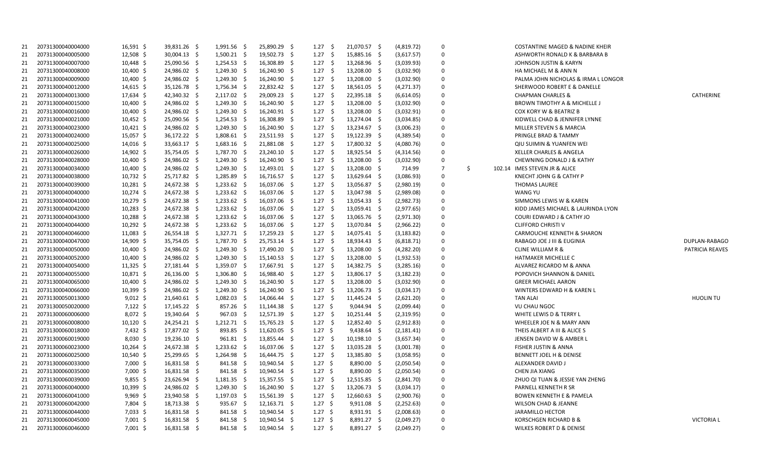| 21 | 20731300040004000 | $16,591$ \$          | 39,831.26 \$   | $1,991.56$ \$     | 25,890.29 \$   | $1.27 \quad$ \$ | 21,070.57 \$         |      | (4,819.72)  | 0              |    | COSTANTINE MAGED & NADINE KHEIR      |                   |
|----|-------------------|----------------------|----------------|-------------------|----------------|-----------------|----------------------|------|-------------|----------------|----|--------------------------------------|-------------------|
| 21 | 20731300040005000 | $12,508$ \$          | 30,004.13 \$   | $1,500.21$ \$     | 19,502.73 \$   | $1.27 \quad$ \$ | 15,885.16 \$         |      | (3,617.57)  | 0              |    | ASHWORTH RONALD K & BARBARA B        |                   |
| 21 | 20731300040007000 | $10,448$ \$          | 25,090.56 \$   | $1,254.53$ \$     | 16,308.89 \$   | $1.27 \quad$ \$ | 13,268.96 \$         |      | (3,039.93)  | 0              |    | JOHNSON JUSTIN & KARYN               |                   |
| 21 | 20731300040008000 | $10,400 \; \simeq$   | 24,986.02 \$   | $1,249.30$ \$     | $16,240.90$ \$ | 1.27S           | 13,208.00 \$         |      | (3,032.90)  | $\mathbf 0$    |    | HA MICHAEL M & ANN N                 |                   |
| 21 | 20731300040009000 | $10,400 \; \simeq$   | 24,986.02 \$   | $1,249.30$ \$     | 16,240.90 \$   | $1.27 \quad$ \$ | 13,208.00 \$         |      | (3,032.90)  | 0              |    | PALMA JOHN NICHOLAS & IRMA L LONGOR  |                   |
| 21 | 20731300040012000 | $14,615$ \$          | 35,126.78 \$   | $1,756.34$ \$     | 22,832.42 \$   | $1.27 \quad$ \$ | 18,561.05 \$         |      | (4,271.37)  | 0              |    | SHERWOOD ROBERT E & DANELLE          |                   |
| 21 | 20731300040013000 | $17,634$ \$          | 42,340.32 \$   | $2,117.02$ \$     | 29,009.23 \$   | $1.27 \quad$ \$ | $22,395.18$ \$       |      | (6,614.05)  | 0              |    | <b>CHAPMAN CHARLES &amp;</b>         | CATHERINE         |
| 21 | 20731300040015000 | $10,400 \; \simeq$   | 24,986.02 \$   | $1,249.30$ \$     | 16,240.90 \$   | $1.27 \quad$ \$ | 13,208.00            | -Ś   | (3,032.90)  | 0              |    | BROWN TIMOTHY A & MICHELLE J         |                   |
| 21 | 20731300040016000 | $10,400 \; \simeq$   | 24,986.02 \$   | $1,249.30$ \$     | $16,240.91$ \$ | $1.27 \quad$ \$ | 13,208.00 \$         |      | (3,032.91)  | 0              |    | COX KORY W & BEATRIZ B               |                   |
| 21 | 20731300040021000 | $10,452 \text{ }$    | 25,090.56 \$   | $1,254.53$ \$     | 16,308.89 \$   | 1.27S           | 13,274.04 \$         |      | (3,034.85)  | $\mathbf 0$    |    | KIDWELL CHAD & JENNIFER LYNNE        |                   |
| 21 | 20731300040023000 | $10,421$ \$          | 24,986.02 \$   | $1,249.30$ \$     | 16,240.90 \$   | 1.27S           | $13,234.67$ \$       |      | (3,006.23)  | 0              |    | MILLER STEVEN S & MARCIA             |                   |
| 21 | 20731300040024000 | $15,057$ \$          | 36,172.22 \$   | $1,808.61$ \$     | $23,511.93$ \$ | $1.27 \quad$ \$ | 19,122.39 \$         |      | (4,389.54)  | $\mathbf 0$    |    | PRINGLE BRAD & TAMMY                 |                   |
| 21 | 20731300040025000 | $14,016$ \$          | 33,663.17 \$   | $1,683.16$ \$     | 21,881.08 \$   | $1.27 \quad$ \$ | 17,800.32 \$         |      | (4,080.76)  | 0              |    | QIU SUIMIN & YUANFEN WEI             |                   |
|    |                   |                      |                | 1,787.70 \$       |                |                 | 18,925.54 \$         |      |             | 0              |    |                                      |                   |
| 21 | 20731300040026000 | $14,902 \; \simeq$   | 35,754.05 \$   |                   | $23,240.10$ \$ | $1.27 \quad$ \$ |                      |      | (4,314.56)  |                |    | XELLER CHARLES & ANGELA              |                   |
| 21 | 20731300040028000 | $10,400 \; \simeq$   | 24,986.02 \$   | $1,249.30$ \$     | 16,240.90 \$   | $1.27 \quad$ \$ | 13,208.00            | - \$ | (3,032.90)  | 0              |    | <b>CHEWNING DONALD J &amp; KATHY</b> |                   |
| 21 | 20731300040034000 | $10,400 \;$ \$       | 24,986.02 \$   | $1,249.30$ \$     | 12,493.01 \$   | $1.27 \quad$ \$ | 13,208.00 \$         |      | 714.99      | $\overline{7}$ | Ś. | 102.14 IMES STEVEN JR & ALICE        |                   |
| 21 | 20731300040038000 | $10,732 \; \text{S}$ | 25,717.82 \$   | $1,285.89$ \$     | $16,716.57$ \$ | $1.27 \quad$ \$ | 13,629.64 \$         |      | (3,086.93)  | 0              |    | KNECHT JOHN G & CATHY P              |                   |
| 21 | 20731300040039000 | $10,281$ \$          | 24,672.38 \$   | $1,233.62$ \$     | 16,037.06 \$   | $1.27 \quad$ \$ | 13,056.87 \$         |      | (2,980.19)  | 0              |    | <b>THOMAS LAUREE</b>                 |                   |
| 21 | 20731300040040000 | $10,274$ \$          | 24,672.38 \$   | $1,233.62$ \$     | 16,037.06 \$   | $1.27 \quad$ \$ | 13,047.98 \$         |      | (2,989.08)  | 0              |    | <b>WANG YU</b>                       |                   |
| 21 | 20731300040041000 | $10,279$ \$          | 24,672.38 \$   | $1,233.62$ \$     | 16,037.06 \$   | $1.27 \quad$ \$ | $13,054.33$ \$       |      | (2,982.73)  | 0              |    | SIMMONS LEWIS W & KAREN              |                   |
| 21 | 20731300040042000 | $10,283$ \$          | 24,672.38 \$   | $1,233.62$ \$     | 16,037.06 \$   | 1.27 \$         | $13,059.41 \quad $$  |      | (2,977.65)  | 0              |    | KIDD JAMES MICHAEL & LAURINDA LYON   |                   |
| 21 | 20731300040043000 | $10,288$ \$          | 24,672.38 \$   | $1,233.62$ \$     | 16,037.06 \$   | $1.27 \quad$ \$ | 13,065.76 \$         |      | (2,971.30)  | 0              |    | COURI EDWARD J & CATHY JO            |                   |
| 21 | 20731300040044000 | $10,292 \quad $$     | 24,672.38 \$   | $1,233.62$ \$     | 16,037.06 \$   | $1.27 \quad$ \$ | 13,070.84 \$         |      | (2,966.22)  | 0              |    | <b>CLIFFORD CHRISTI V</b>            |                   |
| 21 | 20731300040046000 | $11,083$ \$          | 26,554.18 \$   | $1,327.71$ \$     | 17,259.23 \$   | $1.27 \quad$ \$ | $14,075.41 \quad$ \$ |      | (3, 183.82) | 0              |    | CARMOUCHE KENNETH & SHARON           |                   |
| 21 | 20731300040047000 | 14,909 \$            | 35,754.05 \$   | $1,787.70$ \$     | $25,753.14$ \$ | $1.27 \quad$ \$ | 18,934.43 \$         |      | (6,818.71)  | 0              |    | RABAGO JOE J III & EUGINIA           | DUPLAN-RABAGO     |
| 21 | 20731300040050000 | $10,400$ \$          | 24,986.02 \$   | $1,249.30$ \$     | 17,490.20 \$   | $1.27 \quad$ \$ | 13,208.00 \$         |      | (4, 282.20) | 0              |    | <b>CLINE WILLIAM R &amp;</b>         | PATRICIA REAVES   |
| 21 | 20731300040052000 | $10,400$ \$          | 24,986.02 \$   | $1,249.30$ \$     | $15,140.53$ \$ | $1.27 \quad$ \$ | 13,208.00 \$         |      | (1,932.53)  | 0              |    | HATMAKER MICHELLE C                  |                   |
| 21 | 20731300040054000 | $11,325$ \$          | 27,181.44 \$   | 1,359.07 \$       | 17,667.91 \$   | $1.27 \quad$ \$ | 14,382.75 \$         |      | (3, 285.16) | 0              |    | ALVAREZ RICARDO M & ANNA             |                   |
| 21 | 20731300040055000 | $10,871$ \$          | $26,136.00$ \$ | $1,306.80$ \$     | 16,988.40 \$   | $1.27 \quad$ \$ | $13,806.17$ \$       |      | (3, 182.23) | 0              |    | POPOVICH SHANNON & DANIEL            |                   |
| 21 | 20731300040065000 | $10,400 \; \simeq$   | 24,986.02 \$   | $1,249.30$ \$     | 16,240.90 \$   | $1.27 \quad$ \$ | 13,208.00 \$         |      | (3,032.90)  | 0              |    | <b>GREER MICHAEL AARON</b>           |                   |
| 21 | 20731300040066000 | $10,399$ \$          | 24,986.02 \$   | $1,249.30$ \$     | 16,240.90 \$   | $1.27 \quad$ \$ | $13,206.73$ \$       |      | (3,034.17)  | 0              |    | WINTERS EDWARD H & KAREN L           |                   |
| 21 | 20731300050013000 | $9,012$ \$           | $21,640.61$ \$ | $1,082.03$ \$     | 14,066.44 \$   | $1.27 \quad$ \$ | $11,445.24$ \$       |      | (2,621.20)  | 0              |    | <b>TAN ALAI</b>                      | <b>HUOLIN TU</b>  |
| 21 | 20731300050020000 | $7,122$ \$           | $17,145.22$ \$ | $857.26$ \$       | $11,144.38$ \$ | $1.27 \pm 5$    | $9,044.94$ \$        |      | (2,099.44)  | 0              |    | <b>VU CHAU NGOC</b>                  |                   |
| 21 | 20731300060006000 | $8,072 \quad $$      | 19,340.64 \$   | $967.03 \quad$ \$ | $12,571.39$ \$ | $1.27 \quad$ \$ | $10,251.44$ \$       |      | (2,319.95)  | 0              |    | WHITE LEWIS D & TERRY L              |                   |
| 21 | 20731300060008000 | $10,120$ \$          | 24,254.21 \$   | $1,212.71$ \$     | $15,765.23$ \$ | 1.27S           | $12,852.40$ \$       |      | (2,912.83)  | 0              |    | WHEELER JOE N & MARY ANN             |                   |
| 21 | 20731300060018000 | 7,432 \$             | 17,877.02 \$   | $893.85$ \$       | $11,620.05$ \$ | $1.27 \pm 5$    | $9,438.64$ \$        |      | (2, 181.41) | $\mathbf 0$    |    | THEIS ALBERT A III & ALICE S         |                   |
| 21 | 20731300060019000 | $8,030$ \$           | $19,236.10$ \$ | $961.81 \quad $$  | 13,855.44 \$   | $1.27 \quad$ \$ | $10,198.10$ \$       |      | (3,657.34)  | 0              |    | JENSEN DAVID W & AMBER L             |                   |
| 21 | 20731300060023000 | $10,264$ \$          | 24,672.38 \$   | $1,233.62$ \$     | 16,037.06 \$   | $1.27 \quad$ \$ | 13,035.28 \$         |      | (3,001.78)  | 0              |    | FISHER JUSTIN & ANNA                 |                   |
| 21 | 20731300060025000 | $10,540 \; \simeq$   | 25,299.65 \$   | $1,264.98$ \$     | 16,444.75 \$   | $1.27 \quad$ \$ | 13,385.80 \$         |      | (3,058.95)  | 0              |    | BENNETT JOEL H & DENISE              |                   |
| 21 | 20731300060033000 | 7,000 \$             | 16,831.58 \$   | 841.58 \$         | 10,940.54 \$   | $1.27 \quad$ \$ | 8,890.00             | - Ś  | (2,050.54)  | 0              |    | ALEXANDER DAVID J                    |                   |
| 21 | 20731300060035000 | 7,000 \$             | 16,831.58 \$   | 841.58 \$         | 10,940.54 \$   | $1.27 \quad$ \$ | 8,890.00 \$          |      | (2,050.54)  | 0              |    | CHEN JIA XIANG                       |                   |
| 21 | 20731300060039000 | $9,855$ \$           | 23,626.94 \$   | $1,181.35$ \$     | 15,357.55 \$   | $1.27 \quad$ \$ | 12,515.85 \$         |      | (2,841.70)  | $\mathbf 0$    |    | ZHUO QI TUAN & JESSIE YAN ZHENG      |                   |
|    |                   |                      |                |                   |                |                 |                      |      |             | 0              |    | PARNELL KENNETH R SR                 |                   |
| 21 | 20731300060040000 | $10,399$ \$          | 24,986.02 \$   | $1,249.30$ \$     | 16,240.90 \$   | $1.27 \quad$ \$ | $13,206.73$ \$       |      | (3,034.17)  |                |    |                                      |                   |
| 21 | 20731300060041000 | $9,969$ \$           | 23,940.58 \$   | $1,197.03$ \$     | $15,561.39$ \$ | $1.27 \quad$ \$ | $12,660.63$ \$       |      | (2,900.76)  | 0              |    | <b>BOWEN KENNETH E &amp; PAMELA</b>  |                   |
| 21 | 20731300060042000 | 7,804 \$             | 18,713.38 \$   | $935.67$ \$       | $12,163.71$ \$ | $1.27 \pm 5$    | $9,911.08$ \$        |      | (2,252.63)  | 0              |    | WILSON CHAD & JEANNE                 |                   |
| 21 | 20731300060044000 | $7,033$ \$           | $16,831.58$ \$ | 841.58 \$         | 10,940.54 \$   | $1.27 \quad$ \$ | 8,931.91 \$          |      | (2,008.63)  | 0              |    | <b>JARAMILLO HECTOR</b>              |                   |
| 21 | 20731300060045000 | 7,001 \$             | 16,831.58 \$   | 841.58 \$         | 10,940.54 \$   | $1.27 \quad$ \$ | 8,891.27 \$          |      | (2,049.27)  | $\mathbf 0$    |    | KORSCHGEN RICHARD B &                | <b>VICTORIA L</b> |
| 21 | 20731300060046000 | 7,001 \$             | 16,831.58 \$   | 841.58 \$         | 10,940.54 \$   | $1.27 \pm 5$    | 8,891.27 \$          |      | (2,049.27)  | $\Omega$       |    | WILKES ROBERT D & DENISE             |                   |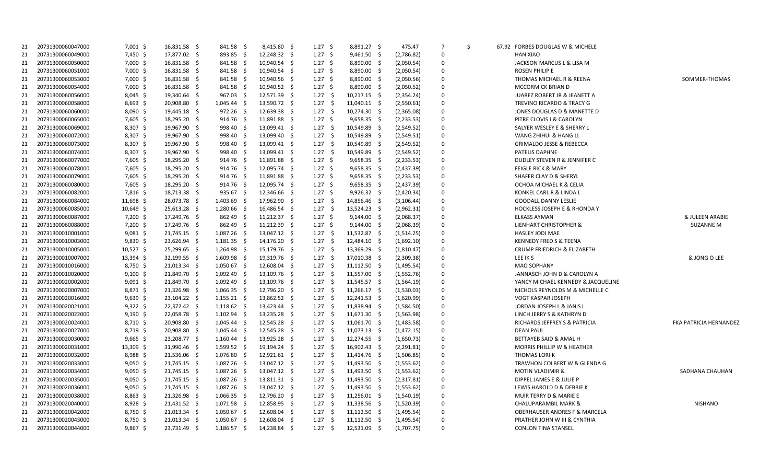| 21 | 20731300060047000 | $7,001$ \$      | $16,831.58$ \$       | 841.58              | 8,415.80<br>- \$ | - \$         | 1.27 \$         | $8,891.27$ \$       | 475.47      | $\overline{7}$ | Ś. | 67.92 FORBES DOUGLAS W & MICHELE         |                        |
|----|-------------------|-----------------|----------------------|---------------------|------------------|--------------|-----------------|---------------------|-------------|----------------|----|------------------------------------------|------------------------|
| 21 | 20731300060049000 | $7,450$ \$      | 17,877.02 \$         | 893.85 \$           |                  | 12,248.32 \$ | $1.27 \pm$      | $9,461.50$ \$       | (2,786.82)  | $\mathbf{0}$   |    | HAN XIAO                                 |                        |
| 21 | 20731300060050000 | $7,000$ \$      | $16,831.58$ \$       | $841.58\frac{2}{3}$ |                  | 10,940.54 \$ | $1.27 \pm$      | 8,890.00 \$         | (2,050.54)  | $\Omega$       |    | JACKSON MARCUS L & LISA M                |                        |
| 21 | 20731300060051000 | $7,000$ \$      | $16,831.58$ \$       | $841.58 \quad$ \$   | 10,940.54 \$     |              | 1.27 \$         | $8,890.00$ \$       | (2,050.54)  | $\Omega$       |    | ROSEN PHILIP E                           |                        |
| 21 | 20731300060053000 | $7,000$ \$      | $16,831.58$ \$       | $841.58 \quad$ \$   | 10,940.56 \$     |              | 1.27 \$         | $8,890.00$ \$       | (2,050.56)  | $\Omega$       |    | THOMAS MICHAEL R & REENA                 | SOMMER-THOMAS          |
| 21 | 20731300060054000 | $7,000$ \$      | 16,831.58 \$         | 841.58 \$           | 10,940.52 \$     |              | 1.27S           | 8,890.00 \$         | (2,050.52)  | $\Omega$       |    | MCCORMICK BRIAN D                        |                        |
| 21 | 20731300060056000 | $8,045$ \$      | 19,340.64 \$         | $967.03 \quad $$    | 12,571.39 \$     |              | 1.27S           | $10,217.15$ \$      | (2,354.24)  | $\Omega$       |    | JUAREZ ROBERT JR & JEANETT A             |                        |
| 21 | 20731300060058000 | $8,693$ \$      | 20,908.80 \$         | $1,045.44$ \$       | 13,590.72 \$     |              | 1.27<br>- Ś     | 11,040.11 \$        | (2,550.61)  | $\Omega$       |    | TREVINO RICARDO & TRACY G                |                        |
| 21 | 20731300060060000 | $8,090$ \$      | $19,445.18 \quad$ \$ | $972.26$ \$         | 12,639.38 \$     |              | 1.27 \$         | $10,274.30$ \$      | (2,365.08)  | $\Omega$       |    | JONES DOUGLAS D & MANETTE D              |                        |
| 21 | 20731300060065000 | $7,605$ \$      | 18,295.20 \$         | $914.76 \quad $$    | 11,891.88 \$     |              | $1.27 \pm 5$    | $9,658.35$ \$       | (2, 233.53) | $\Omega$       |    | PITRE CLOVIS J & CAROLYN                 |                        |
| 21 | 20731300060069000 | $8,307$ \$      | 19,967.90 \$         | 998.40 \$           |                  | 13,099.41 \$ | 1.27 \$         | 10,549.89 \$        | (2,549.52)  | $\Omega$       |    | SALYER WESLEY E & SHERRY L               |                        |
| 21 | 20731300060072000 | $8,307$ \$      | 19,967.90 \$         | 998.40 \$           | 13,099.40 \$     |              | 1.27 \$         | 10,549.89 \$        | (2,549.51)  | $\Omega$       |    | WANG ZHIHUI & HANG LI                    |                        |
| 21 | 20731300060073000 | $8,307$ \$      | 19,967.90 \$         | 998.40 \$           | 13,099.41 \$     |              | 1.27 \$         | 10,549.89 \$        | (2,549.52)  | $\Omega$       |    | <b>GRIMALDO JESSE &amp; REBECCA</b>      |                        |
| 21 | 20731300060074000 | $8,307$ \$      | 19,967.90 \$         | 998.40 \$           | 13,099.41 \$     |              | 1.27 \$         | 10,549.89 \$        | (2,549.52)  | $\Omega$       |    | PATELIS DAPHNE                           |                        |
| 21 | 20731300060077000 | $7,605$ \$      | 18,295.20 \$         | $914.76$ \$         | 11,891.88 \$     |              | 1.27S           | $9,658.35$ \$       | (2, 233.53) | $\Omega$       |    | DUDLEY STEVEN R & JENNIFER C             |                        |
| 21 | 20731300060078000 | 7,605 \$        | 18,295.20 \$         | $914.76 \quad $$    | 12,095.74 \$     |              | $1.27 \pm 5$    | $9,658.35$ \$       | (2,437.39)  | $\Omega$       |    | <b>FEIGLE RICK &amp; MARY</b>            |                        |
| 21 | 20731300060079000 | $7,605$ \$      | 18,295.20 \$         | $914.76 \quad$ \$   | 11,891.88 \$     |              | $1.27 \pm 5$    | $9,658.35$ \$       | (2,233.53)  | $\Omega$       |    | SHAFER CLAY D & SHERYL                   |                        |
| 21 | 20731300060080000 | $7,605$ \$      | 18,295.20 \$         | $914.76 \pm$        | 12,095.74 \$     |              | $1.27 \pm 5$    | $9,658.35$ \$       | (2,437.39)  | $\Omega$       |    | OCHOA MICHAEL K & CELIA                  |                        |
| 21 | 20731300060082000 | 7,816 \$        | 18,713.38 \$         | $935.67$ \$         | 12,346.66 \$     |              | 1.27S           | $9,926.32$ \$       | (2,420.34)  | $\Omega$       |    | KONKEL CARL R & LINDA L                  |                        |
| 21 | 20731300060084000 | $11,698$ \$     | 28,073.78 \$         | 1,403.69 \$         | 17,962.90 \$     |              | 1.27 \$         | 14,856.46 \$        | (3, 106.44) | $\Omega$       |    | <b>GOODALL DANNY LESLIE</b>              |                        |
| 21 | 20731300060085000 | $10,649$ \$     | $25,613.28$ \$       | $1,280.66$ \$       | 16,486.54 \$     |              | 1.27 \$         | $13,524.23$ \$      | (2,962.31)  | $\Omega$       |    | HOCKLESS JOSEPH E & RHONDA Y             |                        |
| 21 | 20731300060087000 | $7,200$ \$      | 17,249.76 \$         | $862.49$ \$         | $11,212.37$ \$   |              | $1.27 \pm 5$    | $9,144.00 \div$     | (2,068.37)  | $\Omega$       |    | ELKASS AYMAN                             | & JULEEN ARABIE        |
| 21 | 20731300060088000 | $7,200$ \$      | 17,249.76 \$         | $862.49$ \$         | $11,212.39$ \$   |              | 1.27 \$         | $9,144.00$ \$       | (2,068.39)  | $\Omega$       |    | LIENHART CHRISTOPHER &                   | <b>SUZANNE M</b>       |
| 21 | 20731300010001000 | $9,081$ \$      | $21,745.15$ \$       | $1,087.26$ \$       | 13,047.12 \$     |              | 1.27S           | 11,532.87 \$        | (1,514.25)  | $\Omega$       |    | <b>HASLEY JODI MAE</b>                   |                        |
| 21 | 20731300010003000 | $9,830 \;$ \$   | 23,626.94 \$         | $1,181.35$ \$       | 14,176.20 \$     |              | 1.27S           | 12,484.10 \$        | (1,692.10)  | $\Omega$       |    | <b>KENNEDY FRED S &amp; TEENA</b>        |                        |
| 21 | 20731300010005000 | $10,527$ \$     | 25,299.65 \$         | $1,264.98$ \$       | 15,179.76 \$     |              | 1.27S           | 13,369.29 \$        | (1,810.47)  | $\Omega$       |    | CRUMP FRIEDRICH & ELIZABETH              |                        |
| 21 | 20731300010007000 | 13,394 \$       | 32,199.55 \$         | $1,609.98$ \$       | 19,319.76 \$     |              | $1.27 \quad$ \$ | $17,010.38$ \$      | (2,309.38)  | $\Omega$       |    | LEE IK S                                 | & JONG O LEE           |
| 21 | 20731300010016000 | $8,750$ \$      | 21,013.34 \$         | $1,050.67$ \$       | 12,608.04 \$     |              | 1.27S           | $11,112.50$ \$      | (1,495.54)  | $\Omega$       |    | <b>MAO SOPHANY</b>                       |                        |
| 21 | 20731300010020000 | $9,100$ \$      | 21,849.70 \$         | $1,092.49$ \$       | 13,109.76 \$     |              | 1.27 \$         | 11,557.00 \$        | (1,552.76)  | $\Omega$       |    | JANNASCH JOHN D & CAROLYN A              |                        |
| 21 | 20731300020002000 | $9,091$ \$      | 21,849.70 \$         | $1,092.49$ \$       | 13,109.76 \$     |              | 1.27 \$         | $11,545.57$ \$      | (1,564.19)  | $\Omega$       |    | YANCY MICHAEL KENNEDY & JACQUELINE       |                        |
| 21 | 20731300020007000 | $8,871$ \$      | $21,326.98$ \$       | $1,066.35$ \$       | 12,796.20 \$     |              | 1.27 \$         | $11,266.17$ \$      | (1,530.03)  | $\Omega$       |    | NICHOLS REYNOLDS M & MICHELLE C          |                        |
| 21 | 20731300020016000 | $9,639$ \$      | 23,104.22 \$         | $1,155.21$ \$       | 13,862.52 \$     |              | 1.27 \$         | $12,241.53$ \$      | (1,620.99)  | $\Omega$       |    | <b>VOGT KASPAR JOSEPH</b>                |                        |
| 21 | 20731300020021000 | $9,322 \quad $$ | 22,372.42 \$         | $1,118.62 \quad$ \$ | 13,423.44 \$     |              | 1.27S           | 11,838.94 \$        | (1,584.50)  | $\Omega$       |    | JORDAN JOSEPH L & JANIS L                |                        |
| 21 | 20731300020022000 | $9,190 \;$ \$   | 22,058.78 \$         | $1,102.94$ \$       | 13,235.28 \$     |              | 1.27S           | 11,671.30 \$        | (1,563.98)  | $\Omega$       |    | LINCH JERRY S & KATHRYN D                |                        |
| 21 | 20731300020024000 | $8,710$ \$      | 20,908.80 \$         | $1,045.44$ \$       | 12,545.28 \$     |              | 1.27<br>- S     | $11,061.70$ \$      | (1,483.58)  | $\Omega$       |    | RICHARDS JEFFREY S & PATRICIA            | FKA PATRICIA HERNANDEZ |
| 21 | 20731300020027000 | $8,719$ \$      | 20,908.80 \$         | $1,045.44$ \$       | 12,545.28 \$     |              | $1.27 \quad$ \$ | $11,073.13$ \$      | (1,472.15)  | $\Omega$       |    | DEAN PAUL                                |                        |
| 21 | 20731300020030000 | $9,665$ \$      | 23,208.77 \$         | $1,160.44$ \$       | 13,925.28 \$     |              | 1.27 \$         | $12,274.55$ \$      | (1,650.73)  | $\Omega$       |    | BETTAYEB SAID & AMAL H                   |                        |
| 21 | 20731300020031000 | $13,309$ \$     | 31,990.46 \$         | $1,599.52$ \$       | 19,194.24 \$     |              | 1.27S           | $16,902.43 \quad $$ | (2,291.81)  | $\Omega$       |    | MORRIS PHILLIP W & HEATHER               |                        |
| 21 | 20731300020032000 | $8,988$ \$      | 21,536.06 \$         | $1,076.80\quad$ \$  | 12,921.61 \$     |              | 1.27 \$         | $11,414.76$ \$      | (1,506.85)  | $\Omega$       |    | THOMAS LORI K                            |                        |
| 21 | 20731300020033000 | $9,050$ \$      | 21,745.15 \$         | $1,087.26$ \$       | 13,047.12 \$     |              | 1.27<br>- \$    | $11,493.50$ \$      | (1,553.62)  | $\mathbf{0}$   |    | TRAWHON COLBERT W & GLENDA G             |                        |
| 21 | 20731300020034000 | $9,050$ \$      | 21,745.15 \$         | $1,087.26$ \$       | 13,047.12 \$     |              | $1.27 \quad$ \$ | $11,493.50$ \$      | (1,553.62)  | $\Omega$       |    | <b>MOTIN VLADIMIR &amp;</b>              | SADHANA CHAUHAN        |
| 21 | 20731300020035000 | $9,050$ \$      | $21,745.15$ \$       | $1,087.26$ \$       | 13,811.31 \$     |              | 1.27S           | 11,493.50 \$        | (2,317.81)  | $\Omega$       |    | DIPPEL JAMES E & JULIE P                 |                        |
| 21 | 20731300020036000 | $9,050$ \$      | 21,745.15 \$         | $1,087.26$ \$       | 13,047.12 \$     |              | 1.27S           | 11,493.50 \$        | (1,553.62)  | $\Omega$       |    | LEWIS HAROLD D & DEBBIE K                |                        |
| 21 | 20731300020038000 | 8,863 \$        | 21,326.98 \$         | $1,066.35$ \$       | 12,796.20 \$     |              | 1.27<br>- \$    | 11,256.01 \$        | (1,540.19)  | $\Omega$       |    | MUIR TERRY D & MARIE E                   |                        |
| 21 | 20731300020040000 | $8,928$ \$      | $21,431.52$ \$       | $1,071.58$ \$       | 12,858.95 \$     |              | 1.27 \$         | $11,338.56$ \$      | (1,520.39)  | $\Omega$       |    | <b>CHALUPARAMBIL MARK &amp;</b>          | <b>NISHANO</b>         |
| 21 | 20731300020042000 | $8,750$ \$      | $21,013.34$ \$       | $1,050.67$ \$       | 12,608.04 \$     |              | 1.27<br>S.      | $11,112.50$ \$      | (1,495.54)  | $\Omega$       |    | <b>OBERHAUSER ANDRES F &amp; MARCELA</b> |                        |
| 21 | 20731300020043000 | $8,750$ \$      | $21,013.34$ \$       | $1,050.67$ \$       | 12,608.04 \$     |              | $1.27 \quad$ \$ | $11,112.50$ \$      | (1,495.54)  | $\Omega$       |    | PRATHER JOHN W III & CYNTHIA             |                        |
| 21 | 20731300020044000 | 9,867 \$        | 23,731.49 \$         | $1,186.57$ \$       | 14,238.84 \$     |              | $1.27 \quad$ \$ | 12,531.09 \$        | (1,707.75)  | $\Omega$       |    | <b>CONLON TINA STANSEL</b>               |                        |
|    |                   |                 |                      |                     |                  |              |                 |                     |             |                |    |                                          |                        |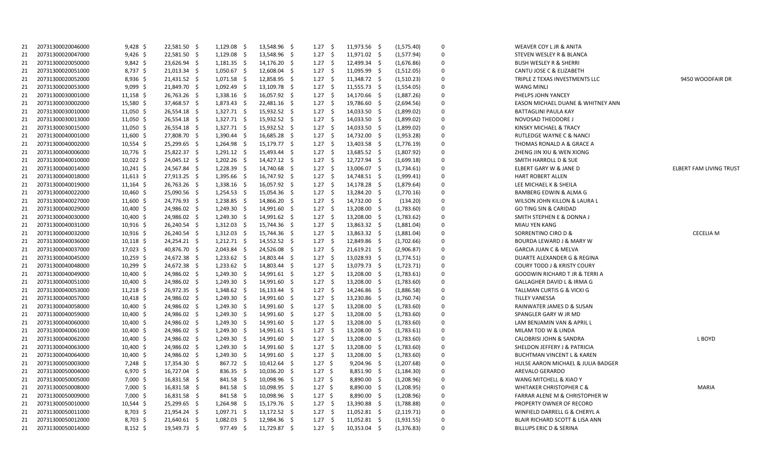| 21 | 20731300020046000 | $9,428$ \$        | 22,581.50<br>-S | 1,129.08            | 13,548.96<br>- s     | 1.27            | - S | $11,973.56$ \$ | (1,575.40)  | 0             | WEAVER COY L JR & ANITA                   |                         |
|----|-------------------|-------------------|-----------------|---------------------|----------------------|-----------------|-----|----------------|-------------|---------------|-------------------------------------------|-------------------------|
| 21 | 20731300020047000 | $9,426$ \$        | 22,581.50 \$    | $1,129.08$ \$       | 13,548.96 \$         | 1.27 \$         |     | 11,971.02 \$   | (1,577.94)  | 0             | STEVEN WESLEY R & BLANCA                  |                         |
| 21 | 20731300020050000 | $9,842$ \$        | 23,626.94 \$    | $1,181.35$ \$       | 14,176.20 \$         | 1.27 \$         |     | 12,499.34 \$   | (1,676.86)  | 0             | <b>BUSH WESLEY R &amp; SHERRI</b>         |                         |
| 21 | 20731300020051000 | $8,737$ \$        | $21,013.34$ \$  | $1,050.67$ \$       | $12,608.04$ \$       | 1.27 \$         |     | $11,095.99$ \$ | (1,512.05)  | $\Omega$      | CANTU JOSE C & ELIZABETH                  |                         |
| 21 | 20731300020052000 | $8,936$ \$        | $21,431.52$ \$  | $1,071.58$ \$       | 12,858.95 \$         | $1.27 \quad$ \$ |     | 11,348.72 \$   | (1,510.23)  | 0             | TRIPLE Z TEXAS INVESTMENTS LLC            | 9450 WOODFAIR DR        |
| 21 | 20731300020053000 | $9,099$ \$        | 21,849.70 \$    | $1,092.49$ \$       | 13,109.78 \$         | 1.27 \$         |     | $11,555.73$ \$ | (1,554.05)  | $\Omega$      | <b>WANG MINLI</b>                         |                         |
| 21 | 20731300030001000 | $11,158$ \$       | 26,763.26 \$    | $1,338.16$ \$       | 16,057.92 \$         | 1.27 \$         |     | 14,170.66 \$   | (1,887.26)  | $\Omega$      | PHELPS JOHN YANCEY                        |                         |
| 21 | 20731300030002000 | 15,580 \$         | 37,468.57 \$    | $1,873.43$ \$       | 22,481.16 \$         | 1.27 \$         |     | 19,786.60 \$   | (2,694.56)  | $\Omega$      | EASON MICHAEL DUANE & WHITNEY ANN         |                         |
| 21 | 20731300030010000 | $11,050$ \$       | 26,554.18 \$    | $1,327.71$ \$       | 15,932.52 \$         | 1.27 \$         |     | 14,033.50 \$   | (1,899.02)  | 0             | <b>BATTAGLINI PAULA KAY</b>               |                         |
| 21 | 20731300030013000 | $11,050$ \$       | 26,554.18 \$    | $1,327.71$ \$       | 15,932.52 \$         | 1.27 \$         |     | $14,033.50$ \$ | (1,899.02)  | 0             | NOVOSAD THEODORE J                        |                         |
| 21 | 20731300030015000 | $11,050$ \$       | $26,554.18$ \$  | $1,327.71$ \$       | 15,932.52 \$         | 1.27 \$         |     | $14,033.50$ \$ | (1,899.02)  | $\Omega$      | KINSKY MICHAEL & TRACY                    |                         |
| 21 | 20731300040001000 | $11,600 \text{ }$ | 27,808.70 \$    | $1,390.44$ \$       | 16,685.28 \$         | 1.27 \$         |     | 14,732.00 \$   | (1,953.28)  | 0             | RUTLEDGE WAYNE C & NANCI                  |                         |
| 21 | 20731300040002000 | $10,554$ \$       | 25,299.65 \$    | $1,264.98$ \$       | 15,179.77 \$         | 1.27 \$         |     | 13,403.58 \$   | (1,776.19)  | 0             | THOMAS RONALD A & GRACE A                 |                         |
| 21 | 20731300040006000 | $10,776$ \$       | 25,822.37 \$    | $1,291.12 \quad$ \$ | 15,493.44 \$         | 1.27 $\sqrt{5}$ |     | 13,685.52 \$   | (1,807.92)  | $\Omega$      | ZHENG JIN XIU & WEN XIONG                 |                         |
| 21 | 20731300040010000 | $10,022$ \$       | 24,045.12 \$    | $1,202.26$ \$       | $14,427.12 \quad$ \$ | 1.27 \$         |     | 12,727.94 \$   | (1,699.18)  | 0             | SMITH HARROLL D & SUE                     |                         |
| 21 | 20731300040014000 | $10,241$ \$       | 24,567.84 \$    | $1,228.39$ \$       | 14,740.68 \$         | 1.27 \$         |     | 13,006.07 \$   | (1,734.61)  | $\Omega$      | ELBERT GARY W & JANE D                    | ELBERT FAM LIVING TRUST |
| 21 | 20731300040018000 | $11,613 \text{ }$ | 27,913.25 \$    | 1,395.66 \$         | 16,747.92 \$         | 1.27 \$         |     | 14,748.51 \$   | (1,999.41)  | 0             | <b>HART ROBERT ALLEN</b>                  |                         |
| 21 | 20731300040019000 | $11,164$ \$       | 26,763.26 \$    | $1,338.16$ \$       | $16,057.92 \quad$ \$ | 1.27 \$         |     | 14,178.28 \$   | (1,879.64)  | 0             | LEE MICHAEL K & SHEILA                    |                         |
| 21 | 20731300040022000 | $10,460$ \$       | 25,090.56 \$    | $1,254.53$ \$       | 15,054.36 \$         | 1.27 \$         |     | 13,284.20 \$   | (1,770.16)  | 0             | <b>BAMBERG EDWIN &amp; ALMA G</b>         |                         |
| 21 | 20731300040027000 | $11,600 \;$ \$    | 24,776.93 \$    | $1,238.85$ \$       | 14,866.20 \$         | $1.27 \quad$ \$ |     | 14,732.00 \$   | (134.20)    | 0             | WILSON JOHN KILLON & LAURA L              |                         |
| 21 | 20731300040029000 | $10,400 \,$ \$    | 24,986.02 \$    | $1,249.30$ \$       | 14,991.60 \$         | $1.27 \quad$ \$ |     | 13,208.00 \$   | (1,783.60)  | $\Omega$      | <b>GO TING SIN &amp; CARIDAD</b>          |                         |
| 21 | 20731300040030000 | $10,400$ \$       | 24,986.02 \$    | $1,249.30$ \$       | 14,991.62 \$         | 1.27 \$         |     | 13,208.00 \$   | (1,783.62)  | $\Omega$      | SMITH STEPHEN E & DONNA J                 |                         |
| 21 | 20731300040031000 | $10,916$ \$       | 26,240.54 \$    | $1,312.03$ \$       | 15,744.36 \$         | 1.27 \$         |     | 13,863.32 \$   | (1,881.04)  | $\Omega$      | MIAU YEN KANG                             |                         |
|    | 20731300040032000 | $10,916$ \$       | 26,240.54 \$    | $1,312.03$ \$       | 15,744.36 \$         | $1.27 \quad$ \$ |     | 13,863.32 \$   |             | $\Omega$      | SORRENTINO CIRO D &                       | <b>CECELIA M</b>        |
| 21 | 20731300040036000 |                   |                 |                     | 14,552.52 \$         | $1.27 \quad$ \$ |     | 12,849.86 \$   | (1,881.04)  | 0             | BOURDA LEWARD J & MARY W                  |                         |
| 21 |                   | $10,118$ \$       | 24,254.21 \$    | $1,212.71$ \$       |                      |                 |     |                | (1,702.66)  | 0             |                                           |                         |
| 21 | 20731300040037000 | 17,023 \$         | 40,876.70 \$    | $2,043.84$ \$       | 24,526.08 \$         | 1.27 \$         |     | $21,619.21$ \$ | (2,906.87)  | $\Omega$      | <b>GARCIA JUAN C &amp; MELVA</b>          |                         |
| 21 | 20731300040045000 | $10,259$ \$       | 24,672.38 \$    | $1,233.62$ \$       | 14,803.44 \$         | 1.27 \$         |     | 13,028.93 \$   | (1,774.51)  |               | DUARTE ALEXANDER G & REGINA               |                         |
| 21 | 20731300040048000 | $10,299$ \$       | 24,672.38 \$    | $1,233.62$ \$       | 14,803.44 \$         | $1.27 \quad$ \$ |     | 13,079.73 \$   | (1,723.71)  | 0<br>$\Omega$ | <b>COURY TODD J &amp; KRISTY COURY</b>    |                         |
| 21 | 20731300040049000 | $10,400$ \$       | 24,986.02 \$    | $1,249.30$ \$       | 14,991.61 \$         | 1.27 \$         |     | 13,208.00 \$   | (1,783.61)  |               | <b>GOODWIN RICHARD T JR &amp; TERRI A</b> |                         |
| 21 | 20731300040051000 | $10,400$ \$       | 24,986.02 \$    | $1,249.30$ \$       | 14,991.60 \$         | 1.27 \$         |     | 13,208.00 \$   | (1,783.60)  | 0             | GALLAGHER DAVID L & IRMA G                |                         |
| 21 | 20731300040053000 | $11,218$ \$       | 26,972.35 \$    | $1,348.62 \quad$ \$ | $16,133.44$ \$       | 1.27 \$         |     | 14,246.86 \$   | (1,886.58)  | $\Omega$      | TALLMAN CURTIS G & VICKI G                |                         |
| 21 | 20731300040057000 | $10,418$ \$       | 24,986.02 \$    | $1,249.30$ \$       | 14,991.60 \$         | 1.27 \$         |     | 13,230.86 \$   | (1,760.74)  | 0             | <b>TILLEY VANESSA</b>                     |                         |
| 21 | 20731300040058000 | $10,400$ \$       | 24,986.02 \$    | $1,249.30$ \$       | 14,991.60 \$         | 1.27 \$         |     | 13,208.00 \$   | (1,783.60)  | 0             | RAINWATER JAMES D & SUSAN                 |                         |
| 21 | 20731300040059000 | $10,400$ \$       | 24,986.02 \$    | $1,249.30$ \$       | 14,991.60 \$         | 1.27 \$         |     | 13,208.00 \$   | (1,783.60)  | 0             | SPANGLER GARY W JR MD                     |                         |
| 21 | 20731300040060000 | $10,400$ \$       | 24,986.02 \$    | $1,249.30$ \$       | 14,991.60 \$         | $1.27 \quad$ \$ |     | 13,208.00 \$   | (1,783.60)  | 0             | LAM BENJAMIN VAN & APRIL L                |                         |
| 21 | 20731300040061000 | $10,400 \,$ \$    | 24,986.02 \$    | $1,249.30$ \$       | 14,991.61 \$         | $1.27 \quad$ \$ |     | 13,208.00 \$   | (1,783.61)  | $\Omega$      | MILAM TOD W & LINDA                       |                         |
| 21 | 20731300040062000 | $10,400$ \$       | 24,986.02 \$    | $1,249.30$ \$       | 14,991.60 \$         | 1.27 \$         |     | 13,208.00 \$   | (1,783.60)  | $\Omega$      | CALOBRISI JOHN & SANDRA                   | L BOYD                  |
| 21 | 20731300040063000 | $10,400$ \$       | 24,986.02 \$    | $1,249.30$ \$       | 14,991.60 \$         | 1.27 \$         |     | 13,208.00 \$   | (1,783.60)  | 0             | SHELDON JEFFERY J & PATRICIA              |                         |
| 21 | 20731300040064000 | $10,400$ \$       | 24,986.02 \$    | $1,249.30$ \$       | 14,991.60 \$         | 1.27 \$         |     | 13,208.00 \$   | (1,783.60)  | $\Omega$      | <b>BUCHTMAN VINCENT L &amp; KAREN</b>     |                         |
| 21 | 20731300050003000 | 7,248 \$          | 17,354.30 \$    | $867.72 \quad$ \$   | $10,412.64$ \$       | $1.27 \quad$ \$ |     | $9,204.96$ \$  | (1,207.68)  | 0             | HULSE AARON MICHAEL & JULIA BADGER        |                         |
| 21 | 20731300050004000 | $6,970$ \$        | 16,727.04 \$    | $836.35$ \$         | $10,036.20$ \$       | 1.27 \$         |     | $8,851.90$ \$  | (1, 184.30) | $\Omega$      | AREVALO GERARDO                           |                         |
| 21 | 20731300050005000 | $7,000$ \$        | $16,831.58$ \$  | $841.58\frac{2}{3}$ | 10,098.96 \$         | 1.27 \$         |     | 8,890.00 \$    | (1,208.96)  | 0             | WANG MITCHELL & XIAO Y                    |                         |
| 21 | 20731300050008000 | 7,000 \$          | 16,831.58 \$    | 841.58 \$           | $10,098.95$ \$       | $1.27 \quad$ \$ |     | $8,890.00$ \$  | (1,208.95)  | $\Omega$      | <b>WHITAKER CHRISTOPHER C &amp;</b>       | <b>MARIA</b>            |
| 21 | 20731300050009000 | $7,000$ \$        | 16,831.58 \$    | $841.58\frac{2}{3}$ | 10,098.96 \$         | 1.27 \$         |     | $8,890.00$ \$  | (1,208.96)  | $\Omega$      | FARRAR ALENE M & CHRISTOPHER W            |                         |
| 21 | 20731300050010000 | $10,544$ \$       | 25,299.65 \$    | $1,264.98$ \$       | 15,179.76 \$         | 1.27 \$         |     | $13,390.88$ \$ | (1,788.88)  | 0             | PROPERTY OWNER OF RECORD                  |                         |
| 21 | 20731300050011000 | $8,703$ \$        | $21,954.24$ \$  | $1,097.71$ \$       | 13,172.52 \$         | 1.27 \$         |     | $11,052.81$ \$ | (2, 119.71) | $\Omega$      | WINFIELD DARRELL G & CHERYL A             |                         |
| 21 | 20731300050012000 | $8,703$ \$        | $21,640.61$ \$  | $1,082.03$ \$       | 12,984.36 \$         | $1.27 \quad$ \$ |     | $11,052.81$ \$ | (1,931.55)  | 0             | BLAIR RICHARD SCOTT & LISA ANN            |                         |
| 21 | 20731300050014000 | $8,152$ \$        | 19,549.73 \$    | 977.49 \$           | 11,729.87 \$         | $1.27 \quad$ \$ |     | $10,353.04$ \$ | (1,376.83)  | <sup>0</sup>  | <b>BILLUPS ERIC D &amp; SERINA</b>        |                         |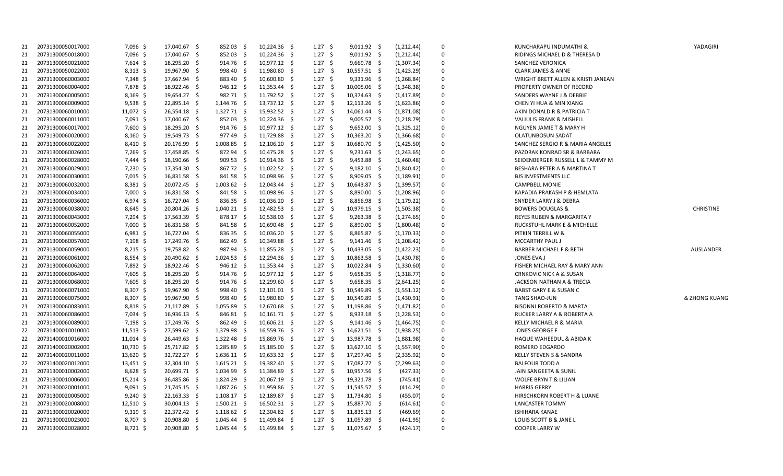| 21 | 20731300050017000 | 7,096 \$    | 17,040.67 \$   | 852.03 \$          | 10,224.36 \$   | $1.27 \pm 5$    | $9,011.92$ \$      | (1,212.44)  | 0              | KUNCHARAPU INDUMATHI &             | YADAGIRI         |
|----|-------------------|-------------|----------------|--------------------|----------------|-----------------|--------------------|-------------|----------------|------------------------------------|------------------|
| 21 | 20731300050018000 | 7,096 \$    | 17,040.67 \$   | 852.03 \$          | 10,224.36 \$   | $1.27 \pm 5$    | $9,011.92 \quad $$ | (1, 212.44) | $\mathbf 0$    | RIDINGS MICHAEL D & THERESA D      |                  |
| 21 | 20731300050021000 | $7,614$ \$  | 18,295.20 \$   | $914.76 \quad $$   | $10,977.12$ \$ | $1.27 \pm 5$    | $9,669.78$ \$      | (1,307.34)  | 0              | SANCHEZ VERONICA                   |                  |
| 21 | 20731300050022000 | $8,313$ \$  | 19,967.90 \$   | 998.40 \$          | 11,980.80 \$   | $1.27 \quad$ \$ | $10,557.51$ \$     | (1,423.29)  | $\mathbf 0$    | <b>CLARK JAMES &amp; ANNE</b>      |                  |
| 21 | 20731300060003000 | $7,348$ \$  | 17,667.94 \$   | 883.40 \$          | 10,600.80 \$   | $1.27 \quad$ \$ | $9,331.96$ \$      | (1,268.84)  | $\Omega$       | WRIGHT BRETT ALLEN & KRISTI JANEAN |                  |
| 21 | 20731300060004000 | 7,878 \$    | 18,922.46 \$   | $946.12 \quad$ \$  | 11,353.44 \$   | $1.27 \quad$ \$ | 10,005.06 \$       | (1,348.38)  | 0              | PROPERTY OWNER OF RECORD           |                  |
| 21 | 20731300060005000 | $8,169$ \$  | 19,654.27 \$   | $982.71 \quad $$   | 11,792.52 \$   | $1.27 \quad$ \$ | $10,374.63$ \$     | (1,417.89)  | $\mathbf 0$    | SANDERS WAYNE J & DEBBIE           |                  |
| 21 | 20731300060009000 | $9,538$ \$  | 22,895.14 \$   | $1,144.76$ \$      | 13,737.12 \$   | $1.27 \quad$ \$ | $12,113.26$ \$     | (1,623.86)  | $\mathbf 0$    | CHEN YI HUA & MIN XIANG            |                  |
| 21 | 20731300060010000 | 11,072 \$   | 26,554.18 \$   | $1,327.71$ \$      | 15,932.52 \$   | $1.27 \quad$ \$ | $14,061.44$ \$     | (1,871.08)  | $\mathbf 0$    | AKIN DONALD R & PATRICIA T         |                  |
| 21 | 20731300060011000 | $7,091$ \$  | 17,040.67 \$   | $852.03$ \$        | 10,224.36 \$   | $1.27 \pm 5$    | $9,005.57$ \$      | (1,218.79)  | $\mathbf 0$    | VALIULIS FRANK & MISHELL           |                  |
| 21 | 20731300060017000 | $7,600$ \$  | 18,295.20 \$   | $914.76 \pm$       | 10,977.12 \$   | $1.27 \pm 5$    | $9,652.00$ \$      | (1,325.12)  | $\Omega$       | NGUYEN JAMIE T & MARY H            |                  |
| 21 | 20731300060020000 | $8,160$ \$  | 19,549.73 \$   | 977.49 \$          | 11,729.88 \$   | $1.27 \quad$ \$ | 10,363.20 \$       | (1,366.68)  | $\Omega$       | OLATUNBOSUN SADAT                  |                  |
| 21 | 20731300060022000 | $8,410$ \$  | 20,176.99 \$   | $1,008.85$ \$      | $12,106.20$ \$ | $1.27 \quad$ \$ | 10,680.70 \$       | (1,425.50)  | $\mathbf 0$    | SANCHEZ SERGIO R & MARIA ANGELES   |                  |
| 21 | 20731300060026000 | $7,269$ \$  | 17,458.85 \$   | 872.94 \$          | 10,475.28 \$   | $1.27 \pm 5$    | $9,231.63$ \$      | (1,243.65)  | 0              | PAZDRAK KONRAD SR & BARBARA        |                  |
| 21 | 20731300060028000 | $7,444$ \$  | 18,190.66 \$   | $909.53$ \$        | 10,914.36 \$   | $1.27 \pm 5$    | $9,453.88$ \$      | (1,460.48)  | $\mathbf 0$    | SEIDENBERGER RUSSELL L & TAMMY M   |                  |
| 21 | 20731300060029000 | $7,230$ \$  | 17,354.30 \$   | 867.72 \$          | $11,022.52$ \$ | $1.27 \pm 5$    | $9,182.10$ \$      | (1,840.42)  | $\overline{0}$ | BESHARA PETER A & MARTINA T        |                  |
| 21 | 20731300060030000 | $7,015$ \$  | 16,831.58 \$   | $841.58 \div$      | 10,098.96 \$   | $1.27 \pm 5$    | $8,909.05$ \$      | (1, 189.91) | $\mathbf 0$    | <b>BJS INVESTMENTS LLC</b>         |                  |
| 21 | 20731300060032000 |             |                |                    |                | 1.27 \$         |                    |             | $\Omega$       | <b>CAMPBELL MONIE</b>              |                  |
|    |                   | $8,381$ \$  | 20,072.45 \$   | $1,003.62$ \$      | 12,043.44 \$   |                 | $10,643.87$ \$     | (1,399.57)  |                |                                    |                  |
| 21 | 20731300060034000 | $7,000$ \$  | 16,831.58 \$   | 841.58 \$          | 10,098.96 \$   | $1.27 \quad$ \$ | 8,890.00 \$        | (1,208.96)  | 0              | KAPADIA PRAKASH P & HEMLATA        |                  |
| 21 | 20731300060036000 | $6,974$ \$  | $16,727.04$ \$ | $836.35$ \$        | $10,036.20$ \$ | $1.27 \pm 5$    | 8,856.98 \$        | (1, 179.22) | 0              | SNYDER LARRY J & DEBRA             |                  |
| 21 | 20731300060038000 | $8,645$ \$  | 20,804.26 \$   | $1,040.21$ \$      | 12,482.53 \$   | $1.27 \quad$ \$ | 10,979.15 \$       | (1,503.38)  | $\mathbf 0$    | <b>BOWERS DOUGLAS &amp;</b>        | <b>CHRISTINE</b> |
| 21 | 20731300060043000 | $7,294$ \$  | 17,563.39 \$   | $878.17$ \$        | $10,538.03$ \$ | $1.27 \pm 5$    | $9,263.38$ \$      | (1, 274.65) | $\mathbf 0$    | REYES RUBEN & MARGARITA Y          |                  |
| 21 | 20731300060052000 | $7,000$ \$  | 16,831.58 \$   | $841.58 \; \simeq$ | 10,690.48 \$   | $1.27 \pm 5$    | 8,890.00 \$        | (1,800.48)  | $\mathbf 0$    | RUCKSTUHL MARK E & MICHELLE        |                  |
| 21 | 20731300060055000 | $6,981$ \$  | 16,727.04 \$   | $836.35$ \$        | $10,036.20$ \$ | $1.27 \pm 5$    | $8,865.87$ \$      | (1, 170.33) | $\mathbf 0$    | PITKIN TERRILL W &                 |                  |
| 21 | 20731300060057000 | $7,198$ \$  | 17,249.76 \$   | 862.49 \$          | 10,349.88 \$   | $1.27 \pm 5$    | $9,141.46$ \$      | (1,208.42)  | $\Omega$       | MCCARTHY PAUL J                    |                  |
| 21 | 20731300060059000 | $8,215$ \$  | 19,758.82 \$   | 987.94 \$          | 11,855.28 \$   | $1.27 \quad$ \$ | 10,433.05 \$       | (1,422.23)  | $\Omega$       | BARBER MICHAEL F & BETH            | <b>AUSLANDER</b> |
| 21 | 20731300060061000 | $8,554$ \$  | 20,490.62 \$   | $1,024.53$ \$      | 12,294.36 \$   | $1.27 \quad$ \$ | $10,863.58$ \$     | (1,430.78)  | 0              | JONES EVA J                        |                  |
| 21 | 20731300060062000 | 7,892 \$    | 18,922.46 \$   | $946.12 \quad $$   | $11,353.44$ \$ | $1.27 \quad$ \$ | 10,022.84 \$       | (1,330.60)  | 0              | FISHER MICHAEL RAY & MARY ANN      |                  |
| 21 | 20731300060064000 | $7,605$ \$  | 18,295.20 \$   | $914.76 \pm$       | 10,977.12 \$   | $1.27 \pm 5$    | $9,658.35$ \$      | (1,318.77)  | $\mathbf 0$    | <b>CRNKOVIC NICK A &amp; SUSAN</b> |                  |
| 21 | 20731300060068000 | $7,605$ \$  | 18,295.20 \$   | $914.76 \pm$       | 12,299.60 \$   | $1.27 \pm 5$    | $9,658.35$ \$      | (2,641.25)  | 0              | JACKSON NATHAN A & TRECIA          |                  |
| 21 | 20731300060071000 | $8,307$ \$  | 19,967.90 \$   | 998.40 \$          | 12,101.01 \$   | $1.27 \quad$ \$ | 10,549.89 \$       | (1,551.12)  | $\mathbf 0$    | <b>BABST GARY E &amp; SUSAN C</b>  |                  |
| 21 | 20731300060075000 | $8,307$ \$  | 19,967.90 \$   | 998.40 \$          | 11,980.80 \$   | $1.27 \quad$ \$ | 10,549.89 \$       | (1,430.91)  | $\Omega$       | <b>TANG SHAO-JUN</b>               | & ZHONG KUANG    |
| 21 | 20731300060083000 | 8,818 \$    | 21,117.89 \$   | $1,055.89$ \$      | 12,670.68 \$   | $1.27 \quad$ \$ | 11,198.86 \$       | (1,471.82)  | 0              | <b>BISONNI ROBERTO &amp; MARTA</b> |                  |
| 21 | 20731300060086000 | $7,034$ \$  | $16,936.13$ \$ | 846.81 \$          | $10,161.71$ \$ | 1.27 \$         | 8,933.18 \$        | (1,228.53)  | $\mathbf 0$    | RUCKER LARRY A & ROBERTA A         |                  |
| 21 | 20731300060089000 | $7,198$ \$  | 17,249.76 \$   | $862.49$ \$        | $10,606.21$ \$ | $1.27 \pm 5$    | $9,141.46$ \$      | (1,464.75)  | $\mathbf 0$    | KELLY MICHAEL R & MARIA            |                  |
| 22 | 20731400010010000 | $11,513$ \$ | 27,599.62 \$   | $1,379.98$ \$      | 16,559.76 \$   | $1.27 \quad$ \$ | $14,621.51$ \$     | (1,938.25)  | $\mathbf 0$    | JONES GEORGE F                     |                  |
| 22 | 20731400010016000 | $11,014$ \$ | 26,449.63 \$   | $1,322.48$ \$      | 15,869.76 \$   | $1.27 \quad$ \$ | 13,987.78 \$       | (1,881.98)  | 0              | HAQUE WAHEEDUL & ABIDA K           |                  |
| 22 | 20731400020002000 | $10,730$ \$ | 25,717.82 \$   | $1,285.89$ \$      | 15,185.00 \$   | $1.27 \quad$ \$ | $13,627.10$ \$     | (1,557.90)  | $\mathbf 0$    | ROMERO EDGARDO                     |                  |
| 22 | 20731400020011000 | $13,620$ \$ | 32,722.27 \$   | $1,636.11$ \$      | 19,633.32 \$   | $1.27 \quad$ \$ | 17,297.40 \$       | (2,335.92)  | $\Omega$       | <b>KELLY STEVEN S &amp; SANDRA</b> |                  |
| 22 | 20731400020012000 | $13,451$ \$ | 32,304.10 \$   | $1,615.21$ \$      | 19,382.40 \$   | $1.27 \quad$ \$ | 17,082.77 \$       | (2, 299.63) | $\mathbf 0$    | <b>BALFOUR TODD A</b>              |                  |
| 21 | 20731300010002000 | $8,628$ \$  | 20,699.71 \$   | $1,034.99$ \$      | 11,384.89 \$   | $1.27 \quad$ \$ | 10,957.56 \$       | (427.33)    | $\mathbf 0$    | JAIN SANGEETA & SUNIL              |                  |
| 21 | 20731300010006000 | $15,214$ \$ | 36,485.86 \$   | $1,824.29$ \$      | 20,067.19 \$   | $1.27 \quad$ \$ | 19,321.78 \$       | (745.41)    | $\mathbf 0$    | WOLFE BRYN T & LILIAN              |                  |
| 21 | 20731300020001000 | $9,091$ \$  | 21,745.15 \$   | $1,087.26$ \$      | 11,959.86 \$   | $1.27 \quad$ \$ | $11,545.57$ \$     | (414.29)    | 0              | <b>HARRIS GERRY</b>                |                  |
| 21 | 20731300020005000 | $9,240$ \$  | $22,163.33$ \$ | $1,108.17$ \$      | 12,189.87 \$   | $1.27 \quad$ \$ | $11,734.80$ \$     | (455.07)    | 0              | HIRSCHKORN ROBERT H & LUANE        |                  |
| 21 | 20731300020008000 | $12,510$ \$ | 30,004.13 \$   | $1,500.21$ \$      | $16,502.31$ \$ | 1.27 \$         | 15,887.70 \$       | (614.61)    | 0              | <b>LANCASTER TOMMY</b>             |                  |
| 21 | 20731300020020000 | $9,319$ \$  | 22,372.42 \$   | $1,118.62$ \$      | 12,304.82 \$   | 1.27 \$         | $11,835.13$ \$     | (469.69)    | $\Omega$       | <b>ISHIHARA KANAE</b>              |                  |
| 21 | 20731300020023000 | $8,707$ \$  | 20,908.80 \$   | $1,045.44$ \$      | 11,499.84 \$   | 1.27 \$         | 11,057.89 \$       | (441.95)    | $\Omega$       | LOUIS SCOTT B & JANE L             |                  |
| 21 | 20731300020028000 | 8,721 \$    | 20,908.80 \$   | $1,045.44$ \$      | 11,499.84 \$   | 1.27 \$         | 11,075.67 \$       | (424.17)    | $\Omega$       | <b>COOPER LARRY W</b>              |                  |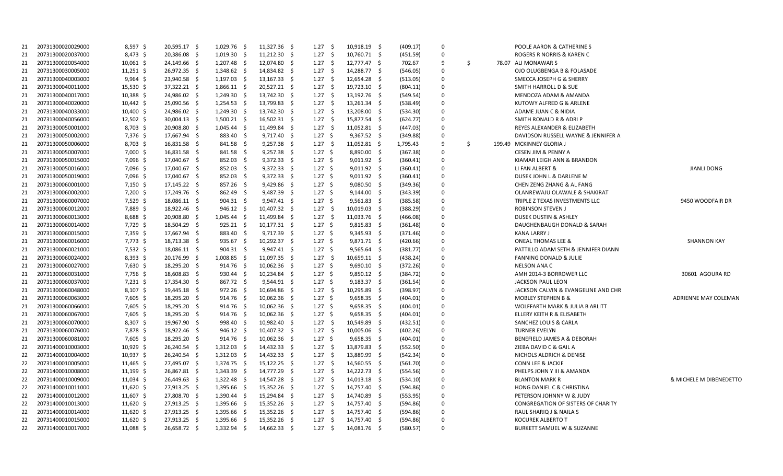| 21 | 20731300020029000 | $8,597$ \$        | 20,595.17 \$      | $1,029.76$ \$       | $11,327.36$ \$       | 1.27              | $10,918.19$ \$<br>- S | (409.17) | $\Omega$    |   | POOLE AARON & CATHERINE S                 |                         |
|----|-------------------|-------------------|-------------------|---------------------|----------------------|-------------------|-----------------------|----------|-------------|---|-------------------------------------------|-------------------------|
| 21 | 20731300020037000 | $8,473$ \$        | 20,386.08 \$      | $1,019.30$ \$       | $11,212.30$ \$       | 1.27 \$           | $10,760.71$ \$        | (451.59) | $\Omega$    |   | ROGERS R NORRIS & KAREN C                 |                         |
| 21 | 20731300020054000 | $10,061$ \$       | 24,149.66 \$      | $1,207.48$ \$       | 12,074.80 \$         | 1.27              | 12,777.47 \$<br>- \$  | 702.67   | 9           | Ś | 78.07 ALI MONAWAR S                       |                         |
| 21 | 20731300030005000 | $11,251$ \$       | 26,972.35 \$      | $1,348.62 \quad$ \$ | 14,834.82 \$         | $1.27 \quad$ \$   | 14,288.77 \$          | (546.05) | $\Omega$    |   | OJO OLUGBENGA B & FOLASADE                |                         |
| 21 | 20731300040003000 | $9,964$ \$        | 23,940.58 \$      | $1,197.03$ \$       | 13,167.33 \$         | $1.27 \quad$ \$   | $12,654.28$ \$        | (513.05) | $\Omega$    |   | SMECCA JOSEPH G & SHERRY                  |                         |
| 21 | 20731300040011000 | $15,530$ \$       | 37,322.21 \$      | $1,866.11$ \$       | $20,527.21$ \$       | 1.27 \$           | 19,723.10 \$          | (804.11) | $\Omega$    |   | SMITH HARROLL D & SUE                     |                         |
| 21 | 20731300040017000 | $10,388$ \$       | 24,986.02 \$      | $1,249.30$ \$       | 13,742.30 \$         | $1.27 \quad$ \$   | 13,192.76 \$          | (549.54) | $\Omega$    |   | MENDOZA ADAM & AMANDA                     |                         |
| 21 | 20731300040020000 | $10,442$ \$       | 25,090.56 \$      | $1,254.53$ \$       | 13,799.83 \$         | 1.27S             | $13,261.34$ \$        | (538.49) | $\mathbf 0$ |   | KUTOWY ALFRED G & ARLENE                  |                         |
| 21 | 20731300040033000 | $10,400$ \$       | 24,986.02 \$      | $1,249.30$ \$       | 13,742.30 \$         | 1.27 \$           | 13,208.00 \$          | (534.30) | $\Omega$    |   | ADAME JUAN C & NIDIA                      |                         |
| 21 | 20731300040056000 | $12,502 \text{ }$ | $30,004.13$ \$    | $1,500.21$ \$       | $16,502.31$ \$       | $1.27 \quad$ \$   | 15,877.54 \$          | (624.77) | $\Omega$    |   | SMITH RONALD R & ADRI P                   |                         |
| 21 | 20731300050001000 | 8,703 \$          | $20,908.80$ \$    | $1,045.44$ \$       | 11,499.84 \$         | $1.27 \quad$ \$   | $11,052.81$ \$        | (447.03) | $\Omega$    |   | REYES ALEXANDER & ELIZABETH               |                         |
| 21 | 20731300050002000 | 7,376 \$          | 17,667.94 \$      | 883.40<br>- S       | $9,717.40 \quad$ \$  | $1.27 \quad$ \$   | $9,367.52$ \$         | (349.88) | $\Omega$    |   | DAVIDSON RUSSELL WAYNE & JENNIFER A       |                         |
| 21 | 20731300050006000 | $8,703$ \$        | 16,831.58 \$      | $841.58\frac{2}{3}$ | $9,257.38$ \$        | $1.27\frac{ }{ }$ | $11,052.81$ \$        | 1,795.43 | 9           | Ś | 199.49 MCKINNEY GLORIA J                  |                         |
| 21 | 20731300050007000 | $7,000$ \$        | 16,831.58 \$      | 841.58<br>- \$      | $9,257.38$ \$        | $1.27 \pm 5$      | 8,890.00 \$           | (367.38) | $\Omega$    |   | <b>CESEN JIM &amp; PENNY A</b>            |                         |
| 21 | 20731300050015000 | 7,096 \$          | 17,040.67 \$      | 852.03<br>-\$       | $9,372.33$ \$        | $1.27 \pm 5$      | $9,011.92 \quad $$    | (360.41) | $\mathbf 0$ |   | KIAMAR LEIGH ANN & BRANDON                |                         |
| 21 | 20731300050016000 | 7,096 \$          | 17,040.67 \$      | 852.03<br>- S       | $9,372.33$ \$        | $1.27 \pm 5$      | $9,011.92 \quad$ \$   | (360.41) | $\Omega$    |   | LI FAN ALBERT &                           | <b>JIANLI DONG</b>      |
| 21 | 20731300050019000 | 7,096 \$          | 17,040.67 \$      | 852.03<br>- Ś       | $9,372.33$ \$        | 1.27S             | $9,011.92 \quad$ \$   | (360.41) | $\Omega$    |   | DUSEK JOHN L & DARLENE M                  |                         |
| 21 | 20731300060001000 | 7,150 \$          | 17,145.22 \$      | $857.26$ \$         | $9,429.86$ \$        | $1.27 \pm 5$      | $9,080.50$ \$         | (349.36) | $\Omega$    |   | CHEN ZENG ZHANG & AL FANG                 |                         |
| 21 | 20731300060002000 | $7,200$ \$        | 17,249.76 \$      | 862.49<br>-\$       | $9,487.39$ \$        | $1.27 \pm 5$      | $9,144.00$ \$         | (343.39) | $\Omega$    |   | OLANREWAJU OLAWALE & SHAKIRAT             |                         |
| 21 | 20731300060007000 | $7,529$ \$        | 18,086.11 \$      | $904.31 \quad$ \$   | $9,947.41$ \$        | $1.27 \pm 5$      | $9,561.83$ \$         | (385.58) | $\Omega$    |   | TRIPLE Z TEXAS INVESTMENTS LLC            | 9450 WOODFAIR DR        |
| 21 | 20731300060012000 | 7,889 \$          | 18,922.46 \$      | $946.12 \quad$ \$   | 10,407.32 \$         | 1.27S             | $10,019.03$ \$        | (388.29) | $\Omega$    |   | <b>ROBINSON STEVEN J</b>                  |                         |
| 21 | 20731300060013000 | $8,688$ \$        | 20,908.80 \$      | $1,045.44$ \$       | 11,499.84 \$         | 1.27 \$           | $11,033.76$ \$        | (466.08) | $\Omega$    |   | DUSEK DUSTIN & ASHLEY                     |                         |
| 21 | 20731300060014000 | 7,729 \$          | 18,504.29 \$      | $925.21 \quad$ \$   | $10,177.31 \quad$ \$ | $1.27 \quad$ \$   | $9,815.83$ \$         | (361.48) | $\Omega$    |   | DAUGHENBAUGH DONALD & SARAH               |                         |
| 21 | 20731300060015000 | $7,359$ \$        | 17,667.94 \$      | 883.40<br>- Ś       | $9,717.39$ \$        | $1.27 \pm 5$      | $9,345.93$ \$         | (371.46) | $\Omega$    |   | KANA LARRY J                              |                         |
| 21 | 20731300060016000 | 7,773 \$          | 18,713.38 \$      | $935.67$ \$         | 10,292.37 \$         | $1.27 \pm 5$      | $9,871.71$ \$         | (420.66) | $\Omega$    |   | <b>ONEAL THOMAS LEE &amp;</b>             | <b>SHANNON KAY</b>      |
| 21 | 20731300060021000 | $7,532$ \$        | 18,086.11 \$      | 904.31<br>- S       | $9,947.41$ \$        | $1.27 \pm 5$      | $9,565.64$ \$         | (381.77) | $\Omega$    |   | PATTILLO ADAM SETH & JENNIFER DIANN       |                         |
| 21 | 20731300060024000 | $8,393$ \$        | 20,176.99 \$      | $1,008.85$ \$       | $11,097.35$ \$       | 1.27 \$           | $10,659.11$ \$        | (438.24) | $\Omega$    |   | FANNING DONALD & JULIE                    |                         |
| 21 | 20731300060027000 | $7,630$ \$        | 18,295.20<br>- \$ | $914.76$ \$         | 10,062.36 \$         | $1.27 \pm 5$      | $9,690.10$ \$         | (372.26) | $\Omega$    |   | <b>NELSON ANA C</b>                       |                         |
| 21 | 20731300060031000 | 7,756 \$          | 18,608.83 \$      | $930.44 \quad$ \$   | 10,234.84 \$         | $1.27 \pm 5$      | $9,850.12$ \$         | (384.72) | $\Omega$    |   | AMH 2014-3 BORROWER LLC                   | 30601 AGOURA RD         |
| 21 | 20731300060037000 | 7,231 \$          | 17,354.30 \$      | 867.72 \$           | $9,544.91$ \$        | $1.27 \quad$ \$   | $9,183.37$ \$         | (361.54) | $\Omega$    |   | JACKSON PAUL LEON                         |                         |
| 21 | 20731300060048000 | $8,107$ \$        | 19,445.18 \$      | $972.26$ \$         | 10,694.86 \$         | 1.27S             | 10,295.89 \$          | (398.97) | $\Omega$    |   | JACKSON CALVIN & EVANGELINE AND CHR       |                         |
| 21 | 20731300060063000 | 7,605 \$          | 18,295.20 \$      | $914.76 \quad $$    | 10,062.36 \$         | $1.27 \quad$ \$   | $9,658.35$ \$         | (404.01) | $\Omega$    |   | <b>MOBLEY STEPHEN B &amp;</b>             | ADRIENNE MAY COLEMAN    |
| 21 | 20731300060066000 | 7,605 \$          | 18,295.20 \$      | $914.76$ \$         | 10,062.36 \$         | $1.27 \pm 5$      | $9,658.35$ \$         | (404.01) | $\Omega$    |   | WOLFFARTH MARK & JULIA B ARLITT           |                         |
| 21 | 20731300060067000 | $7,605$ \$        | 18,295.20 \$      | $914.76 \pm$        | $10,062.36$ \$       | 1.27 \$           | $9,658.35$ \$         | (404.01) | $\Omega$    |   | ELLERY KEITH R & ELISABETH                |                         |
| 21 | 20731300060070000 | $8,307$ \$        | 19,967.90 \$      | 998.40 \$           | 10,982.40 \$         | $1.27\frac{ }{ }$ | 10,549.89 \$          | (432.51) | $\Omega$    |   | SANCHEZ LOUIS & CARLA                     |                         |
| 21 | 20731300060076000 | 7,878 \$          | 18,922.46 \$      | $946.12 \quad$ \$   | 10,407.32 \$         | 1.27 \$           | $10,005.06$ \$        | (402.26) | $\Omega$    |   | TURNER EVELYN                             |                         |
| 21 | 20731300060081000 | 7,605 \$          | 18,295.20 \$      | $914.76$ \$         | 10,062.36 \$         | $1.27 \quad$ \$   | $9,658.35$ \$         | (404.01) | $\Omega$    |   | BENEFIELD JAMES A & DEBORAH               |                         |
| 22 | 20731400010003000 | $10,929$ \$       | 26,240.54 \$      | $1,312.03$ \$       | 14,432.33 \$         | $1.27 \quad$ \$   | 13,879.83 \$          | (552.50) | $\Omega$    |   | ZIEBA DAVID C & GAIL A                    |                         |
| 22 | 20731400010004000 | 10,937 \$         | 26,240.54 \$      | $1,312.03$ \$       | 14,432.33 \$         | $1.27 \quad$ \$   | 13,889.99 \$          | (542.34) | $\Omega$    |   | NICHOLS ALDRICH & DENISE                  |                         |
| 22 | 20731400010005000 | $11,465$ \$       | 27,495.07 \$      | $1,374.75$ \$       | 15,122.25 \$         | 1.27S             | 14,560.55 \$          | (561.70) | $\Omega$    |   | <b>CONN LEE &amp; JACKIE</b>              |                         |
| 22 | 20731400010008000 | $11,199$ \$       | 26,867.81 \$      | $1,343.39$ \$       | 14,777.29 \$         | 1.27 \$           | $14,222.73$ \$        | (554.56) | $\Omega$    |   | PHELPS JOHN Y III & AMANDA                |                         |
| 22 | 20731400010009000 | $11,034$ \$       | 26,449.63 \$      | $1,322.48$ \$       | 14,547.28 \$         | 1.27 \$           | $14,013.18$ \$        | (534.10) | $\Omega$    |   | <b>BLANTON MARK R</b>                     | & MICHELE M DIBENEDETTO |
| 22 | 20731400010011000 | $11,620$ \$       | 27,913.25 \$      | $1,395.66$ \$       | $15,352.26$ \$       | $1.27 \quad$ \$   | 14,757.40 \$          | (594.86) | $\Omega$    |   | HONG DANIEL C & CHRISTINA                 |                         |
| 22 | 20731400010012000 | $11,607$ \$       | 27,808.70 \$      | $1,390.44$ \$       | 15,294.84 \$         | 1.27              | 14,740.89 \$<br>- \$  | (553.95) | $\Omega$    |   | PETERSON JOHNNY W & JUDY                  |                         |
| 22 | 20731400010013000 | $11,620$ \$       | $27,913.25$ \$    | $1,395.66$ \$       | $15,352.26$ \$       | $1.27 \quad$ \$   | 14,757.40 \$          | (594.86) | $\Omega$    |   | <b>CONGREGATION OF SISTERS OF CHARITY</b> |                         |
| 22 | 20731400010014000 | $11,620$ \$       | 27,913.25 \$      | $1,395.66$ \$       | 15,352.26 \$         | $1.27 \quad$ \$   | 14,757.40 \$          | (594.86) | $\Omega$    |   | RAUL SHARIQ J & NAILA S                   |                         |
| 22 | 20731400010015000 | $11,620$ \$       | 27,913.25 \$      | $1,395.66$ \$       | $15,352.26$ \$       | $1.27 \quad$ \$   | 14,757.40 \$          | (594.86) | $\Omega$    |   | <b>KOCUREK ALBERTO T</b>                  |                         |
| 22 | 20731400010017000 | 11,088 \$         | 26,658.72 \$      | $1,332.94$ \$       | 14,662.33 \$         | $1.27 \quad$ \$   | 14,081.76 \$          | (580.57) | $\Omega$    |   | BURKETT SAMUEL W & SUZANNE                |                         |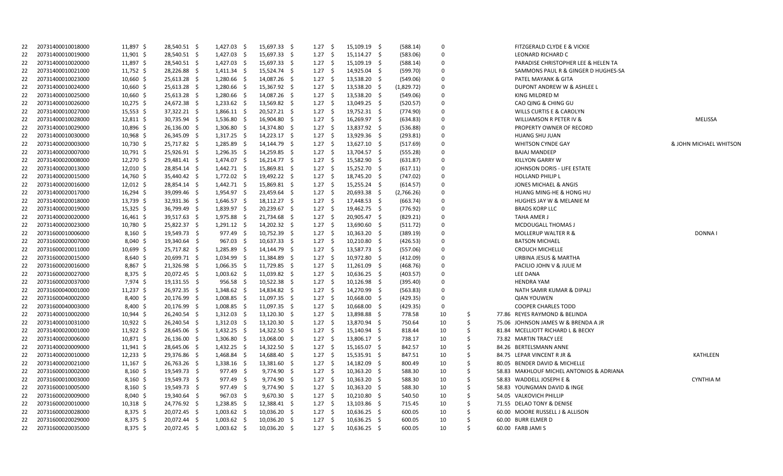| 22 | 20731400010018000 | 11,897 \$     | 28,540.51 \$   | 1,427.03<br>- Ş     | 15,697.33 \$         | 1.27            | - Ş  | 15,109.19 \$   | (588.14)         | 0           |    | FITZGERALD CLYDE E & VICKIE              |                        |
|----|-------------------|---------------|----------------|---------------------|----------------------|-----------------|------|----------------|------------------|-------------|----|------------------------------------------|------------------------|
| 22 | 20731400010019000 | $11,901$ \$   | 28,540.51 \$   | $1,427.03$ \$       | 15,697.33 \$         | 1.27S           |      | 15,114.27 \$   | (583.06)         | $\mathbf 0$ |    | LEONARD RICHARD C                        |                        |
| 22 | 20731400010020000 | $11,897$ \$   | 28,540.51 \$   | 1,427.03<br>- \$    | 15,697.33 \$         | 1.27 \$         |      | 15,109.19 \$   | (588.14)         | $\mathbf 0$ |    | PARADISE CHRISTOPHER LEE & HELEN TA      |                        |
| 22 | 20731400010021000 | $11,752$ \$   | 28,226.88 \$   | $1,411.34$ \$       | 15,524.74 \$         | 1.27 \$         |      | 14,925.04 \$   | (599.70)         | $\mathbf 0$ |    | SAMMONS PAUL R & GINGER D HUGHES-SA      |                        |
| 22 | 20731400010023000 | $10,660$ \$   | 25,613.28 \$   | $1,280.66$ \$       | 14,087.26 \$         | 1.27 \$         |      | 13,538.20      | - \$<br>(549.06) | $\mathbf 0$ |    | PATEL MAYANK & GITA                      |                        |
| 22 | 20731400010024000 | $10,660$ \$   | 25,613.28 \$   | $1,280.66$ \$       | 15,367.92 \$         | 1.27 \$         |      | 13,538.20 \$   | (1,829.72)       | $\Omega$    |    | DUPONT ANDREW W & ASHLEE L               |                        |
| 22 | 20731400010025000 | $10,660$ \$   | 25,613.28 \$   | $1,280.66$ \$       | 14,087.26 \$         | 1.27 \$         |      | 13,538.20      | - \$<br>(549.06) | $\Omega$    |    | KING MILDRED M                           |                        |
| 22 | 20731400010026000 | $10,275$ \$   | 24,672.38 \$   | $1,233.62$ \$       | 13,569.82 \$         | $1.27 \quad$ \$ |      | 13,049.25 \$   | (520.57)         | $\Omega$    |    | CAO QING & CHING GU                      |                        |
| 22 | 20731400010027000 | $15,553$ \$   | 37,322.21 \$   | $1,866.11$ \$       | 20,527.21 \$         | $1.27 \quad$ \$ |      | 19,752.31 \$   | (774.90)         | $\mathbf 0$ |    | WILLS CURTIS E & CAROLYN                 |                        |
| 22 | 20731400010028000 | $12,811$ \$   | 30,735.94 \$   | $1,536.80$ \$       | 16,904.80 \$         | 1.27 \$         |      | 16,269.97 \$   | (634.83)         | $\mathbf 0$ |    | WILLIAMSON R PETER IV &                  | <b>MELISSA</b>         |
| 22 | 20731400010029000 | $10,896$ \$   | 26,136.00 \$   | $1,306.80$ \$       | 14,374.80 \$         | 1.27 \$         |      | 13,837.92 \$   | (536.88)         | $\mathbf 0$ |    | PROPERTY OWNER OF RECORD                 |                        |
| 22 | 20731400010030000 | $10,968$ \$   | 26,345.09 \$   | 1,317.25<br>- \$    | 14,223.17 \$         | 1.27            | - \$ | 13,929.36 \$   | (293.81)         | $\mathbf 0$ |    | HUANG SHU JUAN                           |                        |
| 22 | 20731400020003000 | $10,730$ \$   | 25,717.82 \$   | $1,285.89$ \$       | 14,144.79 \$         | 1.27 \$         |      | $13,627.10$ \$ | (517.69)         | $\Omega$    |    | <b>WHITSON CYNDE GAY</b>                 | & JOHN MICHAEL WHITSON |
| 22 | 20731400020007000 | $10,791$ \$   | 25,926.91 \$   | $1,296.35$ \$       | 14,259.85 \$         | $1.27 \quad$ \$ |      | 13,704.57 \$   | (555.28)         | $\mathbf 0$ |    | <b>BAJAJ MANDEEP</b>                     |                        |
| 22 | 20731400020008000 | $12,270$ \$   | 29,481.41 \$   | $1,474.07$ \$       | 16,214.77 \$         | $1.27 \quad$ \$ |      | 15,582.90 \$   | (631.87)         | $\mathbf 0$ |    | <b>KILLYON GARRY W</b>                   |                        |
| 22 | 20731400020013000 | $12,010$ \$   | 28,854.14 \$   | $1,442.71$ \$       | 15,869.81 \$         | 1.27 \$         |      | 15,252.70 \$   | (617.11)         | $\mathbf 0$ |    | JOHNSON DORIS - LIFE ESTATE              |                        |
| 22 | 20731400020015000 | 14,760 \$     | 35,440.42 \$   | $1,772.02$ \$       | 19,492.22 \$         | 1.27 \$         |      | 18,745.20 \$   | (747.02)         | $\mathbf 0$ |    | HOLLAND PHILIP L                         |                        |
| 22 | 20731400020016000 | $12,012$ \$   | 28,854.14 \$   | $1,442.71$ \$       | 15,869.81 \$         | 1.27 \$         |      | $15,255.24$ \$ | (614.57)         | $\Omega$    |    | JONES MICHAEL & ANGIS                    |                        |
| 22 | 20731400020017000 | $16,294$ \$   | 39,099.46 \$   | $1,954.97$ \$       | 23,459.64 \$         | 1.27 \$         |      | $20,693.38$ \$ | (2,766.26)       | $\mathbf 0$ |    | HUANG MING-HE & HONG HU                  |                        |
| 22 | 20731400020018000 | 13,739 \$     | 32,931.36 \$   | $1,646.57$ \$       | 18,112.27 \$         | $1.27 \quad$ \$ |      | 17,448.53 \$   | (663.74)         | $\mathbf 0$ |    | HUGHES JAY W & MELANIE M                 |                        |
| 22 | 20731400020019000 | $15,325$ \$   | 36,799.49 \$   | 1,839.97<br>- \$    | 20,239.67 \$         | 1.27            | - \$ | 19,462.75 \$   | (776.92)         | $\mathbf 0$ |    | <b>BRADS KORP LLC</b>                    |                        |
| 22 | 20731400020020000 | $16,461$ \$   | 39,517.63 \$   | $1,975.88$ \$       | 21,734.68 \$         | 1.27 \$         |      | 20,905.47 \$   | (829.21)         | $\mathbf 0$ |    | TAHA AMER J                              |                        |
| 22 | 20731400020023000 | $10,780$ \$   | 25,822.37 \$   | $1,291.12 \quad$ \$ | 14,202.32 \$         | 1.27 \$         |      | 13,690.60      | - \$<br>(511.72) | $\mathbf 0$ |    | MCDOUGALL THOMAS J                       |                        |
| 22 | 20731600010006000 | $8,160$ \$    | 19,549.73 \$   | 977.49 \$           | $10,752.39$ \$       | 1.27 \$         |      | $10,363.20$ \$ | (389.19)         | $\Omega$    |    | <b>MOLLERUP WALTER R &amp;</b>           | <b>DONNA</b>           |
| 22 | 20731600020007000 | $8,040$ \$    | 19,340.64 \$   | $967.03 \quad $$    | $10,637.33$ \$       | 1.27 \$         |      | $10,210.80$ \$ | (426.53)         | $\Omega$    |    | <b>BATSON MICHAEL</b>                    |                        |
| 22 | 20731600020011000 | $10,699$ \$   | 25,717.82 \$   | 1,285.89<br>- S     | 14,144.79 \$         | 1.27S           |      | 13,587.73 \$   | (557.06)         | $\mathbf 0$ |    | <b>CROUCH MICHELLE</b>                   |                        |
| 22 | 20731600020015000 | $8,640$ \$    | 20,699.71 \$   | $1,034.99$ \$       | 11,384.89 \$         | $1.27 \quad$ \$ |      | $10,972.80$ \$ | (412.09)         | 0           |    | URBINA JESUS & MARTHA                    |                        |
| 22 | 20731600020016000 | 8,867 \$      | 21,326.98 \$   | $1,066.35$ \$       | $11,729.85$ \$       | $1.27 \quad$ \$ |      | 11,261.09      | - \$<br>(468.76) | $\mathbf 0$ |    | PACILIO JOHN V & JULIE M                 |                        |
| 22 | 20731600020027000 | $8,375$ \$    | 20,072.45 \$   | $1,003.62 \quad $$  | 11,039.82 \$         | 1.27 \$         |      | $10,636.25$ \$ | (403.57)         | $\mathbf 0$ |    | LEE DANA                                 |                        |
| 22 | 20731600020037000 | 7,974 \$      | $19,131.55$ \$ | $956.58$ \$         | $10,522.38$ \$       | 1.27            | - \$ | 10,126.98      | - \$<br>(395.40) | $\mathbf 0$ |    | <b>HENDRA YAM</b>                        |                        |
| 22 | 20731600040001000 | $11,237$ \$   | 26,972.35 \$   | $1,348.62 \quad$ \$ | 14,834.82 \$         | 1.27 \$         |      | 14,270.99 \$   | (563.83)         | $\mathbf 0$ |    | NATH SAMIR KUMAR & DIPALI                |                        |
| 22 | 20731600040002000 | $8,400$ \$    | 20,176.99 \$   | $1,008.85$ \$       | 11,097.35 \$         | $1.27 \quad$ \$ |      | 10,668.00 \$   | (429.35)         | $\mathbf 0$ |    | <b>QIAN YOUWEN</b>                       |                        |
| 22 | 20731600040003000 | $8,400$ \$    | 20,176.99 \$   | $1,008.85$ \$       | 11,097.35 \$         | $1.27 \quad$ \$ |      | 10,668.00 \$   | (429.35)         | 0           |    | <b>COOPER CHARLES TODD</b>               |                        |
| 22 | 20731400010002000 | $10,944$ \$   | 26,240.54 \$   | $1,312.03$ \$       | $13,120.30$ \$       | 1.27 \$         |      | 13,898.88 \$   | 778.58           | 10          | \$ | 77.86 REYES RAYMOND & BELINDA            |                        |
| 22 | 20731400010031000 | $10,922$ \$   | 26,240.54 \$   | 1,312.03<br>- \$    | $13,120.30$ \$       | 1.27            | - \$ | 13,870.94 \$   | 750.64           | 10          | \$ | 75.06 JOHNSON JAMES W & BRENDA A JR      |                        |
| 22 | 20731400020001000 | $11,922$ \$   | 28,645.06 \$   | $1,432.25$ \$       | $14,322.50$ \$       | 1.27 \$         |      | $15,140.94$ \$ | 818.44           | 10          | \$ | 81.84 MCELLIOTT RICHARD L & BECKY        |                        |
| 22 | 20731400020006000 | $10,871$ \$   | 26,136.00 \$   | $1,306.80$ \$       | 13,068.00 \$         | 1.27 \$         |      | 13,806.17 \$   | 738.17           | 10          | Ŝ. | 73.82 MARTIN TRACY LEE                   |                        |
| 22 | 20731400020009000 | $11,941$ \$   | 28,645.06 \$   | $1,432.25$ \$       | 14,322.50 \$         | 1.27S           |      | 15,165.07 \$   | 842.57           | 10          | Ŝ. | 84.26 BERTELSMANN ANNE                   |                        |
| 22 | 20731400020010000 | $12,233$ \$   | 29,376.86 \$   | $1,468.84$ \$       | 14,688.40 \$         | $1.27 \quad$ \$ |      | 15,535.91 \$   | 847.51           | 10          | -Ś | 84.75 LEPAR VINCENT R JR &               | KATHLEEN               |
| 22 | 20731400020021000 | $11,167$ \$   | 26,763.26 \$   | $1,338.16$ \$       | 13,381.60 \$         | $1.27 \quad$ \$ |      | 14,182.09 \$   | 800.49           | 10          | Ŝ. | 80.05 BENDER DAVID & MICHELLE            |                        |
| 22 | 20731600010002000 | $8,160$ \$    | 19,549.73 \$   | 977.49 \$           | $9,774.90$ \$        | 1.27 \$         |      | $10,363.20$ \$ | 588.30           | 10          | Ŝ. | 58.83 MAKHLOUF MICHEL ANTONIOS & ADRIANA |                        |
| 22 | 20731600010003000 | $8,160$ \$    | 19,549.73 \$   | 977.49<br>- \$      | $9,774.90$ \$        | 1.27 \$         |      | $10,363.20$ \$ | 588.30           | 10          | Ŝ. | 58.83 WADDELL JOSEPH E &                 | <b>CYNTHIA M</b>       |
| 22 | 20731600010005000 | $8,160$ \$    | 19,549.73 \$   | $977.49 \quad$ \$   | $9,774.90$ \$        | 1.27 \$         |      | $10,363.20$ \$ | 588.30           | 10          | Ŝ. | 58.83 YOUNGMAN DAVID & INGE              |                        |
| 22 | 20731600020009000 | $8,040 \;$ \$ | 19,340.64 \$   | 967.03<br>- \$      | $9,670.30$ \$        | $1.27 \quad$ \$ |      | 10,210.80      | - Ś<br>540.50    | 10          | Ŝ. | 54.05 VALKOVICH PHILLIP                  |                        |
| 22 | 20731600020010000 | $10,318$ \$   | 24,776.92 \$   | $1,238.85$ \$       | $12,388.41 \quad$ \$ | $1.27 \quad$ \$ |      | 13,103.86 \$   | 715.45           | 10          | Ŝ. | 71.55 DELAO TONY & DENISE                |                        |
| 22 | 20731600020028000 | $8,375$ \$    | 20,072.45 \$   | $1,003.62 \quad $$  | 10,036.20 \$         | 1.27 \$         |      | $10,636.25$ \$ | 600.05           | 10          | Ś. | 60.00 MOORE RUSSELL J & ALLISON          |                        |
| 22 | 20731600020029000 | $8,375$ \$    | 20,072.44 \$   | $1,003.62 \quad $$  | $10,036.20$ \$       | 1.27 \$         |      | $10,636.25$ \$ | 600.05           | 10          |    | 60.00 BURR ELMER D                       |                        |
|    |                   |               |                |                     |                      |                 |      |                |                  | 10          | Š. |                                          |                        |
| 22 | 20731600020035000 | $8,375$ \$    | 20,072.45 \$   | $1,003.62 \quad $$  | $10,036.20$ \$       | $1.27 \quad$ \$ |      | $10,636.25$ \$ | 600.05           |             |    | 60.00 FARB JAMI S                        |                        |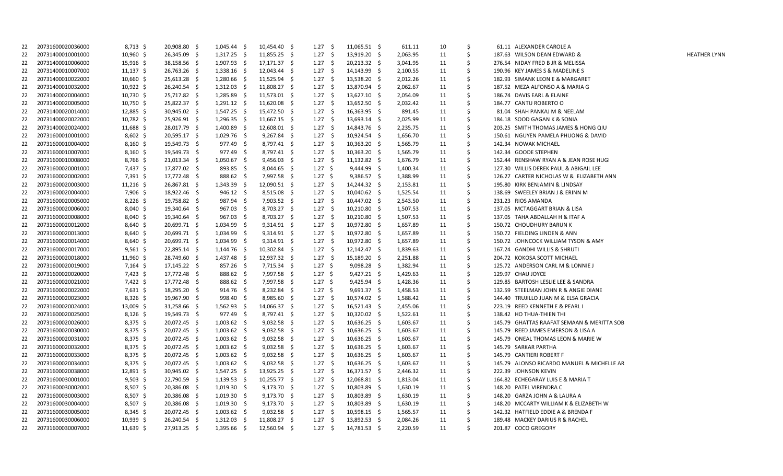| 22 | 20731600020036000 | $8,713$ \$  | 20,908.80 \$   | 1,045.44<br>- S     | 10,454.40 \$   | 1.27 \$         | $11,065.51$ \$ | 611.11   | 10 | \$. | 61.11 ALEXANDER CAROLE A                   |                     |
|----|-------------------|-------------|----------------|---------------------|----------------|-----------------|----------------|----------|----|-----|--------------------------------------------|---------------------|
| 22 | 20731400010001000 | $10,960$ \$ | 26,345.09 \$   | $1,317.25$ \$       | $11,855.25$ \$ | $1.27 \quad$ \$ | 13,919.20 \$   | 2,063.95 | 11 | \$  | 187.63 WILSON DEAN EDWARD &                | <b>HEATHER LYNN</b> |
| 22 | 20731400010006000 | $15,916$ \$ | 38,158.56 \$   | 1,907.93 \$         | 17,171.37 \$   | 1.27 \$         | 20,213.32 \$   | 3,041.95 | 11 | \$  | 276.54 NIDAY FRED B JR & MELISSA           |                     |
| 22 | 20731400010007000 | $11,137$ \$ | 26,763.26 \$   | $1,338.16$ \$       | 12,043.44 \$   | 1.27 \$         | 14,143.99 \$   | 2,100.55 | 11 | \$  | 190.96 KEY JAMES S & MADELINE S            |                     |
| 22 | 20731400010022000 | $10,660$ \$ | $25,613.28$ \$ | $1,280.66$ \$       | $11,525.94$ \$ | 1.27 \$         | 13,538.20 \$   | 2,012.26 | 11 | Ś.  | 182.93 SIMANK LEON E & MARGARET            |                     |
| 22 | 20731400010032000 | $10,922$ \$ | 26,240.54 \$   | $1,312.03$ \$       | 11,808.27 \$   | 1.27 \$         | 13,870.94 \$   | 2,062.67 | 11 | \$  | 187.52 MEZA ALFONSO A & MARIA G            |                     |
| 22 | 20731400020004000 | 10,730 \$   | 25,717.82 \$   | 1,285.89 \$         | $11,573.01$ \$ | 1.27 \$         | 13,627.10 \$   | 2,054.09 | 11 | \$  | 186.74 DAVIS EARL & ELAINE                 |                     |
| 22 | 20731400020005000 | $10,750$ \$ | 25,822.37 \$   | $1,291.12 \quad$ \$ | $11,620.08$ \$ | 1.27 \$         | 13,652.50 \$   | 2,032.42 | 11 | \$  | 184.77 CANTU ROBERTO O                     |                     |
| 22 | 20731400020014000 | 12,885 \$   | 30,945.02 \$   | $1,547.25$ \$       | 15,472.50 \$   | 1.27 \$         | $16,363.95$ \$ | 891.45   | 11 | \$  | 81.04 SHAH PANKAJ M & NEELAM               |                     |
| 22 | 20731400020022000 | $10,782$ \$ | 25,926.91 \$   | $1,296.35$ \$       | $11,667.15$ \$ | 1.27 \$         | $13,693.14$ \$ | 2,025.99 | 11 | \$  | 184.18 SOOD GAGAN K & SONIA                |                     |
| 22 | 20731400020024000 | $11,688$ \$ | 28,017.79 \$   | $1,400.89$ \$       | $12,608.01$ \$ | 1.27 \$         | 14,843.76 \$   | 2,235.75 | 11 | \$  | 203.25 SMITH THOMAS JAMES & HONG QIU       |                     |
| 22 | 20731600010001000 | $8,602$ \$  | 20,595.17 \$   | $1,029.76$ \$       | $9,267.84$ \$  | 1.27 \$         | $10,924.54$ \$ | 1,656.70 | 11 | \$  | 150.61 NGUYEN PAMELA PHUONG & DAVID        |                     |
| 22 | 20731600010004000 | $8,160$ \$  | 19,549.73 \$   | $977.49$ \$         | 8,797.41 \$    | 1.27 \$         | $10,363.20$ \$ | 1,565.79 | 11 | \$  | 142.34 NOWAK MICHAEL                       |                     |
| 22 | 20731600010007000 | 8,160,5     | 19,549.73 \$   | $977.49$ \$         | 8,797.41 \$    | 1.27 \$         | $10,363.20$ \$ | 1,565.79 | 11 | \$  | 142.34 GOODE STEPHEN                       |                     |
| 22 | 20731600010008000 | 8,766 \$    | $21,013.34$ \$ | $1,050.67$ \$       | $9,456.03$ \$  | 1.27 \$         | 11,132.82 \$   | 1,676.79 | 11 | Ś.  | 152.44 RENSHAW RYAN A & JEAN ROSE HUGI     |                     |
| 22 | 20731600020001000 | 7,437 \$    | 17,877.02 \$   | $893.85$ \$         | $8,044.65$ \$  | $1.27 \pm 5$    | $9,444.99$ \$  | 1,400.34 | 11 | \$  | 127.30 WILLIS DEREK PAUL & ABIGAIL LEE     |                     |
| 22 | 20731600020002000 | 7,391 \$    | 17,772.48 \$   | 888.62 \$           | 7,997.58 \$    | $1.27 \pm 5$    | $9,386.57$ \$  | 1,388.99 | 11 | \$  | 126.27 CARTER NICHOLAS W & ELIZABETH ANN   |                     |
| 22 | 20731600020003000 | $11,216$ \$ | 26,867.81 \$   | $1,343.39$ \$       | 12,090.51 \$   | 1.27 \$         | 14,244.32 \$   | 2,153.81 | 11 | \$  | 195.80 KIRK BENJAMIN & LINDSAY             |                     |
| 22 | 20731600020004000 | 7,906 \$    | 18,922.46 \$   | $946.12 \quad$ \$   | $8,515.08$ \$  | 1.27 \$         | $10,040.62$ \$ | 1,525.54 | 11 | \$  | 138.69 SWEELEY BRIAN J & ERINN M           |                     |
| 22 | 20731600020005000 | $8,226$ \$  | 19,758.82 \$   | 987.94 \$           | 7,903.52 \$    | 1.27 \$         | 10,447.02 \$   | 2,543.50 | 11 | \$  | 231.23 RIOS AMANDA                         |                     |
| 22 | 20731600020006000 | $8,040$ \$  | 19,340.64 \$   | $967.03$ \$         | 8,703.27 \$    | 1.27 \$         | 10,210.80 \$   | 1,507.53 | 11 | Ś.  | 137.05 MCTAGGART BRIAN & LISA              |                     |
| 22 | 20731600020008000 | $8,040$ \$  | 19,340.64 \$   | $967.03$ \$         | 8,703.27 \$    | 1.27 \$         | 10,210.80 \$   | 1,507.53 | 11 | \$  | 137.05 TAHA ABDALLAH H & ITAF A            |                     |
| 22 | 20731600020012000 | $8,640$ \$  | 20,699.71 \$   | $1,034.99$ \$       | $9,314.91$ \$  | 1.27 \$         | 10,972.80 \$   | 1,657.89 | 11 | \$  | 150.72 CHOUDHURY BARUN K                   |                     |
| 22 | 20731600020013000 | $8,640$ \$  | 20,699.71 \$   | $1,034.99$ \$       | $9,314.91$ \$  | 1.27 \$         | 10,972.80 \$   | 1,657.89 | 11 | \$  | 150.72 FIELDING LINDEN & ANN               |                     |
| 22 | 20731600020014000 | $8,640$ \$  | 20,699.71 \$   | $1,034.99$ \$       | $9,314.91$ \$  | 1.27 \$         | 10,972.80 \$   | 1,657.89 | 11 | \$  | 150.72 JOHNCOCK WILLIAM TYSON & AMY        |                     |
| 22 | 20731600020017000 | $9,561$ \$  | 22,895.14 \$   | $1,144.76$ \$       | $10,302.84$ \$ | 1.27 \$         | 12,142.47 \$   | 1,839.63 | 11 | \$  | 167.24 GANDHI WILLIS & SHRUTI              |                     |
| 22 | 20731600020018000 | $11,960$ \$ | 28,749.60 \$   | 1,437.48 \$         | 12,937.32 \$   | $1.27 \quad$ \$ | 15,189.20 \$   | 2,251.88 | 11 | \$  | 204.72 KOKOSA SCOTT MICHAEL                |                     |
| 22 | 20731600020019000 | $7,164$ \$  | $17,145.22$ \$ | 857.26 \$           | $7,715.34$ \$  | $1.27 \pm 5$    | $9,098.28$ \$  | 1,382.94 | 11 | Ś.  | 125.72 ANDERSON CARL M & LONNIE J          |                     |
| 22 | 20731600020020000 | $7,423$ \$  | 17,772.48 \$   | 888.62 \$           | 7,997.58 \$    | 1.27 \$         | $9,427.21$ \$  | 1,429.63 | 11 | \$  | 129.97 CHAU JOYCE                          |                     |
| 22 | 20731600020021000 | $7,422$ \$  | 17,772.48 \$   | 888.62 \$           | 7,997.58 \$    | 1.27 \$         | $9,425.94$ \$  | 1,428.36 | 11 | \$  | 129.85 BARTOSH LESLIE LEE & SANDRA         |                     |
| 22 | 20731600020022000 | 7,631 \$    | 18,295.20 \$   | $914.76 \quad$ \$   | 8,232.84 \$    | 1.27 \$         | $9,691.37$ \$  | 1,458.53 | 11 | \$  | 132.59 STEELMAN JOHN R & ANGIE DIANE       |                     |
| 22 | 20731600020023000 | $8,326$ \$  | 19,967.90 \$   | 998.40 \$           | 8,985.60 \$    | 1.27 \$         | 10,574.02 \$   | 1,588.42 | 11 | \$  | 144.40 TRUJILLO JUAN M & ELSA GRACIA       |                     |
| 22 | 20731600020024000 | 13,009 \$   | 31,258.66 \$   | $1,562.93$ \$       | 14,066.37 \$   | 1.27 \$         | 16,521.43 \$   | 2,455.06 | 11 | \$  | 223.19 REED KENNETH E & PEARL I            |                     |
| 22 | 20731600020025000 | $8,126$ \$  | 19,549.73 \$   | $977.49$ \$         | 8,797.41 \$    | 1.27 \$         | $10,320.02$ \$ | 1,522.61 | 11 | \$  | 138.42 HO THUA-THIEN THI                   |                     |
| 22 | 20731600020026000 | $8,375$ \$  | 20,072.45 \$   | $1,003.62$ \$       | $9,032.58$ \$  | 1.27 \$         | $10,636.25$ \$ | 1,603.67 | 11 | Ś.  | 145.79 GHATTAS RAAFAT SEMAAN & MERITTA SOB |                     |
| 22 | 20731600020030000 | $8,375$ \$  | $20,072.45$ \$ | $1,003.62$ \$       | $9,032.58$ \$  | $1.27 \quad$ \$ | $10,636.25$ \$ | 1,603.67 | 11 | \$  | 145.79 REED JAMES EMERSON & LISA A         |                     |
| 22 | 20731600020031000 | $8,375$ \$  | 20,072.45 \$   | $1,003.62$ \$       | $9,032.58$ \$  | 1.27 \$         | 10,636.25 \$   | 1,603.67 | 11 | \$  | 145.79 ONEAL THOMAS LEON & MARIE W         |                     |
| 22 | 20731600020032000 | $8,375$ \$  | 20,072.45 \$   | $1,003.62$ \$       | $9,032.58$ \$  | 1.27 \$         | $10,636.25$ \$ | 1,603.67 | 11 | \$  | 145.79 SARKAR PARTHA                       |                     |
| 22 | 20731600020033000 | $8,375$ \$  | 20,072.45 \$   | $1,003.62 \quad $$  | $9,032.58$ \$  | 1.27 \$         | $10,636.25$ \$ | 1,603.67 | 11 | \$  | 145.79 CANTIERI ROBERT F                   |                     |
| 22 | 20731600020034000 | $8,375$ \$  | 20,072.45 \$   | $1,003.62$ \$       | $9,032.58$ \$  | $1.27 \quad$ \$ | $10,636.25$ \$ | 1,603.67 | 11 | \$  | 145.79 ALONSO RICARDO MANUEL & MICHELLE AR |                     |
| 22 | 20731600020038000 | 12,891 \$   | $30,945.02$ \$ | $1,547.25$ \$       | $13,925.25$ \$ | 1.27 \$         | 16,371.57 \$   | 2,446.32 | 11 | \$  | 222.39 JOHNSON KEVIN                       |                     |
| 22 | 20731600030001000 | $9,503$ \$  | 22,790.59 \$   | $1,139.53$ \$       | $10,255.77$ \$ | 1.27 \$         | 12,068.81 \$   | 1,813.04 | 11 | \$  | 164.82 ECHEGARAY LUIS E & MARIA T          |                     |
| 22 | 20731600030002000 | $8,507$ \$  | 20,386.08 \$   | $1,019.30$ \$       | $9,173.70$ \$  | 1.27 \$         | 10,803.89 \$   | 1,630.19 | 11 | \$  | 148.20 PATEL VIRENDRA C                    |                     |
| 22 | 20731600030003000 | $8,507$ \$  | 20,386.08 \$   | $1,019.30$ \$       | $9,173.70$ \$  | 1.27 \$         | 10,803.89 \$   | 1,630.19 | 11 | \$  | 148.20 GARZA JOHN A & LAURA A              |                     |
| 22 | 20731600030004000 | $8,507$ \$  | 20,386.08 \$   | $1,019.30$ \$       | $9,173.70$ \$  | 1.27 \$         | 10,803.89 \$   | 1,630.19 | 11 | \$  | 148.20 MCCARTY WILLIAM K & ELIZABETH W     |                     |
| 22 | 20731600030005000 | $8,345$ \$  | $20,072.45$ \$ | $1,003.62 \quad $$  | $9,032.58$ \$  | $1.27 \quad$ \$ | $10,598.15$ \$ | 1,565.57 | 11 | \$  | 142.32 HATFIELD EDDIE A & BRENDA F         |                     |
| 22 | 20731600030006000 | 10,939 \$   | 26,240.54 \$   | $1,312.03$ \$       | 11,808.27 \$   | 1.27 \$         | 13,892.53 \$   | 2,084.26 | 11 | \$  | 189.48 MACKEY DARIUS R & RACHEL            |                     |
| 22 | 20731600030007000 | 11,639 \$   | $27,913.25$ \$ | 1,395.66 \$         | 12,560.94 \$   | $1.27 \quad$ \$ | 14,781.53 \$   | 2,220.59 | 11 | Ś.  | 201.87 COCO GREGORY                        |                     |
|    |                   |             |                |                     |                |                 |                |          |    |     |                                            |                     |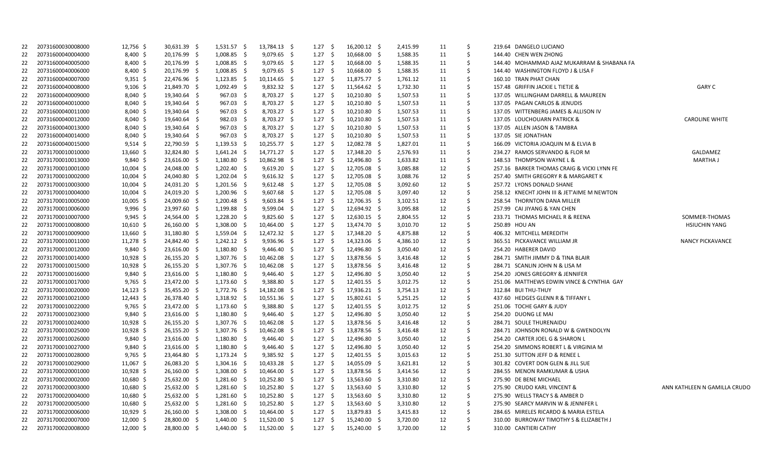| 22       | 20731600030008000                      | $12,756$ \$               | $30,631.39$ \$               | $1,531.57$ \$                  | 13,784.13 \$                    | 1.27<br>-\$        | 16,200.12 \$                 | 2,415.99             | 11       | \$       | 219.64 DANGELO LUCIANO                         |                              |
|----------|----------------------------------------|---------------------------|------------------------------|--------------------------------|---------------------------------|--------------------|------------------------------|----------------------|----------|----------|------------------------------------------------|------------------------------|
| 22       | 20731600040004000                      | $8,400$ \$                | 20,176.99 \$                 | $1,008.85$ \$                  | $9,079.65$ \$                   | 1.27 \$            | $10,668.00$ \$               | 1,588.35             | 11       | Ś.       | 144.40 CHEN WEN ZHONG                          |                              |
| 22       | 20731600040005000                      | 8,400 \$                  | $20,176.99$ \$               | $1,008.85$ \$                  | $9,079.65$ \$                   | 1.27 \$            | $10,668.00$ \$               | 1,588.35             | 11       | \$       | 144.40 MOHAMMAD AJAZ MUKARRAM & SHABANA FA     |                              |
| 22       | 20731600040006000                      | $8,400$ \$                | $20,176.99$ \$               | $1,008.85$ \$                  | $9,079.65$ \$                   | 1.27 \$            | $10,668.00$ \$               | 1,588.35             | 11       | Ś        | 144.40 WASHINGTON FLOYD J & LISA F             |                              |
| 22       | 20731600040007000                      | $9,351$ \$                | 22,476.96 \$                 | $1,123.85$ \$                  | $10,114.65$ \$                  | 1.27 \$            | 11,875.77 \$                 | 1,761.12             | 11       | Ś.       | 160.10 TRAN PHAT CHAN                          |                              |
| 22       | 20731600040008000                      | $9,106$ \$                | 21,849.70 \$                 | $1,092.49$ \$                  | $9,832.32$ \$                   | 1.27 \$            | 11,564.62 \$                 | 1,732.30             | 11       | \$       | 157.48 GRIFFIN JACKIE L TIETJE &               | <b>GARY C</b>                |
| 22       | 20731600040009000                      | $8,040$ \$                | 19,340.64 \$                 | $967.03 \quad $$               | $8,703.27$ \$                   | 1.27 \$            | $10,210.80$ \$               | 1,507.53             | 11       | \$       | 137.05 WILLINGHAM DARRELL & MAUREEN            |                              |
| 22       | 20731600040010000                      | $8,040$ \$                | 19,340.64 \$                 | 967.03<br>-S                   | $8,703.27$ \$                   | 1.27 \$            | $10,210.80$ \$               | 1,507.53             | 11       | \$       | 137.05 PAGAN CARLOS & JENUDIS                  |                              |
| 22       | 20731600040011000                      | $8,040$ \$                | 19,340.64<br>- \$            | $967.03 \quad $$               | 8,703.27 \$                     | $1.27 \quad$ \$    | $10,210.80$ \$               | 1,507.53             | 11       | \$       | 137.05 WITTENBERG JAMES & ALLISON IV           |                              |
| 22       | 20731600040012000                      | $8,040$ \$                | 19,640.64 \$                 | $982.03 \quad$ \$              | $8,703.27$ \$                   | 1.27 \$            | $10,210.80$ \$               | 1,507.53             | 11       | \$       | 137.05 LOUCHOUARN PATRICK &                    | <b>CAROLINE WHITE</b>        |
| 22       | 20731600040013000                      | $8,040$ \$                | 19,340.64 \$                 | $967.03 \quad $$               | $8,703.27$ \$                   | 1.27 \$            | $10,210.80$ \$               | 1,507.53             | 11       | \$       | 137.05 ALLEN JASON & TAMBRA                    |                              |
| 22       | 20731600040014000                      | $8,040$ \$                | 19,340.64 \$                 | 967.03<br>Ŝ.                   | $8,703.27$ \$                   | $1.27 \quad$ \$    | $10,210.80$ \$               | 1,507.53             | 11       | Ś        | 137.05 SIE JONATHAN                            |                              |
| 22       | 20731600040015000                      | $9,514$ \$                | 22,790.59 \$                 | $1,139.53$ \$                  | $10,255.77$ \$                  | 1.27 \$            | 12,082.78 \$                 | 1,827.01             | 11       | \$       | 166.09 VICTORIA JOAQUIN M & ELVIA B            |                              |
| 22       | 20731700010010000                      | 13,660 \$                 | 32,824.80 \$                 | $1,641.24$ \$                  | 14,771.27 \$                    | 1.27 \$            | 17,348.20 \$                 | 2,576.93             | 11       | \$       | 234.27 RAMOS SERVANDO & FLOR M                 | GALDAMEZ                     |
| 22       | 20731700010013000                      | $9,840$ \$                | 23,616.00 \$                 | $1,180.80$ \$                  | $10,862.98$ \$                  | 1.27 \$            | 12,496.80 \$                 | 1,633.82             | 11       | \$       | 148.53 THOMPSON WAYNE L &                      | <b>MARTHA J</b>              |
| 22       | 20731700010001000                      | $10,004$ \$               | 24,048.00 \$                 | $1,202.40$ \$                  | $9,619.20$ \$                   | $1.27 \quad$ \$    | 12,705.08 \$                 | 3,085.88             | 12       | Ś.       | 257.16 BARKER THOMAS CRAIG & VICKI LYNN FE     |                              |
| 22       | 20731700010002000                      | $10,004$ \$               | 24,040.80 \$                 | $1,202.04$ \$                  | $9,616.32$ \$                   | 1.27 \$            | 12,705.08 \$                 | 3,088.76             | 12       | \$       | 257.40 SMITH GREGORY R & MARGARET K            |                              |
| 22       | 20731700010003000                      | $10,004$ \$               | 24,031.20 \$                 | $1,201.56$ \$                  | $9,612.48$ \$                   | 1.27 \$            | 12,705.08 \$                 | 3,092.60             | 12       | \$       | 257.72 LYONS DONALD SHANE                      |                              |
| 22       | 20731700010004000                      | $10,004$ \$               | 24,019.20 \$                 | $1,200.96$ \$                  | $9,607.68$ \$                   | 1.27 \$            | 12,705.08 \$                 | 3,097.40             | 12       | \$       | 258.12 KNECHT JOHN III & JET'AIME M NEWTON     |                              |
| 22       | 20731700010005000                      | $10,005$ \$               | 24,009.60 \$                 | $1,200.48$ \$                  | $9,603.84$ \$                   | 1.27 \$            | 12,706.35 \$                 | 3,102.51             | 12       | \$       | 258.54 THORNTON DANA MILLER                    |                              |
| 22       | 20731700010006000                      | $9,996$ \$                | 23,997.60 \$                 | 1,199.88<br>-S                 | $9,599.04$ \$                   | 1.27 \$            | 12,694.92 \$                 | 3,095.88             | 12       | \$       | 257.99 CAI JIYANG & YAN CHEN                   |                              |
| 22       | 20731700010007000                      | $9,945$ \$                | 24,564.00 \$                 | $1,228.20$ \$                  | $9,825.60$ \$                   | 1.27 \$            | $12,630.15$ \$               | 2,804.55             | 12       | Ś.       | 233.71 THOMAS MICHAEL R & REENA                | SOMMER-THOMAS                |
| 22       | 20731700010008000                      | $10,610$ \$               | 26,160.00 \$                 | $1,308.00$ \$                  | 10,464.00 \$                    | $1.27 \quad$ \$    | 13,474.70 \$                 | 3,010.70             | 12       | Ś.       | 250.89 HOU AN                                  | <b>HSIUCHIN YANG</b>         |
| 22       | 20731700010009000                      | 13,660 \$                 | $31,180.80$ \$               | $1,559.04$ \$                  | 12,472.32 \$                    | 1.27 \$            | 17,348.20 \$                 | 4,875.88             | 12       | \$       | 406.32 MITCHELL MEREDITH                       |                              |
| 22       | 20731700010011000                      | $11,278$ \$               | 24,842.40 \$                 | $1,242.12$ \$                  | $9,936.96$ \$                   | 1.27 \$            | 14,323.06 \$                 | 4,386.10             | 12       | \$       | 365.51 PICKAVANCE WILLIAM JR                   | <b>NANCY PICKAVANCE</b>      |
| 22       | 20731700010012000                      | $9,840$ \$                | 23,616.00 \$                 | $1,180.80$ \$                  | $9,446.40$ \$                   | 1.27 \$            | 12,496.80 \$                 | 3,050.40             | 12       | \$       | 254.20 HABERER DAVID                           |                              |
| 22       | 20731700010014000                      | $10,928$ \$               | 26,155.20 \$                 | $1,307.76$ \$                  | 10,462.08 \$                    | 1.27 \$            | 13,878.56 \$                 | 3,416.48             | 12       | \$       | 284.71 SMITH JIMMY D & TINA BLAIR              |                              |
| 22       | 20731700010015000                      | $10,928$ \$               | 26,155.20 \$                 | $1,307.76$ \$                  | $10,462.08$ \$                  | 1.27 \$            | 13,878.56 \$                 | 3,416.48             | 12       | \$       | 284.71 SCANLIN JOHN N & LISA M                 |                              |
| 22       | 20731700010016000                      | $9,840$ \$                | 23,616.00 \$                 | $1,180.80$ \$                  | $9,446.40$ \$                   | 1.27 \$            | 12,496.80 \$                 | 3,050.40             | 12       | Ś.       | 254.20 JONES GREGORY & JENNIFER                |                              |
| 22       | 20731700010017000                      | $9,765$ \$                | 23,472.00 \$                 | $1,173.60$ \$                  | $9,388.80$ \$                   | 1.27 \$            | 12,401.55 \$                 | 3,012.75             | 12       | Ś        | 251.06 MATTHEWS EDWIN VINCE & CYNTHIA GAY      |                              |
| 22       | 20731700010020000                      | $14,123$ \$               | 35,455.20 \$                 | $1,772.76$ \$                  | 14,182.08 \$                    | 1.27 \$            | 17,936.21 \$                 | 3,754.13             | 12       | \$       | 312.84 BUI THU-THUY                            |                              |
| 22       | 20731700010021000                      | $12,443$ \$               | 26,378.40 \$                 | $1,318.92 \quad $$             | $10,551.36$ \$                  | $1.27 \quad$ \$    | $15,802.61$ \$               | 5,251.25             | 12       | \$       | 437.60 HEDGES GLENN R & TIFFANY L              |                              |
| 22       | 20731700010022000                      | $9,765$ \$                | 23,472.00 \$                 | $1,173.60$ \$                  | $9,388.80$ \$                   | 1.27 \$            | 12,401.55 \$                 | 3,012.75             | 12       | \$       | 251.06 TOCHE GARY & JUDY                       |                              |
|          |                                        |                           |                              |                                |                                 |                    |                              |                      |          | \$       |                                                |                              |
| 22<br>22 | 20731700010023000<br>20731700010024000 | $9,840$ \$<br>$10,928$ \$ | $23,616.00$ \$               | $1,180.80$ \$<br>$1,307.76$ \$ | $9,446.40$ \$<br>$10,462.08$ \$ | 1.27 \$<br>1.27 \$ | 12,496.80 \$<br>13,878.56 \$ | 3,050.40<br>3,416.48 | 12<br>12 | \$       | 254.20 DUONG LE MAI<br>284.71 SOULE THURENAIDU |                              |
| 22       | 20731700010025000                      | $10,928$ \$               | 26,155.20 \$                 |                                | 10,462.08 \$                    | $1.27 \quad$ \$    | 13,878.56 \$                 | 3,416.48             | 12       | Ś.       | 284.71 JOHNSON RONALD W & GWENDOLYN            |                              |
| 22       | 20731700010026000                      | $9,840$ \$                | 26,155.20 \$<br>23,616.00 \$ | $1,307.76$ \$                  | $9,446.40$ \$                   | $1.27 \quad$ \$    | 12,496.80 \$                 |                      | 12       | Ś        | 254.20 CARTER JOEL G & SHARON L                |                              |
|          |                                        |                           |                              | $1,180.80$ \$                  |                                 |                    |                              | 3,050.40             |          | \$       |                                                |                              |
| 22       | 20731700010027000                      | $9,840$ \$                | $23,616.00$ \$               | $1,180.80$ \$                  | $9,446.40$ \$                   | 1.27 \$            | 12,496.80 \$                 | 3,050.40             | 12       | \$       | 254.20 SIMMONS ROBERT L & VIRGINIA M           |                              |
| 22       | 20731700010028000                      | $9,765$ \$                | 23,464.80 \$                 | $1,173.24$ \$                  | $9,385.92$ \$                   | 1.27 \$            | $12,401.55$ \$               | 3,015.63             | 12       |          | 251.30 SUTTON JEFF D & RENEE L                 |                              |
| 22       | 20731700010029000                      | $11,067$ \$               | 26,083.20 \$                 | $1,304.16$ \$                  | $10,433.28$ \$                  | 1.27 \$            | $14,055.09$ \$               | 3,621.81             | 12       | \$       | 301.82 COVERT DON GLEN & JILL SUE              |                              |
| 22       | 20731700020001000                      | $10,928$ \$               | $26,160.00$ \$               | $1,308.00$ \$                  | 10,464.00 \$                    | 1.27 \$            | 13,878.56 \$                 | 3,414.56             | 12       | \$<br>Ś. | 284.55 MENON RAMKUMAR & USHA                   |                              |
| 22       | 20731700020002000                      | $10,680$ \$               | 25,632.00 \$                 | $1,281.60$ \$                  | $10,252.80$ \$                  | 1.27 \$            | 13,563.60 \$                 | 3,310.80             | 12       |          | 275.90 DE BENE MICHAEL                         |                              |
| 22       | 20731700020003000                      | 10,680 \$                 | 25,632.00 \$                 | $1,281.60$ \$                  | 10,252.80 \$                    | $1.27 \quad$ \$    | $13,563.60$ \$               | 3,310.80             | 12       | \$       | 275.90 CRUDO KARL VINCENT &                    | ANN KATHLEEN N GAMILLA CRUDO |
| 22       | 20731700020004000                      | $10,680$ \$               | $25,632.00$ \$               | $1,281.60$ \$                  | $10,252.80$ \$                  | 1.27 \$            | $13,563.60$ \$               | 3,310.80             | 12       | Ś        | 275.90 WELLS TRACY S & AMBER D                 |                              |
| 22       | 20731700020005000                      | $10,680$ \$               | $25,632.00$ \$               | $1,281.60$ \$                  | 10,252.80 \$                    | 1.27 \$            | 13,563.60 \$                 | 3,310.80             | 12       | Ś.       | 275.90 SEARCY MARVIN W & JENNIFER L            |                              |
| 22       | 20731700020006000                      | $10,929$ \$               | $26,160.00$ \$               | $1,308.00$ \$                  | 10,464.00 \$                    | 1.27 \$            | 13,879.83 \$                 | 3,415.83             | 12       | Ś.       | 284.65 MIRELES RICARDO & MARIA ESTELA          |                              |
| 22       | 20731700020007000                      | $12,000$ \$               | 28,800.00 \$                 | $1,440.00$ \$                  | $11,520.00$ \$                  | 1.27 \$            | 15,240.00 \$                 | 3,720.00             | 12       | \$       | 310.00 BURROWAY TIMOTHY S & ELIZABETH J        |                              |
| 22       | 20731700020008000                      | $12,000 \; \text{S}$      | 28,800.00 \$                 | $1,440.00$ \$                  | $11,520.00$ \$                  | $1.27 \quad$ \$    | 15,240.00 \$                 | 3,720.00             | 12       | Ś.       | 310.00 CANTIERI CATHY                          |                              |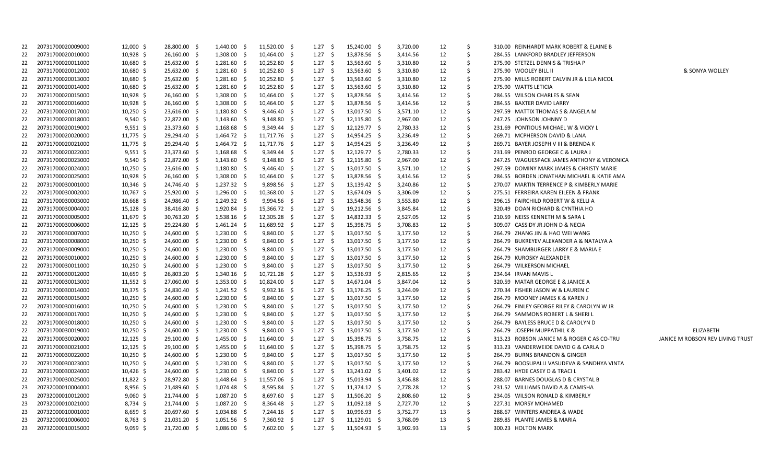| 22       | 20731700020009000                      | $12,000$ \$                | 28,800.00<br>- Ş | 1,440.00<br>- Ş                | $11,520.00$ \$               | 1.27                    | 15,240.00 \$         | 3,720.00 | 12 | Ŝ  | 310.00 REINHARDT MARK ROBERT & ELAINE B    |                                  |
|----------|----------------------------------------|----------------------------|------------------|--------------------------------|------------------------------|-------------------------|----------------------|----------|----|----|--------------------------------------------|----------------------------------|
| 22       | 20731700020010000                      | $10,928$ \$                | 26,160.00 \$     | 1,308.00 \$                    | 10,464.00 \$                 | $1.27 \quad$ \$         | 13,878.56 \$         | 3,414.56 | 12 | \$ | 284.55 LANKFORD BRADLEY JEFFERSON          |                                  |
| 22       | 20731700020011000                      | 10,680 \$                  | 25,632.00 \$     | $1,281.60$ \$                  | 10,252.80 \$                 | 1.27<br>- S             | 13,563.60 \$         | 3,310.80 | 12 | \$ | 275.90 STETZEL DENNIS & TRISHA P           |                                  |
| 22       | 20731700020012000                      | $10,680$ \$                | 25,632.00 \$     | $1,281.60$ \$                  | $10,252.80$ \$               | 1.27 \$                 | 13,563.60 \$         | 3,310.80 | 12 | \$ | 275.90 WOOLEY BILL II                      | & SONYA WOLLEY                   |
| 22       | 20731700020013000                      | $10,680$ \$                | 25,632.00 \$     | $1,281.60$ \$                  | $10,252.80$ \$               | 1.27 \$                 | 13,563.60 \$         | 3,310.80 | 12 | Ś  | 275.90 MILLS ROBERT CALVIN JR & LELA NICOL |                                  |
| 22       | 20731700020014000                      | $10,680$ \$                | 25,632.00 \$     | $1,281.60$ \$                  | 10,252.80 \$                 | 1.27 \$                 | 13,563.60 \$         | 3,310.80 | 12 | \$ | 275.90 WATTS LETICIA                       |                                  |
| 22       | 20731700020015000                      | $10,928$ \$                | 26,160.00 \$     | $1,308.00$ \$                  | 10,464.00 \$                 | 1.27 \$                 | 13,878.56 \$         | 3,414.56 | 12 | \$ | 284.55 WILSON CHARLES & SEAN               |                                  |
| 22       | 20731700020016000                      | $10,928$ \$                | 26,160.00 \$     | $1,308.00$ \$                  | 10,464.00 \$                 | 1.27 \$                 | 13,878.56 \$         | 3,414.56 | 12 | \$ | 284.55 BAXTER DAVID LARRY                  |                                  |
| 22       | 20731700020017000                      | $10,250$ \$                | 23,616.00 \$     | $1,180.80$ \$                  | $9,446.40$ \$                | $1.27 \quad$ \$         | $13,017.50$ \$       | 3,571.10 | 12 | Ś  | 297.59 MATTIX THOMAS S & ANGELA M          |                                  |
| 22       | 20731700020018000                      | $9,540$ \$                 | 22,872.00 \$     | $1,143.60$ \$                  | $9,148.80$ \$                | $1.27 \quad$ \$         | 12,115.80 \$         | 2,967.00 | 12 | \$ | 247.25 JOHNSON JOHNNY D                    |                                  |
| 22       | 20731700020019000                      | $9,551$ \$                 | 23,373.60 \$     | $1,168.68$ \$                  | $9,349.44$ \$                | $1.27 \quad$ \$         | 12,129.77 \$         | 2,780.33 | 12 | \$ | 231.69 PONTIOUS MICHAEL W & VICKY L        |                                  |
| 22       | 20731700020020000                      | $11,775$ \$                | 29,294.40 \$     | $1,464.72$ \$                  | 11,717.76 \$                 | 1.27 \$                 | 14,954.25 \$         | 3,236.49 | 12 | \$ | 269.71 MCPHERSON DAVID & LANA              |                                  |
| 22       | 20731700020021000                      | $11,775$ \$                | 29,294.40 \$     | $1,464.72$ \$                  | $11,717.76$ \$               | 1.27 \$                 | 14,954.25 \$         | 3,236.49 | 12 | \$ | 269.71 BAYER JOSEPH V III & BRENDA K       |                                  |
| 22       | 20731700020022000                      | $9,551$ \$                 | 23,373.60 \$     | 1,168.68<br>- \$               | $9,349.44$ \$                | 1.27 \$                 | $12,129.77$ \$       | 2,780.33 | 12 | \$ | 231.69 PENROD GEORGE C & LAURA J           |                                  |
| 22       | 20731700020023000                      | $9,540$ \$                 | 22,872.00 \$     | 1,143.60<br>- S                | $9,148.80$ \$                | 1.27 \$                 | $12,115.80$ \$       | 2,967.00 | 12 | \$ | 247.25 WAGUESPACK JAMES ANTHONY & VERONICA |                                  |
| 22       | 20731700020024000                      | $10,250$ \$                | 23,616.00 \$     | 1,180.80<br>- \$               | $9,446.40$ \$                | 1.27 \$                 | 13,017.50 \$         | 3,571.10 | 12 | Ś. | 297.59 DOMINY MARK JAMES & CHRISTY MARIE   |                                  |
| 22       | 20731700020025000                      | $10,928$ \$                | 26,160.00 \$     | $1,308.00$ \$                  | 10,464.00 \$                 | $1.27 \quad$ \$         | 13,878.56 \$         | 3,414.56 | 12 | \$ | 284.55 BORDEN JONATHAN MICHAEL & KATIE AMA |                                  |
| 22       | 20731700030001000                      | $10,346$ \$                | 24,746.40 \$     | $1,237.32$ \$                  | $9,898.56$ \$                | $1.27 \quad$ \$         | $13,139.42 \quad$ \$ | 3,240.86 | 12 | \$ | 270.07 MARTIN TERRENCE P & KIMBERLY MARIE  |                                  |
| 22       | 20731700030002000                      | 10,767 \$                  | 25,920.00 \$     | $1,296.00$ \$                  | 10,368.00 \$                 | $1.27 \quad$ \$         | 13,674.09 \$         | 3,306.09 | 12 | \$ | 275.51 FERREIRA KAREN EILEEN & FRANK       |                                  |
|          |                                        | $10,668$ \$                | 24,986.40 \$     | $1,249.32$ \$                  | $9,994.56$ \$                | 1.27 \$                 | 13,548.36 \$         | 3,553.80 | 12 | \$ | 296.15 FAIRCHILD ROBERT W & KELLI A        |                                  |
| 22<br>22 | 20731700030003000                      |                            |                  |                                |                              |                         |                      |          | 12 | Ś  | 320.49 DOAN RICHARD & CYNTHIA HO           |                                  |
|          | 20731700030004000<br>20731700030005000 | $15,128$ \$<br>$11,679$ \$ | 38,416.80 \$     | $1,920.84$ \$<br>$1,538.16$ \$ | 15,366.72 \$<br>12,305.28 \$ | 1.27<br>- \$<br>1.27 \$ | 19,212.56 \$         | 3,845.84 | 12 | \$ |                                            |                                  |
| 22       |                                        |                            | 30,763.20 \$     |                                |                              |                         | 14,832.33 \$         | 2,527.05 |    | \$ | 210.59 NEISS KENNETH M & SARA L            |                                  |
| 22       | 20731700030006000                      | $12,125$ \$                | 29,224.80 \$     | $1,461.24$ \$                  | 11,689.92 \$                 | 1.27 \$                 | 15,398.75 \$         | 3,708.83 | 12 |    | 309.07 CASSIDY JR JOHN D & NECIA           |                                  |
| 22       | 20731700030007000                      | $10,250$ \$                | 24,600.00 \$     | $1,230.00$ \$                  | $9,840.00$ \$                | $1.27 \quad$ \$         | $13,017.50$ \$       | 3,177.50 | 12 | \$ | 264.79 ZHANG JIN & HAO WEI WANG            |                                  |
| 22       | 20731700030008000                      | $10,250$ \$                | 24,600.00 \$     | 1,230.00<br>- \$               | $9,840.00$ \$                | $1.27 \quad$ \$         | 13,017.50 \$         | 3,177.50 | 12 | Ŝ. | 264.79 BUKREYEV ALEXANDER A & NATALYA A    |                                  |
| 22       | 20731700030009000                      | $10,250$ \$                | 24,600.00 \$     | 1,230.00<br>- S                | $9,840.00$ \$                | $1.27 \quad$ \$         | 13,017.50 \$         | 3,177.50 | 12 | \$ | 264.79 SHAMBURGER LARRY E & MARIA E        |                                  |
| 22       | 20731700030010000                      | $10,250$ \$                | 24,600.00 \$     | $1,230.00$ \$                  | $9,840.00$ \$                | $1.27 \quad$ \$         | $13,017.50$ \$       | 3,177.50 | 12 | \$ | 264.79 KUROSKY ALEXANDER                   |                                  |
| 22       | 20731700030011000                      | $10,250$ \$                | 24,600.00 \$     | 1,230.00<br>-S                 | $9,840.00$ \$                | 1.27 \$                 | $13,017.50$ \$       | 3,177.50 | 12 | Ś  | 264.79 WILKERSON MICHAEL                   |                                  |
| 22       | 20731700030012000                      | $10,659$ \$                | 26,803.20 \$     | $1,340.16$ \$                  | $10,721.28$ \$               | 1.27 \$                 | $13,536.93$ \$       | 2,815.65 | 12 | \$ | 234.64 IRVAN MAVIS L                       |                                  |
| 22       | 20731700030013000                      | $11,552$ \$                | 27,060.00 \$     | $1,353.00$ \$                  | 10,824.00 \$                 | 1.27 \$                 | 14,671.04 \$         | 3,847.04 | 12 | \$ | 320.59 MATAR GEORGE E & JANICE A           |                                  |
| 22       | 20731700030014000                      | $10,375$ \$                | 24,830.40 \$     | $1,241.52$ \$                  | $9,932.16$ \$                | 1.27 \$                 | $13,176.25$ \$       | 3,244.09 | 12 | \$ | 270.34 FISHER JASON W & LAUREN C           |                                  |
| 22       | 20731700030015000                      | $10,250$ \$                | 24,600.00 \$     | $1,230.00$ \$                  | $9,840.00$ \$                | 1.27 \$                 | $13,017.50$ \$       | 3,177.50 | 12 | Ś. | 264.79 MOONEY JAMES K & KAREN.             |                                  |
| 22       | 20731700030016000                      | $10,250$ \$                | 24,600.00 \$     | 1,230.00<br>- S                | $9,840.00$ \$                | $1.27 \quad$ \$         | $13,017.50$ \$       | 3,177.50 | 12 | Ŝ. | 264.79 FINLEY GEORGE RILEY & CAROLYN W JR  |                                  |
| 22       | 20731700030017000                      | $10,250$ \$                | 24,600.00 \$     | 1,230.00<br>- S                | $9,840.00$ \$                | $1.27 \quad$ \$         | $13,017.50$ \$       | 3,177.50 | 12 | \$ | 264.79 SAMMONS ROBERT L & SHERIL           |                                  |
| 22       | 20731700030018000                      | $10,250$ \$                | 24,600.00 \$     | 1,230.00<br>- Ś                | $9,840.00$ \$                | $1.27 \quad$ \$         | $13,017.50$ \$       | 3,177.50 | 12 | \$ | 264.79 BAYLESS BRUCE D & CAROLYN D         |                                  |
| 22       | 20731700030019000                      | $10,250$ \$                | 24,600.00 \$     | $1,230.00$ \$                  | $9,840.00$ \$                | 1.27 \$                 | $13,017.50$ \$       | 3,177.50 | 12 | \$ | 264.79 JOSEPH MUPPATHIL K &                | ELIZABETH                        |
| 22       | 20731700030020000                      | $12,125$ \$                | $29,100.00$ \$   | 1,455.00<br>- \$               | 11,640.00 \$                 | 1.27 \$                 | 15,398.75 \$         | 3,758.75 | 12 | \$ | 313.23 ROBSON JANICE M & ROGER C AS CO-TRU | JANICE M ROBSON REV LIVING TRUST |
| 22       | 20731700030021000                      | $12,125$ \$                | 29,100.00 \$     | $1,455.00$ \$                  | 11,640.00 \$                 | 1.27 \$                 | 15,398.75 \$         | 3,758.75 | 12 | \$ | 313.23 VANDERWEIDE DAVID G & CARLA D       |                                  |
| 22       | 20731700030022000                      | $10,250$ \$                | 24,600.00 \$     | 1,230.00<br>- \$               | $9,840.00$ \$                | 1.27 \$                 | $13,017.50$ \$       | 3,177.50 | 12 | \$ | 264.79 BURNS BRANDON & GINGER              |                                  |
| 22       | 20731700030023000                      | $10,250$ \$                | 24,600.00 \$     | 1,230.00<br>- S                | $9,840.00$ \$                | 1.27 \$                 | 13,017.50 \$         | 3,177.50 | 12 | Ŝ. | 264.79 BOOSUPALLI VASUDEVA & SANDHYA VINTA |                                  |
| 22       | 20731700030024000                      | $10,426$ \$                | 24,600.00 \$     | 1,230.00<br>- \$               | $9,840.00$ \$                | $1.27 \quad$ \$         | 13,241.02 \$         | 3,401.02 | 12 | Ŝ. | 283.42 HYDE CASEY D & TRACI L              |                                  |
| 22       | 20731700030025000                      | 11,822 \$                  | 28,972.80 \$     | $1,448.64$ \$                  | 11,557.06 \$                 | $1.27 \quad$ \$         | 15,013.94 \$         | 3,456.88 | 12 | \$ | 288.07 BARNES DOUGLAS D & CRYSTAL B        |                                  |
| 23       | 20732000010004000                      | $8,956$ \$                 | 21,489.60 \$     | $1,074.48$ \$                  | $8,595.84$ \$                | $1.27 \quad$ \$         | $11,374.12 \quad$ \$ | 2,778.28 | 12 | \$ | 231.52 WILLIAMS DAVID A & CAMISHA          |                                  |
| 23       | 20732000010012000                      | $9,060$ \$                 | 21,744.00 \$     | 1,087.20<br>- Ś                | $8,697.60$ \$                | 1.27 \$                 | $11,506.20$ \$       | 2,808.60 | 12 | \$ | 234.05 WILSON RONALD & KIMBERLY            |                                  |
| 23       | 20732000010021000                      | $8,734$ \$                 | 21,744.00 \$     | 1,087.20<br>- S                | $8,364.48$ \$                | 1.27 \$                 | $11,092.18$ \$       | 2,727.70 | 12 | \$ | 227.31 MORSY MOHAMED                       |                                  |
| 23       | 20732000010001000                      | $8,659$ \$                 | 20,697.60 \$     | 1,034.88<br>- \$               | $7,244.16$ \$                | 1.27 \$                 | $10,996.93$ \$       | 3,752.77 | 13 | \$ | 288.67 WINTERS ANDREA & WADE               |                                  |
| 23       | 20732000010006000                      | $8,763$ \$                 | 21,031.20 \$     | $1,051.56$ \$                  | 7,360.92 \$                  | 1.27 \$                 | $11,129.01$ \$       | 3,768.09 | 13 | \$ | 289.85 PLANTE JAMES & MARIA                |                                  |
| 23       | 20732000010015000                      | $9,059$ \$                 | 21,720.00 \$     | $1,086.00$ \$                  | $7,602.00$ \$                | 1.27 \$                 | 11,504.93 \$         | 3,902.93 | 13 | Ś. | 300.23 HOLTON MARK                         |                                  |
|          |                                        |                            |                  |                                |                              |                         |                      |          |    |    |                                            |                                  |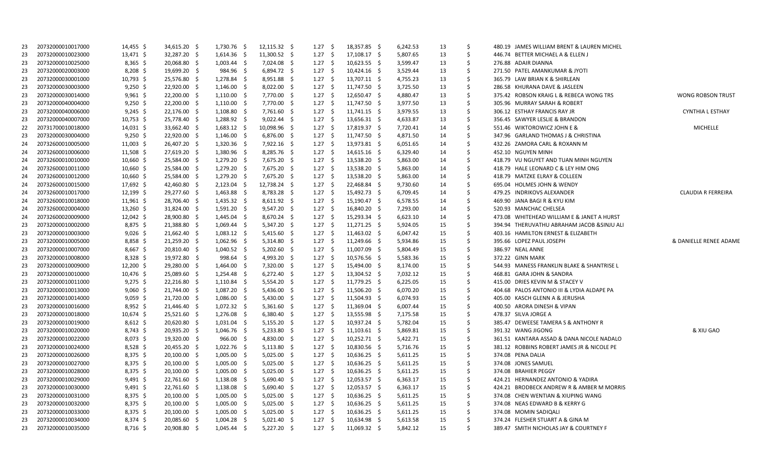| 23 | 20732000010017000 | $14,455$ \$       | 34,615.20 \$   | 1,730.76 \$         | 12,115.32<br>- S | 1.27            | -S | 18,357.85 \$         | 6,242.53 | 13 | -S        | 480.19 JAMES WILLIAM BRENT & LAUREN MICHEL  |                           |
|----|-------------------|-------------------|----------------|---------------------|------------------|-----------------|----|----------------------|----------|----|-----------|---------------------------------------------|---------------------------|
| 23 | 20732000010023000 | 13,471 \$         | 32,287.20 \$   | $1,614.36$ \$       | $11,300.52$ \$   | 1.27S           |    | 17,108.17 \$         | 5,807.65 | 13 | Ŝ.        | 446.74 BETTER MICHAEL A & ELLEN J           |                           |
| 23 | 20732000010025000 | $8,365$ \$        | 20,068.80 \$   | $1,003.44$ \$       | $7,024.08$ \$    | $1.27 \quad$ \$ |    | $10,623.55$ \$       | 3,599.47 | 13 | \$.       | 276.88 ADAIR DIANNA                         |                           |
| 23 | 20732000020003000 | $8,208$ \$        | 19,699.20 \$   | 984.96 \$           | $6,894.72$ \$    | $1.27 \quad$ \$ |    | $10,424.16$ \$       | 3,529.44 | 13 | \$        | 271.50 PATEL AMANKUMAR & JYOTI              |                           |
| 23 | 20732000030001000 | $10,793$ \$       | 25,576.80 \$   | $1,278.84$ \$       | 8,951.88 \$      | $1.27 \quad$ \$ |    | 13,707.11 \$         | 4,755.23 | 13 | \$        | 365.79 LAW BRIAN K & SHIRLEAN               |                           |
| 23 | 20732000030003000 | $9,250$ \$        | 22,920.00 \$   | $1,146.00$ \$       | 8,022.00 \$      | $1.27 \quad$ \$ |    | 11,747.50 \$         | 3,725.50 | 13 | Ŝ.        | 286.58 KHURANA DAVE & JASLEEN               |                           |
| 23 | 20732000030014000 | $9,961$ \$        | 22,200.00 \$   | $1,110.00$ \$       | 7,770.00 \$      | 1.27S           |    | 12,650.47 \$         | 4,880.47 | 13 | Ŝ.        | 375.42 ROBSON KRAIG L & REBECA WONG TRS     | WONG ROBSON TRUST         |
| 23 | 20732000040004000 | $9,250$ \$        | $22,200.00$ \$ | $1,110.00$ \$       | 7,770.00 \$      | 1.27S           |    | 11,747.50 \$         | 3,977.50 | 13 | Ś.        | 305.96 MURRAY SARAH & ROBERT                |                           |
| 23 | 20732000040006000 | $9,245$ \$        | 22,176.00 \$   | $1,108.80\quad$ \$  | 7,761.60 \$      | $1.27 \quad$ \$ |    | $11,741.15 \quad$ \$ | 3,979.55 | 13 | \$        | 306.12 ESTHAY FRANCIS RAY JR                | <b>CYNTHIA L ESTHAY</b>   |
| 23 | 20732000040007000 | $10,753$ \$       | 25,778.40 \$   | $1,288.92 \quad$ \$ | $9,022.44$ \$    | $1.27 \quad$ \$ |    | $13,656.31$ \$       | 4,633.87 | 13 | \$.       | 356.45 SAWYER LESLIE & BRANDON              |                           |
| 22 | 20731700010018000 | $14,031$ \$       | 33,662.40 \$   | $1,683.12 \quad$ \$ | 10,098.96 \$     | 1.27 \$         |    | 17,819.37 \$         | 7,720.41 | 14 | \$.       | 551.46 WIKTOROWICZ JOHN E &                 | <b>MICHELLE</b>           |
| 23 | 20732000030004000 | $9,250$ \$        | 22,920.00 \$   | $1,146.00$ \$       | $6,876.00$ \$    | $1.27 \quad$ \$ |    | 11,747.50 \$         | 4,871.50 | 14 | Ŝ.        | 347.96 GARLAND THOMAS J & CHRISTINA         |                           |
| 24 | 20732600010005000 | $11,003 \; \;$ \$ | 26,407.20 \$   | $1,320.36$ \$       | 7,922.16 \$      | $1.27 \quad$ \$ |    | 13,973.81 \$         | 6,051.65 | 14 | Ŝ.        | 432.26 ZAMORA CARL & ROXANN M               |                           |
| 24 | 20732600010006000 | $11,508$ \$       | 27,619.20 \$   | $1,380.96$ \$       | $8,285.76$ \$    | 1.27S           |    | $14,615.16$ \$       | 6,329.40 | 14 | Ŝ.        | 452.10 NGUYEN MINH                          |                           |
| 24 | 20732600010010000 | $10,660$ \$       | 25,584.00 \$   | $1,279.20$ \$       | 7,675.20 \$      | $1.27 \quad$ \$ |    | 13,538.20 \$         | 5,863.00 | 14 | Ŝ.        | 418.79 VU NGUYET AND TUAN MINH NGUYEN       |                           |
| 24 | 20732600010011000 | $10,660$ \$       | 25,584.00 \$   | $1,279.20$ \$       | 7,675.20 \$      | $1.27 \quad$ \$ |    | 13,538.20 \$         | 5,863.00 | 14 | Ś.        | 418.79 HALE LEONARD C & LEY HIM ONG         |                           |
| 24 | 20732600010012000 | $10,660$ \$       | 25,584.00 \$   | $1,279.20$ \$       | 7,675.20 \$      | $1.27 \quad$ \$ |    | $13,538.20$ \$       | 5,863.00 | 14 | \$.       | 418.79 MATZKE ELRAY & COLLEEN               |                           |
| 24 | 20732600010015000 | 17,692 \$         | 42,460.80 \$   | $2,123.04$ \$       | 12,738.24 \$     | 1.27S           |    | 22,468.84 \$         | 9,730.60 | 14 | Ŝ.        | 695.04 HOLMES JOHN & WENDY                  |                           |
| 24 | 20732600010017000 | $12,199$ \$       | 29,277.60 \$   | 1,463.88 \$         | $8,783.28$ \$    | $1.27 \quad$ \$ |    | 15,492.73 \$         | 6,709.45 | 14 | Ŝ.        | 479.25 INDRIKOVS ALEXANDER                  | <b>CLAUDIA R FERREIRA</b> |
| 24 | 20732600010018000 | 11,961 \$         | 28,706.40 \$   | $1,435.32 \quad$ \$ | $8,611.92$ \$    | $1.27 \quad$ \$ |    | 15,190.47 \$         | 6,578.55 | 14 | \$        | 469.90 JANA BAGI R & KYU KIM                |                           |
| 24 | 20732600020004000 | $13,260$ \$       | 31,824.00 \$   | $1,591.20$ \$       | $9,547.20$ \$    | $1.27 \quad$ \$ |    | 16,840.20 \$         | 7,293.00 | 14 | Ś.        | 520.93 MANCHAC CHELSEA                      |                           |
| 24 | 20732600020009000 | $12,042 \;$ \$    | 28,900.80 \$   | $1,445.04$ \$       | $8,670.24$ \$    | $1.27 \quad$ \$ |    | $15,293.34$ \$       | 6,623.10 | 14 | Ŝ.        | 473.08 WHITEHEAD WILLIAM E & JANET A HURST  |                           |
| 23 | 20732000010002000 | $8,875$ \$        | 21,388.80 \$   | $1,069.44$ \$       | $5,347.20$ \$    | 1.27 \$         |    | $11,271.25$ \$       | 5,924.05 | 15 | Ŝ.        | 394.94 THERUVATHU ABRAHAM JACOB & SINJU ALI |                           |
| 23 | 20732000010003000 | $9,026$ \$        | $21,662.40$ \$ | $1,083.12 \quad$ \$ | $5,415.60$ \$    | 1.27S           |    | 11,463.02 \$         | 6,047.42 | 15 | Ŝ.        | 403.16 HAMILTON ERNEST & ELIZABETH          |                           |
| 23 | 20732000010005000 | $8,858$ \$        | $21,259.20$ \$ | $1,062.96$ \$       | $5,314.80$ \$    | 1.27S           |    | 11,249.66 \$         | 5,934.86 | 15 | Ŝ.        | 395.66 LOPEZ PAUL JOSEPH                    | & DANIELLE RENEE ADAME    |
| 23 | 20732000010007000 | $8,667$ \$        | 20,810.40 \$   | $1,040.52$ \$       | $5,202.60$ \$    | 1.27S           |    | 11,007.09 \$         | 5,804.49 | 15 | Ŝ.        | 386.97 NEAL ANNE                            |                           |
| 23 | 20732000010008000 | $8,328$ \$        | 19,972.80 \$   | 998.64 \$           | 4,993.20 \$      | $1.27 \quad$ \$ |    | 10,576.56 \$         | 5,583.36 | 15 | \$        | 372.22 GINN MARK                            |                           |
| 23 | 20732000010009000 | $12,200$ \$       | 29,280.00 \$   | 1,464.00<br>- \$    | 7,320.00 \$      | $1.27 \quad$ \$ |    | 15,494.00 \$         | 8,174.00 | 15 | \$        | 544.93 MANESS FRANKLIN BLAKE & SHANTRISE L  |                           |
| 23 | 20732000010010000 | $10,476$ \$       | 25,089.60 \$   | $1,254.48$ \$       | $6,272.40$ \$    | $1.27 \quad$ \$ |    | $13,304.52$ \$       | 7,032.12 | 15 | \$.       | 468.81 GARA JOHN & SANDRA                   |                           |
| 23 | 20732000010011000 | $9,275$ \$        | 22,216.80 \$   | $1,110.84$ \$       | $5,554.20$ \$    | $1.27 \quad$ \$ |    | 11,779.25 \$         | 6,225.05 | 15 | Ŝ.        | 415.00 DRIES KEVIN M & STACEY V             |                           |
| 23 | 20732000010013000 | $9,060$ \$        | 21,744.00 \$   | $1,087.20$ \$       | $5,436.00$ \$    | 1.27S           |    | $11,506.20$ \$       | 6,070.20 | 15 | Ŝ.        | 404.68 PALOS ANTONIO III & LYDIA ALDAPE PA  |                           |
| 23 | 20732000010014000 | $9,059$ \$        | 21,720.00 \$   | $1,086.00$ \$       | $5,430.00$ \$    | $1.27 \quad$ \$ |    | 11,504.93 \$         | 6,074.93 | 15 | Ś.        | 405.00 KASCH GLENN A & JERUSHA              |                           |
| 23 | 20732000010016000 | $8,952$ \$        | 21,446.40 \$   | $1,072.32$ \$       | $5,361.60$ \$    | $1.27 \quad$ \$ |    | 11,369.04 \$         | 6,007.44 | 15 | Ŝ.        | 400.50 ARORA DINESH & VIPAN                 |                           |
| 23 | 20732000010018000 | $10,674$ \$       | 25,521.60 \$   | $1,276.08$ \$       | $6,380.40$ \$    | $1.27 \quad$ \$ |    | $13,555.98$ \$       | 7,175.58 | 15 | \$.       | 478.37 SILVA JORGE A                        |                           |
| 23 | 20732000010019000 | $8,612$ \$        | 20,620.80 \$   | $1,031.04$ \$       | $5,155.20$ \$    | $1.27 \quad$ \$ |    | $10,937.24$ \$       | 5,782.04 | 15 | \$.       | 385.47 DEWEESE TAMERA S & ANTHONY R         |                           |
| 23 | 20732000010020000 | $8,743 \quad $$   | 20,935.20 \$   | 1,046.76 \$         | $5,233.80$ \$    | 1.27S           |    | $11,103.61$ \$       | 5,869.81 | 15 | \$.       | 391.32 WANG JIGONG                          | & XIU GAO                 |
| 23 | 20732000010022000 | $8,073 \quad $$   | 19,320.00 \$   | 966.00<br>- S       | $4,830.00$ \$    | 1.27S           |    | $10,252.71$ \$       | 5,422.71 | 15 | Ŝ.        | 361.51 KANTARA ASSAD & DANA NICOLE NADALO   |                           |
| 23 | 20732000010024000 | $8,528$ \$        | $20,455.20$ \$ | $1,022.76$ \$       | $5,113.80$ \$    | $1.27 \quad$ \$ |    | 10,830.56 \$         | 5,716.76 | 15 | Ś.        | 381.12 ROBBINS ROBERT JAMES JR & NICOLE PE  |                           |
| 23 | 20732000010026000 | $8,375$ \$        | $20,100.00$ \$ | $1,005.00$ \$       | $5,025.00$ \$    | $1.27 \quad$ \$ |    | 10,636.25 \$         | 5,611.25 | 15 | Ś.        | 374.08 PENA DALIA                           |                           |
|    |                   |                   |                |                     |                  |                 |    |                      |          |    | \$.       | 374.08 JONES SAMUEL                         |                           |
| 23 | 20732000010027000 | $8,375$ \$        | $20,100.00$ \$ | $1,005.00$ \$       | $5,025.00$ \$    | $1.27 \quad$ \$ |    | $10,636.25$ \$       | 5,611.25 | 15 |           |                                             |                           |
| 23 | 20732000010028000 | $8,375$ \$        | $20,100.00$ \$ | $1,005.00$ \$       | $5,025.00$ \$    | $1.27 \quad$ \$ |    | $10,636.25$ \$       | 5,611.25 | 15 | \$.<br>Ŝ. | 374.08 BRAHIER PEGGY                        |                           |
| 23 | 20732000010029000 | $9,491$ \$        | 22,761.60 \$   | $1,138.08$ \$       | $5,690.40$ \$    | 1.27S           |    | 12,053.57 \$         | 6,363.17 | 15 |           | 424.21 HERNANDEZ ANTONIO & YADIRA           |                           |
| 23 | 20732000010030000 | $9,491$ \$        | 22,761.60 \$   | $1,138.08$ \$       | $5,690.40$ \$    | $1.27 \quad$ \$ |    | 12,053.57 \$         | 6,363.17 | 15 | Ŝ.        | 424.21 BRODBECK ANDREW R & AMBER M MORRIS   |                           |
| 23 | 20732000010031000 | $8,375$ \$        | $20,100.00$ \$ | $1,005.00$ \$       | $5,025.00$ \$    | 1.27S           |    | $10,636.25$ \$       | 5,611.25 | 15 | \$        | 374.08 CHEN WENTIAN & XIUPING WANG          |                           |
| 23 | 20732000010032000 | $8,375$ \$        | $20,100.00$ \$ | $1,005.00$ \$       | $5,025.00$ \$    | $1.27 \quad$ \$ |    | $10,636.25$ \$       | 5,611.25 | 15 | Ŝ.        | 374.08 NEAS EDWARD B & KERRY G              |                           |
| 23 | 20732000010033000 | $8,375$ \$        | $20,100.00$ \$ | $1,005.00$ \$       | $5,025.00$ \$    | $1.27 \quad$ \$ |    | $10,636.25$ \$       | 5,611.25 | 15 | Ŝ.        | 374.08 MOMIN SADIQALI                       |                           |
| 23 | 20732000010034000 | $8,374$ \$        | 20,085.60 \$   | $1,004.28$ \$       | $5,021.40$ \$    | $1.27 \quad$ \$ |    | 10,634.98 \$         | 5,613.58 | 15 | Ŝ.        | 374.24 FLESHER STUART A & GINA M            |                           |
| 23 | 20732000010035000 | $8,716$ \$        | 20,908.80 \$   | $1,045.44$ \$       | $5,227.20$ \$    | $1.27 \quad$ \$ |    | 11,069.32 \$         | 5,842.12 | 15 | Ŝ.        | 389.47 SMITH NICHOLAS JAY & COURTNEY F      |                           |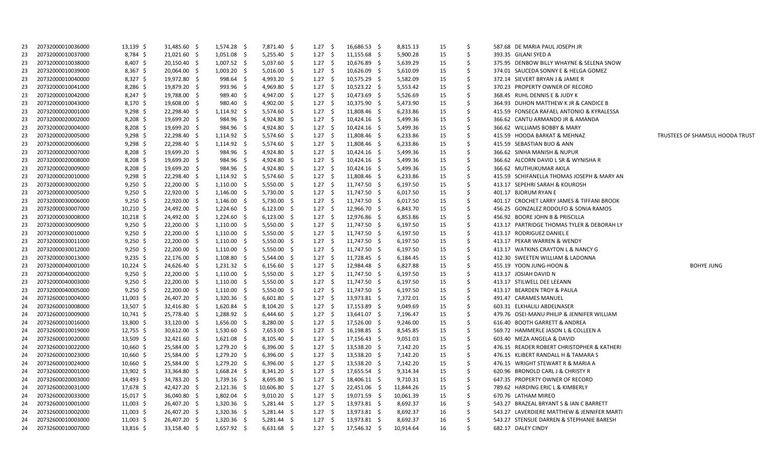| 23 | 20732000010036000 | $13,139$ \$          | 31,485.60      | $1,574.28$ \$       | 7,871.40 \$   | 1.27<br>- \$    | 16,686.53<br>- S     | 8,815.13  | 15 | \$ | 587.68 DE MARIA PAUL JOSEPH JR             |                                 |
|----|-------------------|----------------------|----------------|---------------------|---------------|-----------------|----------------------|-----------|----|----|--------------------------------------------|---------------------------------|
| 23 | 20732000010037000 | $8,784$ \$           | $21,021.60$ \$ | $1,051.08$ \$       | $5,255.40$ \$ | 1.27 \$         | $11,155.68$ \$       | 5,900.28  | 15 | \$ | 393.35 GILANI SYED A                       |                                 |
| 23 | 20732000010038000 | $8,407$ \$           | $20,150.40$ \$ | $1,007.52$ \$       | $5,037.60$ \$ | $1.27 \quad$ \$ | 10,676.89 \$         | 5,639.29  | 15 | \$ | 375.95 DENBOW BILLY WHAYNE & SELENA SNOW   |                                 |
| 23 | 20732000010039000 | $8,367$ \$           | 20,064.00 \$   | $1,003.20$ \$       | $5,016.00$ \$ | 1.27 \$         | $10,626.09$ \$       | 5,610.09  | 15 | \$ | 374.01 SAUCEDA SONNY E & HELGA GOMEZ       |                                 |
| 23 | 20732000010040000 | $8,327$ \$           | 19,972.80 \$   | 998.64 \$           | 4,993.20 \$   | $1.27 \quad$ \$ | 10,575.29 \$         | 5,582.09  | 15 | Ś. | 372.14 SIEVERT BRYAN J & JAMIE R           |                                 |
| 23 | 20732000010041000 | $8,286$ \$           | 19,879.20 \$   | $993.96$ \$         | 4,969.80 \$   | 1.27 \$         | 10,523.22 \$         | 5,553.42  | 15 | \$ | 370.23 PROPERTY OWNER OF RECORD            |                                 |
| 23 | 20732000010042000 | $8,247$ \$           | 19,788.00 \$   | 989.40 \$           | 4,947.00 \$   | $1.27 \quad$ \$ | 10,473.69 \$         | 5,526.69  | 15 | \$ | 368.45 RUHL DENNIS E & JUDY K              |                                 |
| 23 | 20732000010043000 | $8,170$ \$           | 19,608.00 \$   | 980.40 \$           | 4,902.00 \$   | $1.27 \quad$ \$ | $10,375.90$ \$       | 5,473.90  | 15 | \$ | 364.93 DUHON MATTHEW K JR & CANDICE B      |                                 |
| 23 | 20732000020001000 | $9,298$ \$           | 22,298.40 \$   | $1,114.92 \quad$ \$ | $5,574.60$ \$ | 1.27 \$         | 11,808.46 \$         | 6,233.86  | 15 | \$ | 415.59 FONSECA RAFAEL ANTONIO & KYRALESSA  |                                 |
| 23 | 20732000020002000 | $8,208$ \$           | 19,699.20 \$   | 984.96 \$           | 4,924.80 \$   | 1.27 \$         | $10,424.16$ \$       | 5,499.36  | 15 | \$ | 366.62 CANTU ARMANDO JR & AMANDA           |                                 |
| 23 | 20732000020004000 | $8,208$ \$           | 19,699.20 \$   | 984.96 \$           | $4,924.80$ \$ | 1.27 \$         | $10,424.16$ \$       | 5,499.36  | 15 | \$ | 366.62 WILLIAMS BOBBY & MARY               |                                 |
| 23 | 20732000020005000 | $9,298$ \$           | 22,298.40 \$   | $1,114.92 \quad$ \$ | $5,574.60$ \$ | 1.27 \$         | 11,808.46 \$         | 6,233.86  | 15 | \$ | 415.59 HOODA BARKAT & MEHNAZ               | TRUSTEES OF SHAMSUL HOODA TRUST |
| 23 | 20732000020006000 | $9,298$ \$           | 22,298.40 \$   | $1,114.92 \quad$ \$ | $5,574.60$ \$ | $1.27 \quad$ \$ | 11,808.46 \$         | 6,233.86  | 15 | Ŝ. | 415.59 SEBASTIAN BIJO & ANN                |                                 |
| 23 | 20732000020007000 | $8,208$ \$           | 19,699.20 \$   | 984.96 \$           | 4,924.80 \$   | $1.27 \quad$ \$ | $10,424.16$ \$       | 5,499.36  | 15 | Ś. | 366.62 SINHA MANISH & NUPUR                |                                 |
| 23 | 20732000020008000 | $8,208$ \$           | 19,699.20 \$   | 984.96 \$           | 4,924.80 \$   | $1.27 \quad$ \$ | $10,424.16$ \$       | 5,499.36  | 15 | \$ | 366.62 ALCORN DAVID L SR & WYNISHA R       |                                 |
| 23 | 20732000020009000 | $8,208$ \$           | 19,699.20 \$   | 984.96 \$           | 4,924.80 \$   | $1.27 \quad$ \$ | 10,424.16 \$         | 5,499.36  | 15 | \$ | 366.62 MUTHUKUMAR AKILA                    |                                 |
| 23 | 20732000020010000 | $9,298$ \$           | 22,298.40 \$   | $1,114.92 \quad$ \$ | $5,574.60$ \$ | 1.27 \$         | 11,808.46 \$         | 6,233.86  | 15 | \$ | 415.59 SCHIFANELLA THOMAS JOSEPH & MARY AN |                                 |
| 23 | 20732000030002000 | $9,250$ \$           | 22,200.00 \$   | $1,110.00$ \$       | $5,550.00$ \$ | 1.27 \$         | 11,747.50 \$         | 6,197.50  | 15 | \$ | 413.17 SEPEHRI SARAH & KOUROSH             |                                 |
| 23 | 20732000030005000 | $9,250$ \$           | 22,920.00 \$   | $1,146.00$ \$       | $5,730.00$ \$ | 1.27 \$         | 11,747.50 \$         | 6,017.50  | 15 | \$ | 401.17 BJORUM RYAN E                       |                                 |
| 23 | 20732000030006000 | $9,250$ \$           | 22,920.00 \$   | $1,146.00$ \$       | $5,730.00$ \$ | 1.27 \$         | 11,747.50 \$         | 6,017.50  | 15 | \$ | 401.17 CROCHET LARRY JAMES & TIFFANI BROOK |                                 |
| 23 | 20732000030007000 | $10,210 \; \text{S}$ | 24,492.00 \$   | $1,224.60$ \$       | $6,123.00$ \$ | 1.27 \$         | 12,966.70 \$         | 6,843.70  | 15 | \$ | 456.25 GONZALEZ RODOLFO & SONIA RAMOS      |                                 |
| 23 | 20732000030008000 | $10,218$ \$          | 24,492.00 \$   | $1,224.60$ \$       | $6,123.00$ \$ | 1.27 \$         | 12,976.86 \$         | 6,853.86  | 15 | \$ | 456.92 BOORE JOHN B & PRISCILLA            |                                 |
| 23 | 20732000030009000 | $9,250$ \$           | 22,200.00 \$   | $1,110.00$ \$       | $5,550.00$ \$ | 1.27 \$         | 11,747.50 \$         | 6,197.50  | 15 | Ś. | 413.17 PARTRIDGE THOMAS TYLER & DEBORAH LY |                                 |
| 23 | 20732000030010000 | $9,250$ \$           | 22,200.00 \$   | $1,110.00$ \$       | $5,550.00$ \$ | $1.27 \quad$ \$ | 11,747.50 \$         | 6,197.50  | 15 | \$ | 413.17 RODRIGUEZ DANIEL E                  |                                 |
| 23 | 20732000030011000 | $9,250$ \$           | 22,200.00 \$   | $1,110.00 \quad$ \$ | $5,550.00$ \$ | $1.27 \quad$ \$ | 11,747.50 \$         | 6,197.50  | 15 | \$ | 413.17 PEKAR WARREN & WENDY                |                                 |
| 23 | 20732000030012000 | $9,250$ \$           | $22,200.00$ \$ | $1,110.00$ \$       | $5,550.00$ \$ | $1.27 \quad$ \$ | 11,747.50 \$         | 6,197.50  | 15 | \$ | 413.17 WATKINS CRAYTON L & NANCY G         |                                 |
| 23 | 20732000030013000 | $9,235$ \$           | 22,176.00 \$   | 1,108.80 \$         | 5,544.00 \$   | 1.27 \$         | 11,728.45 \$         | 6,184.45  | 15 | \$ | 412.30 SWEETEN WILLIAM & LADONNA           |                                 |
| 23 | 20732000040001000 | $10,224$ \$          | 24,626.40 \$   | $1,231.32$ \$       | $6,156.60$ \$ | $1.27 \quad$ \$ | 12,984.48 \$         | 6,827.88  | 15 | \$ | 455.19 YOON JUNG-HOON &                    | <b>BOHYE JUNG</b>               |
| 23 | 20732000040002000 | $9,250$ \$           | 22,200.00 \$   | $1,110.00$ \$       | $5,550.00$ \$ | 1.27 \$         | 11,747.50 \$         | 6,197.50  | 15 | \$ | 413.17 JOSIAH DAVID N                      |                                 |
| 23 | 20732000040003000 | $9,250$ \$           | 22,200.00 \$   | $1,110.00$ \$       | $5,550.00$ \$ | 1.27 \$         | 11,747.50 \$         | 6,197.50  | 15 | \$ | 413.17 STILWELL DEE LEEANN                 |                                 |
| 23 | 20732000040005000 | $9,250$ \$           | 22,200.00 \$   | $1,110.00$ \$       | $5,550.00$ \$ | 1.27 \$         | 11,747.50 \$         | 6,197.50  | 15 | \$ | 413.17 BEARDEN TROY & PAULA                |                                 |
| 24 | 20732600010004000 | $11,003 \; \text{S}$ | 26,407.20 \$   | $1,320.36$ \$       | $6,601.80$ \$ | 1.27 \$         | 13,973.81 \$         | 7,372.01  | 15 | \$ | 491.47 CARAMES MANUEL                      |                                 |
| 24 | 20732600010008000 | $13,507$ \$          | 32,416.80 \$   | $1,620.84$ \$       | $8,104.20$ \$ | 1.27 \$         | 17,153.89 \$         | 9,049.69  | 15 | \$ | 603.31 ELKHALILI ABDELNASER                |                                 |
| 24 | 20732600010009000 | $10,741$ \$          | 25,778.40 \$   | $1,288.92 \quad$ \$ | $6,444.60$ \$ | 1.27 \$         | 13,641.07 \$         | 7,196.47  | 15 | \$ | 479.76 OSEI-MANU PHILIP & JENNIFER WILLIAM |                                 |
| 24 | 20732600010016000 | 13,800 \$            | 33,120.00 \$   | $1,656.00$ \$       | 8,280.00 \$   | $1.27 \quad$ \$ | 17,526.00 \$         | 9,246.00  | 15 | Ŝ. | 616.40 BOOTH GARRETT & ANDREA              |                                 |
| 24 | 20732600010019000 | $12,755$ \$          | 30,612.00 \$   | 1,530.60 \$         | 7,653.00 \$   | 1.27 \$         | 16,198.85 \$         | 8,545.85  | 15 | \$ | 569.72 HAMMERLE JASON L & COLLEEN A        |                                 |
| 24 | 20732600010020000 | $13,509$ \$          | 32,421.60 \$   | $1,621.08$ \$       | $8,105.40$ \$ | 1.27 \$         | $17,156.43 \quad$ \$ | 9,051.03  | 15 | \$ | 603.40 MEZA ANGELA & DAVID                 |                                 |
| 24 | 20732600010022000 | $10,660$ \$          | 25,584.00 \$   | $1,279.20$ \$       | $6,396.00$ \$ | 1.27 \$         | $13,538.20$ \$       | 7,142.20  | 15 | \$ | 476.15 READER ROBERT CHRISTOPHER & KATHERI |                                 |
| 24 | 20732600010023000 | $10,660$ \$          | 25,584.00 \$   | $1,279.20$ \$       | $6,396.00$ \$ | $1.27 \quad$ \$ | 13,538.20 \$         | 7,142.20  | 15 | Ś. | 476.15 KLIBERT RANDALL H & TAMARA S        |                                 |
| 24 | 20732600010024000 | $10,660$ \$          | 25,584.00 \$   | 1,279.20 \$         | $6,396.00$ \$ | $1.27 \quad$ \$ | 13,538.20 \$         | 7,142.20  | 15 | \$ | 476.15 WRIGHT STEWART R & MARIA A          |                                 |
| 24 | 20732600020001000 | $13,902 \div$        | 33,364.80 \$   | $1,668.24$ \$       | $8,341.20$ \$ | 1.27 \$         | 17,655.54 \$         | 9,314.34  | 15 | \$ | 620.96 BRONOLD CARL J & CHRISTY R          |                                 |
| 24 | 20732600020003000 | $14,493$ \$          | 34,783.20 \$   | $1,739.16$ \$       | $8,695.80$ \$ | 1.27 \$         | 18,406.11 \$         | 9,710.31  | 15 | \$ | 647.35 PROPERTY OWNER OF RECORD            |                                 |
| 24 | 20732600020031000 | 17,678 \$            | 42,427.20 \$   | $2,121.36$ \$       | 10,606.80 \$  | 1.27 \$         | 22,451.06 \$         | 11,844.26 | 15 | \$ | 789.62 HARDING ERIC L & KIMBERLY           |                                 |
| 24 | 20732600020033000 | $15,017$ \$          | 36,040.80 \$   | $1,802.04$ \$       | $9,010.20$ \$ | 1.27 \$         | 19,071.59 \$         | 10,061.39 | 15 | \$ | 670.76 LATHAM MIREO                        |                                 |
| 24 | 20732600010001000 | $11,003 \; \text{S}$ | 26,407.20 \$   | $1,320.36$ \$       | $5,281.44$ \$ | 1.27 \$         | 13,973.81 \$         | 8,692.37  | 16 | \$ | 543.27 BRAZEAL BRYANT S & IAN C BARRETT    |                                 |
| 24 | 20732600010002000 | $11,003$ \$          | 26,407.20 \$   | $1,320.36$ \$       | $5,281.44$ \$ | 1.27 \$         | 13,973.81 \$         | 8,692.37  | 16 | \$ | 543.27 LAVERDIERE MATTHEW & JENNIFER MARTI |                                 |
| 24 | 20732600010003000 | $11,003$ \$          | 26,407.20 \$   | 1,320.36 \$         | $5,281.44$ \$ | $1.27 \quad$ \$ | 13,973.81 \$         | 8,692.37  | 16 | Ŝ. | 543.27 STENSLIE DARREN & STEPHANIE BARESH  |                                 |
| 24 | 20732600010007000 | 13,816 \$            | 33,158.40 \$   | $1,657.92$ \$       | $6,631.68$ \$ | 1.27 \$         | 17,546.32 \$         | 10,914.64 | 16 | \$ | 682.17 DALEY CINDY                         |                                 |
|    |                   |                      |                |                     |               |                 |                      |           |    |    |                                            |                                 |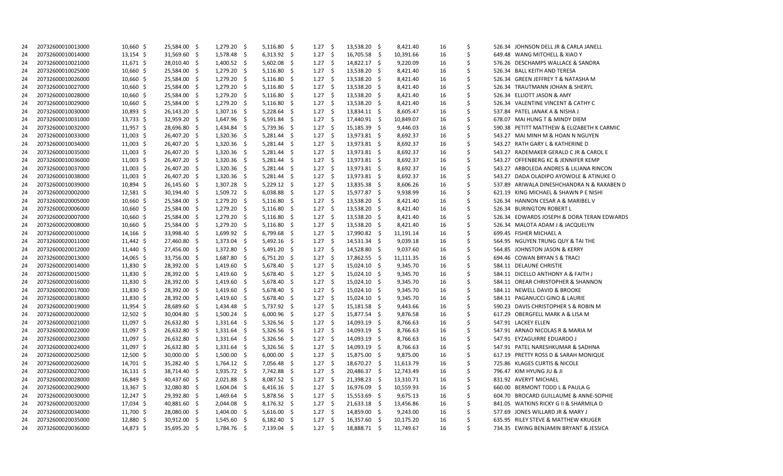| 24 | 20732600010013000 | $10,660$ \$    | 25,584.00 \$ | $1,279.20$ \$       |      | 5,116.80            | - \$ | 1.27            | -\$  | 13,538.20 \$   |      | 8,421.40  | 16 | \$       |        | 526.34 JOHNSON DELL JR & CARLA JANELL      |
|----|-------------------|----------------|--------------|---------------------|------|---------------------|------|-----------------|------|----------------|------|-----------|----|----------|--------|--------------------------------------------|
| 24 | 20732600010014000 | $13,154$ \$    | 31,569.60 \$ | $1,578.48$ \$       |      | $6,313.92$ \$       |      | 1.27 \$         |      | 16,705.58      | -\$  | 10,391.66 | 16 | \$       |        | 649.48 WANG MITCHELL & XIAO Y              |
| 24 | 20732600010021000 | $11,671$ \$    | 28,010.40 \$ | $1,400.52$ \$       |      | 5,602.08            | - \$ | 1.27            | - \$ | 14,822.17 \$   |      | 9,220.09  | 16 | Ś.       |        | 576.26 DESCHAMPS WALLACE & SANDRA          |
| 24 | 20732600010025000 | $10,660$ \$    | 25,584.00 \$ | $1,279.20$ \$       |      | $5,116.80$ \$       |      | 1.27S           |      | 13,538.20 \$   |      | 8,421.40  | 16 | \$       |        | 526.34 BALL KEITH AND TERESA               |
| 24 | 20732600010026000 | 10,660 \$      | 25,584.00 \$ | $1,279.20$ \$       |      | $5,116.80$ \$       |      | 1.27S           |      | 13,538.20 \$   |      | 8,421.40  | 16 | \$       | 526.34 | GREEN JEFFREY T & NATASHA M                |
| 24 | 20732600010027000 | $10,660$ \$    | 25,584.00 \$ | $1,279.20$ \$       |      | $5,116.80$ \$       |      | 1.27            | - \$ | 13,538.20 \$   |      | 8,421.40  | 16 | \$       |        | 526.34 TRAUTMANN JOHAN & SHERYL            |
| 24 | 20732600010028000 | $10,660$ \$    | 25,584.00 \$ | $1,279.20$ \$       |      | $5,116.80$ \$       |      | 1.27            | - \$ | 13,538.20 \$   |      | 8,421.40  | 16 | \$       |        | 526.34 ELLIOTT JASON & AMY                 |
| 24 | 20732600010029000 | 10,660 \$      | 25,584.00 \$ | $1,279.20$ \$       |      | $5,116.80$ \$       |      | 1.27            | -\$  | 13,538.20 \$   |      | 8,421.40  | 16 | \$       |        | 526.34 VALENTINE VINCENT & CATHY C         |
| 24 | 20732600010030000 | $10,893$ \$    | 26,143.20 \$ | $1,307.16$ \$       |      | $5,228.64$ \$       |      | 1.27            | - \$ | 13,834.11 \$   |      | 8,605.47  | 16 | \$       |        | 537.84 PATEL JANAK A & NISHA J             |
| 24 | 20732600010031000 | $13,733$ \$    | 32,959.20 \$ | $1,647.96$ \$       |      | $6,591.84$ \$       |      | 1.27            | - \$ | 17,440.91 \$   |      | 10,849.07 | 16 | \$       |        | 678.07 MAI HUNG T & MINDY DIEM             |
| 24 | 20732600010032000 | 11,957 \$      | 28,696.80 \$ | 1,434.84 \$         |      | 5,739.36 \$         |      | 1.27S           |      | 15,185.39 \$   |      | 9,446.03  | 16 | \$       |        | 590.38 PETITT MATTHEW & ELIZABETH K CARMIC |
| 24 | 20732600010033000 | $11,003$ \$    | 26,407.20 \$ | $1,320.36$ \$       |      | 5,281.44            | - \$ | 1.27S           |      | 13,973.81 \$   |      | 8,692.37  | 16 | \$       |        | 543.27 MAI MINH M & HOAN N NGUYEN          |
| 24 | 20732600010034000 | $11,003$ \$    | 26,407.20 \$ | $1,320.36$ \$       |      | $5,281.44$ \$       |      | 1.27 \$         |      | 13,973.81 \$   |      | 8,692.37  | 16 | \$       |        | 543.27 RATH GARY L & KATHERINE D           |
| 24 | 20732600010035000 | $11,003$ \$    | 26,407.20 \$ | $1,320.36$ \$       |      | $5,281.44$ \$       |      | 1.27            | - \$ | 13,973.81 \$   |      | 8,692.37  | 16 | \$       |        | 543.27 RADEMAKER GERALD C JR & CAROL E     |
| 24 | 20732600010036000 | $11,003$ \$    | 26,407.20 \$ | $1,320.36$ \$       |      | $5,281.44$ \$       |      | 1.27            | - \$ | 13,973.81 \$   |      | 8,692.37  | 16 | \$       |        | 543.27 OFFENBERG KC & JENNIFER KEMP        |
| 24 | 20732600010037000 | $11,003$ \$    | 26,407.20 \$ | $1,320.36$ \$       |      | $5,281.44$ \$       |      | 1.27            | - \$ | 13,973.81 \$   |      | 8,692.37  | 16 | \$       |        | 543.27 ARBOLEDA ANDRES & LILIANA RINCON    |
| 24 | 20732600010038000 | $11,003$ \$    | 26,407.20 \$ | $1,320.36$ \$       |      | $5,281.44$ \$       |      | 1.27            | - Ś  | 13,973.81 \$   |      | 8,692.37  | 16 | \$       |        | 543.27 DADA OLADIPO AYOWOLE & ATINUKE O    |
| 24 | 20732600010039000 | $10,894$ \$    | 26,145.60 \$ | $1,307.28$ \$       |      | $5,229.12$ \$       |      | 1.27S           |      | 13,835.38 \$   |      | 8,606.26  | 16 | \$       |        | 537.89 ARIWALA DINESHCHANDRA N & RAXABEN D |
| 24 | 20732600020002000 | 12,581 \$      | 30,194.40 \$ | $1,509.72$ \$       |      | $6,038.88$ \$       |      | 1.27            | - \$ | 15,977.87 \$   |      | 9,938.99  | 16 | \$       |        | 621.19 KING MICHAEL & SHAWN P E NISHI      |
| 24 | 20732600020005000 | 10,660 \$      | 25,584.00 \$ | $1,279.20$ \$       |      | $5,116.80$ \$       |      | 1.27S           |      | 13,538.20 \$   |      | 8,421.40  | 16 | Ś.       |        | 526.34 HANNON CESAR A & MARIBEL V          |
| 24 | 20732600020006000 | 10,660 \$      | 25,584.00 \$ | $1,279.20$ \$       |      | $5,116.80$ \$       |      | 1.27S           |      | 13,538.20 \$   |      | 8,421.40  | 16 | \$       |        | 526.34 BURINGTON ROBERT L                  |
| 24 | 20732600020007000 | $10,660$ \$    | 25,584.00 \$ | $1,279.20$ \$       |      | $5,116.80$ \$       |      | 1.27 \$         |      | 13,538.20 \$   |      | 8,421.40  | 16 | \$       |        | 526.34 EDWARDS JOSEPH & DORA TERAN EDWARDS |
| 24 | 20732600020008000 | $10,660$ \$    | 25,584.00 \$ | $1,279.20$ \$       |      | $5,116.80$ \$       |      | $1.27 \quad$ \$ |      | 13,538.20 \$   |      | 8,421.40  | 16 | \$       |        | 526.34 MALOTA ADAM J & JACQUELYN           |
| 24 | 20732600020010000 | $14,166$ \$    | 33,998.40 \$ | $1,699.92$ \$       |      | $6,799.68$ \$       |      | 1.27            | - \$ | 17,990.82 \$   |      | 11,191.14 | 16 | \$       |        | 699.45 FISHER MICHAEL A                    |
| 24 | 20732600020011000 | 11,442 \$      | 27,460.80 \$ | $1,373.04$ \$       |      | $5,492.16$ \$       |      | 1.27            | - \$ | 14,531.34 \$   |      | 9,039.18  | 16 | \$       |        | 564.95 NGUYEN TRUNG QUY & TAI THE          |
| 24 | 20732600020012000 | $11,440$ \$    | 27,456.00 \$ | $1,372.80$ \$       |      | $5,491.20$ \$       |      | 1.27            | -\$  | 14,528.80 \$   |      | 9,037.60  | 16 | \$       |        | 564.85 JOHNSTON JASON & KERRY              |
| 24 | 20732600020013000 | $14,065$ \$    | 33,756.00 \$ | 1,687.80 \$         |      | $6,751.20$ \$       |      | 1.27 \$         |      | 17,862.55 \$   |      | 11,111.35 | 16 | \$       |        | 694.46 COWAN BRYAN S & TRACI               |
| 24 | 20732600020014000 | 11,830 \$      | 28,392.00 \$ | $1,419.60$ \$       |      | $5,678.40$ \$       |      | 1.27 \$         |      | 15,024.10 \$   |      | 9,345.70  | 16 | \$       |        | 584.11 DELAUNE CHRISTIE                    |
| 24 | 20732600020015000 | $11,830$ \$    | 28,392.00 \$ | $1,419.60$ \$       |      | $5,678.40$ \$       |      | 1.27 \$         |      | 15,024.10 \$   |      | 9,345.70  | 16 | Ś.       |        | 584.11 DICELLO ANTHONY A & FAITH J         |
| 24 | 20732600020016000 | $11,830 \;$ \$ | 28,392.00 \$ | $1,419.60$ \$       |      | $5,678.40$ \$       |      | 1.27S           |      | 15,024.10 \$   |      | 9,345.70  | 16 | \$       |        | 584.11 OREAR CHRISTOPHER & SHANNON         |
| 24 | 20732600020017000 | $11,830 \;$ \$ | 28,392.00 \$ | $1,419.60$ \$       |      | $5,678.40$ \$       |      | 1.27            | - \$ | 15,024.10 \$   |      | 9,345.70  | 16 | \$       |        | 584.11 NEWELL DAVID & BROOKE               |
|    | 20732600020018000 | 11,830 \$      | 28,392.00 \$ | 1,419.60 \$         |      | 5,678.40 \$         |      | 1.27S           |      | 15,024.10 \$   |      |           |    | \$       |        | 584.11 PAGANUCCI GINO & LAURIE             |
| 24 |                   |                |              | 1,434.48 \$         |      |                     |      | 1.27            | - Ś  | 15,181.58 \$   |      | 9,345.70  | 16 | \$       |        | 590.23 DAVIS CHRISTOPHER S & ROBIN M       |
| 24 | 20732600020019000 | 11,954 \$      | 28,689.60 \$ |                     |      | $5,737.92$ \$       |      |                 |      |                |      | 9,443.66  | 16 |          |        |                                            |
| 24 | 20732600020020000 | $12,502$ \$    | 30,004.80 \$ | $1,500.24$ \$       |      | $6,000.96$ \$       |      | 1.27 \$         |      | 15,877.54 \$   |      | 9,876.58  | 16 | \$<br>\$ |        | 617.29 OBERGFELL MARK A & LISA M           |
| 24 | 20732600020021000 | $11,097$ \$    | 26,632.80 \$ | $1,331.64$ \$       |      | $5,326.56$ \$       |      | 1.27            | - \$ | 14,093.19 \$   |      | 8,766.63  | 16 | Ś.       |        | 547.91 LACKEY ELLEN                        |
| 24 | 20732600020022000 | $11,097$ \$    | 26,632.80 \$ | $1,331.64$ \$       |      | $5,326.56$ \$       |      | 1.27 \$         |      | 14,093.19 \$   |      | 8,766.63  | 16 |          |        | 547.91 ARNAO NICOLAS R & MARIA M           |
| 24 | 20732600020023000 | $11,097$ \$    | 26,632.80 \$ | 1,331.64            | - \$ | $5,326.56$ \$       |      | 1.27S           |      | 14,093.19 \$   |      | 8,766.63  | 16 | Ś.<br>\$ |        | 547.91 EYZAGUIRRE EDUARDO J                |
| 24 | 20732600020024000 | $11,097$ \$    | 26,632.80 \$ | $1,331.64$ \$       |      | $5,326.56$ \$       |      | 1.27S           |      | 14,093.19 \$   |      | 8,766.63  | 16 |          |        | 547.91 PATEL NARESHKUMAR & SADHNA          |
| 24 | 20732600020025000 | $12,500$ \$    | 30,000.00 \$ | $1,500.00$ \$       |      | $6,000.00$ \$       |      | 1.27            | - \$ | 15,875.00 \$   |      | 9,875.00  | 16 | \$       |        | 617.19 PRETTY ROSS D & SARAH MONIQUE       |
| 24 | 20732600020026000 | 14,701 \$      | 35,282.40 \$ | $1,764.12 \quad$ \$ |      | 7,056.48 \$         |      | 1.27            | - \$ | 18,670.27 \$   |      | 11,613.79 | 16 | \$       |        | 725.86 KLAGES CURTIS & NICOLE              |
| 24 | 20732600020027000 | $16,131$ \$    | 38,714.40 \$ | $1,935.72$ \$       |      | 7,742.88 \$         |      | 1.27            | - \$ | 20,486.37 \$   |      | 12,743.49 | 16 | \$       |        | 796.47 KIM HYUNG JU & JI                   |
| 24 | 20732600020028000 | 16,849 \$      | 40,437.60 \$ | $2,021.88$ \$       |      | 8,087.52 \$         |      | 1.27            | -\$  | 21,398.23      | - \$ | 13,310.71 | 16 | \$       |        | 831.92 AVERYT MICHAEL                      |
| 24 | 20732600020029000 | $13,367$ \$    | 32,080.80 \$ | $1,604.04$ \$       |      | $6,416.16$ \$       |      | 1.27 \$         |      | 16,976.09      | -\$  | 10,559.93 | 16 | \$       |        | 660.00 BERMONT TODD L & PAULA G            |
| 24 | 20732600020030000 | $12,247$ \$    | 29,392.80 \$ | 1,469.64            | - \$ | 5,878.56 \$         |      | 1.27S           |      | 15,553.69 \$   |      | 9,675.13  | 16 | Ś.       |        | 604.70 BROCARD GUILLAUME & ANNE-SOPHIE     |
| 24 | 20732600020032000 | 17,034 \$      | 40,881.60 \$ | 2,044.08 \$         |      | $8,176.32 \quad$ \$ |      | 1.27S           |      | $21,633.18$ \$ |      | 13,456.86 | 16 | \$       |        | 841.05 WATKINS RICKY G II & SHARMILA D     |
| 24 | 20732600020034000 | $11,700$ \$    | 28,080.00 \$ | $1,404.00$ \$       |      | $5,616.00$ \$       |      | $1.27 \quad$ \$ |      | 14,859.00 \$   |      | 9,243.00  | 16 | \$       |        | 577.69 JONES WILLARD JR & MARY J           |
| 24 | 20732600020035000 | 12,880 \$      | 30,912.00 \$ | $1,545.60$ \$       |      | $6,182.40$ \$       |      | 1.27            | -\$  | 16,357.60 \$   |      | 10,175.20 | 16 | Ś.       |        | 635.95 RILEY STEVE & MATTHEW KRUGER        |
| 24 | 20732600020036000 | 14,873 \$      | 35,695.20 \$ | 1,784.76 \$         |      | 7,139.04 \$         |      | 1.27            | S.   | 18,888.71 \$   |      | 11,749.67 | 16 | \$       |        | 734.35 EWING BENJAMIN BRYANT & JESSICA     |